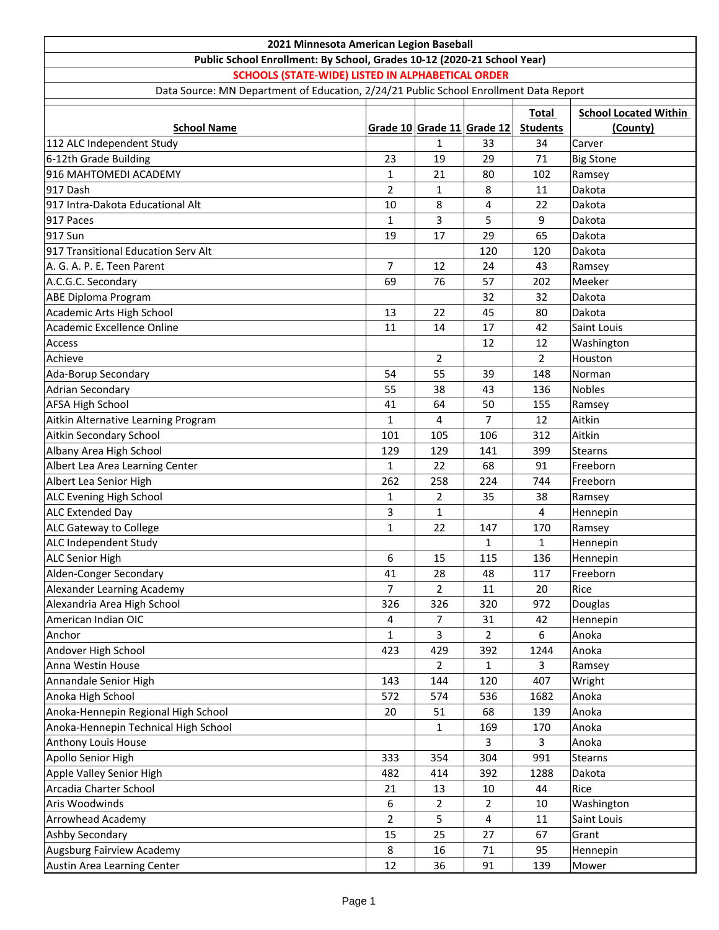| Public School Enrollment: By School, Grades 10-12 (2020-21 School Year)<br><b>SCHOOLS (STATE-WIDE) LISTED IN ALPHABETICAL ORDER</b><br>Data Source: MN Department of Education, 2/24/21 Public School Enrollment Data Report<br><b>School Located Within</b><br>Total<br>Grade 10 Grade 11 Grade 12<br><b>Students</b><br>(County)<br><b>School Name</b><br>112 ALC Independent Study<br>Carver<br>33<br>34<br>1<br>71<br>6-12th Grade Building<br>23<br>19<br>29<br><b>Big Stone</b><br>916 MAHTOMEDI ACADEMY<br>102<br>$\mathbf{1}$<br>21<br>80<br>Ramsey<br>$\overline{2}$<br>8<br>Dakota<br>917 Dash<br>1<br>11<br>8<br>4<br>917 Intra-Dakota Educational Alt<br>10<br>22<br>Dakota<br>3<br>5<br>9<br>917 Paces<br>$\mathbf{1}$<br>Dakota<br>917 Sun<br>65<br>Dakota<br>19<br>17<br>29<br>917 Transitional Education Serv Alt<br>120<br>Dakota<br>120<br>$\overline{7}$<br>A. G. A. P. E. Teen Parent<br>12<br>24<br>43<br>Ramsey<br>A.C.G.C. Secondary<br>76<br>57<br>202<br>Meeker<br>69<br>ABE Diploma Program<br>32<br>32<br>Dakota<br>Academic Arts High School<br>13<br>22<br>45<br>80<br>Dakota<br>Academic Excellence Online<br>42<br>Saint Louis<br>11<br>14<br>17<br>12<br>12<br>Washington<br>Access<br>$\overline{2}$<br>$\overline{2}$<br>Achieve<br>Houston<br>55<br>Ada-Borup Secondary<br>54<br>39<br>148<br>Norman<br><b>Adrian Secondary</b><br><b>Nobles</b><br>38<br>43<br>136<br>55<br><b>AFSA High School</b><br>41<br>64<br>50<br>155<br>Ramsey<br>$\overline{7}$<br>Aitkin Alternative Learning Program<br>4<br>12<br>Aitkin<br>1<br>Aitkin Secondary School<br>312<br>Aitkin<br>101<br>105<br>106<br>141<br>Albany Area High School<br>129<br>129<br>399<br>Stearns<br>Albert Lea Area Learning Center<br>22<br>68<br>91<br>Freeborn<br>$\mathbf{1}$<br>Albert Lea Senior High<br>262<br>258<br>Freeborn<br>224<br>744<br><b>ALC Evening High School</b><br>$\overline{2}$<br>35<br>38<br>Ramsey<br>1<br><b>ALC Extended Day</b><br>3<br>4<br>1<br>Hennepin<br>ALC Gateway to College<br>$\mathbf{1}$<br>22<br>147<br>170<br>Ramsey<br>ALC Independent Study<br>$\mathbf{1}$<br>1<br>Hennepin<br>6<br>115<br>136<br><b>ALC Senior High</b><br>15<br>Hennepin<br>Alden-Conger Secondary<br>41<br>28<br>48<br>117<br>Freeborn<br>Alexander Learning Academy<br>20<br>$\overline{7}$<br>2<br>11<br>Rice<br>Alexandria Area High School<br>326<br>326<br>320<br>972<br>Douglas<br>American Indian OIC<br>42<br>4<br>7<br>31<br>Hennepin<br>Anchor<br>$\overline{2}$<br>3<br>6<br>Anoka<br>1<br>Andover High School<br>429<br>392<br>Anoka<br>423<br>1244<br>3<br>Anna Westin House<br>$\overline{2}$<br>$\mathbf{1}$<br>Ramsey<br>Annandale Senior High<br>407<br>Wright<br>143<br>144<br>120<br>Anoka High School<br>1682<br>572<br>574<br>536<br>Anoka<br>Anoka-Hennepin Regional High School<br>68<br>139<br>20<br>51<br>Anoka<br>Anoka-Hennepin Technical High School<br>169<br>170<br>Anoka<br>1<br>Anthony Louis House<br>3<br>3<br>Anoka<br>Apollo Senior High<br>304<br>991<br>333<br>354<br>Stearns<br>Apple Valley Senior High<br>482<br>414<br>392<br>1288<br>Dakota<br>Arcadia Charter School<br>21<br>44<br>Rice<br>13<br>10<br>Aris Woodwinds<br>6<br>$\overline{2}$<br>2<br>10<br>Washington<br>Arrowhead Academy<br>2<br>5<br>4<br>Saint Louis<br>11<br>Ashby Secondary<br>25<br>15<br>27<br>67<br>Grant<br>Augsburg Fairview Academy<br>8<br>16<br>71<br>95<br>Hennepin<br>Austin Area Learning Center<br>12<br>36<br>91<br>139<br>Mower | 2021 Minnesota American Legion Baseball |  |  |  |
|------------------------------------------------------------------------------------------------------------------------------------------------------------------------------------------------------------------------------------------------------------------------------------------------------------------------------------------------------------------------------------------------------------------------------------------------------------------------------------------------------------------------------------------------------------------------------------------------------------------------------------------------------------------------------------------------------------------------------------------------------------------------------------------------------------------------------------------------------------------------------------------------------------------------------------------------------------------------------------------------------------------------------------------------------------------------------------------------------------------------------------------------------------------------------------------------------------------------------------------------------------------------------------------------------------------------------------------------------------------------------------------------------------------------------------------------------------------------------------------------------------------------------------------------------------------------------------------------------------------------------------------------------------------------------------------------------------------------------------------------------------------------------------------------------------------------------------------------------------------------------------------------------------------------------------------------------------------------------------------------------------------------------------------------------------------------------------------------------------------------------------------------------------------------------------------------------------------------------------------------------------------------------------------------------------------------------------------------------------------------------------------------------------------------------------------------------------------------------------------------------------------------------------------------------------------------------------------------------------------------------------------------------------------------------------------------------------------------------------------------------------------------------------------------------------------------------------------------------------------------------------------------------------------------------------------------------------------------------------------------------------------------------------------------------------------------------------------------------------------------------------------------------------------------------------------------------------------------------------------------------------------------------------------------------------------------------------------------------------------------------------------------------------------------------------------------------------------------------------|-----------------------------------------|--|--|--|
|                                                                                                                                                                                                                                                                                                                                                                                                                                                                                                                                                                                                                                                                                                                                                                                                                                                                                                                                                                                                                                                                                                                                                                                                                                                                                                                                                                                                                                                                                                                                                                                                                                                                                                                                                                                                                                                                                                                                                                                                                                                                                                                                                                                                                                                                                                                                                                                                                                                                                                                                                                                                                                                                                                                                                                                                                                                                                                                                                                                                                                                                                                                                                                                                                                                                                                                                                                                                                                                                                    |                                         |  |  |  |
|                                                                                                                                                                                                                                                                                                                                                                                                                                                                                                                                                                                                                                                                                                                                                                                                                                                                                                                                                                                                                                                                                                                                                                                                                                                                                                                                                                                                                                                                                                                                                                                                                                                                                                                                                                                                                                                                                                                                                                                                                                                                                                                                                                                                                                                                                                                                                                                                                                                                                                                                                                                                                                                                                                                                                                                                                                                                                                                                                                                                                                                                                                                                                                                                                                                                                                                                                                                                                                                                                    |                                         |  |  |  |
|                                                                                                                                                                                                                                                                                                                                                                                                                                                                                                                                                                                                                                                                                                                                                                                                                                                                                                                                                                                                                                                                                                                                                                                                                                                                                                                                                                                                                                                                                                                                                                                                                                                                                                                                                                                                                                                                                                                                                                                                                                                                                                                                                                                                                                                                                                                                                                                                                                                                                                                                                                                                                                                                                                                                                                                                                                                                                                                                                                                                                                                                                                                                                                                                                                                                                                                                                                                                                                                                                    |                                         |  |  |  |
|                                                                                                                                                                                                                                                                                                                                                                                                                                                                                                                                                                                                                                                                                                                                                                                                                                                                                                                                                                                                                                                                                                                                                                                                                                                                                                                                                                                                                                                                                                                                                                                                                                                                                                                                                                                                                                                                                                                                                                                                                                                                                                                                                                                                                                                                                                                                                                                                                                                                                                                                                                                                                                                                                                                                                                                                                                                                                                                                                                                                                                                                                                                                                                                                                                                                                                                                                                                                                                                                                    |                                         |  |  |  |
|                                                                                                                                                                                                                                                                                                                                                                                                                                                                                                                                                                                                                                                                                                                                                                                                                                                                                                                                                                                                                                                                                                                                                                                                                                                                                                                                                                                                                                                                                                                                                                                                                                                                                                                                                                                                                                                                                                                                                                                                                                                                                                                                                                                                                                                                                                                                                                                                                                                                                                                                                                                                                                                                                                                                                                                                                                                                                                                                                                                                                                                                                                                                                                                                                                                                                                                                                                                                                                                                                    |                                         |  |  |  |
|                                                                                                                                                                                                                                                                                                                                                                                                                                                                                                                                                                                                                                                                                                                                                                                                                                                                                                                                                                                                                                                                                                                                                                                                                                                                                                                                                                                                                                                                                                                                                                                                                                                                                                                                                                                                                                                                                                                                                                                                                                                                                                                                                                                                                                                                                                                                                                                                                                                                                                                                                                                                                                                                                                                                                                                                                                                                                                                                                                                                                                                                                                                                                                                                                                                                                                                                                                                                                                                                                    |                                         |  |  |  |
|                                                                                                                                                                                                                                                                                                                                                                                                                                                                                                                                                                                                                                                                                                                                                                                                                                                                                                                                                                                                                                                                                                                                                                                                                                                                                                                                                                                                                                                                                                                                                                                                                                                                                                                                                                                                                                                                                                                                                                                                                                                                                                                                                                                                                                                                                                                                                                                                                                                                                                                                                                                                                                                                                                                                                                                                                                                                                                                                                                                                                                                                                                                                                                                                                                                                                                                                                                                                                                                                                    |                                         |  |  |  |
|                                                                                                                                                                                                                                                                                                                                                                                                                                                                                                                                                                                                                                                                                                                                                                                                                                                                                                                                                                                                                                                                                                                                                                                                                                                                                                                                                                                                                                                                                                                                                                                                                                                                                                                                                                                                                                                                                                                                                                                                                                                                                                                                                                                                                                                                                                                                                                                                                                                                                                                                                                                                                                                                                                                                                                                                                                                                                                                                                                                                                                                                                                                                                                                                                                                                                                                                                                                                                                                                                    |                                         |  |  |  |
|                                                                                                                                                                                                                                                                                                                                                                                                                                                                                                                                                                                                                                                                                                                                                                                                                                                                                                                                                                                                                                                                                                                                                                                                                                                                                                                                                                                                                                                                                                                                                                                                                                                                                                                                                                                                                                                                                                                                                                                                                                                                                                                                                                                                                                                                                                                                                                                                                                                                                                                                                                                                                                                                                                                                                                                                                                                                                                                                                                                                                                                                                                                                                                                                                                                                                                                                                                                                                                                                                    |                                         |  |  |  |
|                                                                                                                                                                                                                                                                                                                                                                                                                                                                                                                                                                                                                                                                                                                                                                                                                                                                                                                                                                                                                                                                                                                                                                                                                                                                                                                                                                                                                                                                                                                                                                                                                                                                                                                                                                                                                                                                                                                                                                                                                                                                                                                                                                                                                                                                                                                                                                                                                                                                                                                                                                                                                                                                                                                                                                                                                                                                                                                                                                                                                                                                                                                                                                                                                                                                                                                                                                                                                                                                                    |                                         |  |  |  |
|                                                                                                                                                                                                                                                                                                                                                                                                                                                                                                                                                                                                                                                                                                                                                                                                                                                                                                                                                                                                                                                                                                                                                                                                                                                                                                                                                                                                                                                                                                                                                                                                                                                                                                                                                                                                                                                                                                                                                                                                                                                                                                                                                                                                                                                                                                                                                                                                                                                                                                                                                                                                                                                                                                                                                                                                                                                                                                                                                                                                                                                                                                                                                                                                                                                                                                                                                                                                                                                                                    |                                         |  |  |  |
|                                                                                                                                                                                                                                                                                                                                                                                                                                                                                                                                                                                                                                                                                                                                                                                                                                                                                                                                                                                                                                                                                                                                                                                                                                                                                                                                                                                                                                                                                                                                                                                                                                                                                                                                                                                                                                                                                                                                                                                                                                                                                                                                                                                                                                                                                                                                                                                                                                                                                                                                                                                                                                                                                                                                                                                                                                                                                                                                                                                                                                                                                                                                                                                                                                                                                                                                                                                                                                                                                    |                                         |  |  |  |
|                                                                                                                                                                                                                                                                                                                                                                                                                                                                                                                                                                                                                                                                                                                                                                                                                                                                                                                                                                                                                                                                                                                                                                                                                                                                                                                                                                                                                                                                                                                                                                                                                                                                                                                                                                                                                                                                                                                                                                                                                                                                                                                                                                                                                                                                                                                                                                                                                                                                                                                                                                                                                                                                                                                                                                                                                                                                                                                                                                                                                                                                                                                                                                                                                                                                                                                                                                                                                                                                                    |                                         |  |  |  |
|                                                                                                                                                                                                                                                                                                                                                                                                                                                                                                                                                                                                                                                                                                                                                                                                                                                                                                                                                                                                                                                                                                                                                                                                                                                                                                                                                                                                                                                                                                                                                                                                                                                                                                                                                                                                                                                                                                                                                                                                                                                                                                                                                                                                                                                                                                                                                                                                                                                                                                                                                                                                                                                                                                                                                                                                                                                                                                                                                                                                                                                                                                                                                                                                                                                                                                                                                                                                                                                                                    |                                         |  |  |  |
|                                                                                                                                                                                                                                                                                                                                                                                                                                                                                                                                                                                                                                                                                                                                                                                                                                                                                                                                                                                                                                                                                                                                                                                                                                                                                                                                                                                                                                                                                                                                                                                                                                                                                                                                                                                                                                                                                                                                                                                                                                                                                                                                                                                                                                                                                                                                                                                                                                                                                                                                                                                                                                                                                                                                                                                                                                                                                                                                                                                                                                                                                                                                                                                                                                                                                                                                                                                                                                                                                    |                                         |  |  |  |
|                                                                                                                                                                                                                                                                                                                                                                                                                                                                                                                                                                                                                                                                                                                                                                                                                                                                                                                                                                                                                                                                                                                                                                                                                                                                                                                                                                                                                                                                                                                                                                                                                                                                                                                                                                                                                                                                                                                                                                                                                                                                                                                                                                                                                                                                                                                                                                                                                                                                                                                                                                                                                                                                                                                                                                                                                                                                                                                                                                                                                                                                                                                                                                                                                                                                                                                                                                                                                                                                                    |                                         |  |  |  |
|                                                                                                                                                                                                                                                                                                                                                                                                                                                                                                                                                                                                                                                                                                                                                                                                                                                                                                                                                                                                                                                                                                                                                                                                                                                                                                                                                                                                                                                                                                                                                                                                                                                                                                                                                                                                                                                                                                                                                                                                                                                                                                                                                                                                                                                                                                                                                                                                                                                                                                                                                                                                                                                                                                                                                                                                                                                                                                                                                                                                                                                                                                                                                                                                                                                                                                                                                                                                                                                                                    |                                         |  |  |  |
|                                                                                                                                                                                                                                                                                                                                                                                                                                                                                                                                                                                                                                                                                                                                                                                                                                                                                                                                                                                                                                                                                                                                                                                                                                                                                                                                                                                                                                                                                                                                                                                                                                                                                                                                                                                                                                                                                                                                                                                                                                                                                                                                                                                                                                                                                                                                                                                                                                                                                                                                                                                                                                                                                                                                                                                                                                                                                                                                                                                                                                                                                                                                                                                                                                                                                                                                                                                                                                                                                    |                                         |  |  |  |
|                                                                                                                                                                                                                                                                                                                                                                                                                                                                                                                                                                                                                                                                                                                                                                                                                                                                                                                                                                                                                                                                                                                                                                                                                                                                                                                                                                                                                                                                                                                                                                                                                                                                                                                                                                                                                                                                                                                                                                                                                                                                                                                                                                                                                                                                                                                                                                                                                                                                                                                                                                                                                                                                                                                                                                                                                                                                                                                                                                                                                                                                                                                                                                                                                                                                                                                                                                                                                                                                                    |                                         |  |  |  |
|                                                                                                                                                                                                                                                                                                                                                                                                                                                                                                                                                                                                                                                                                                                                                                                                                                                                                                                                                                                                                                                                                                                                                                                                                                                                                                                                                                                                                                                                                                                                                                                                                                                                                                                                                                                                                                                                                                                                                                                                                                                                                                                                                                                                                                                                                                                                                                                                                                                                                                                                                                                                                                                                                                                                                                                                                                                                                                                                                                                                                                                                                                                                                                                                                                                                                                                                                                                                                                                                                    |                                         |  |  |  |
|                                                                                                                                                                                                                                                                                                                                                                                                                                                                                                                                                                                                                                                                                                                                                                                                                                                                                                                                                                                                                                                                                                                                                                                                                                                                                                                                                                                                                                                                                                                                                                                                                                                                                                                                                                                                                                                                                                                                                                                                                                                                                                                                                                                                                                                                                                                                                                                                                                                                                                                                                                                                                                                                                                                                                                                                                                                                                                                                                                                                                                                                                                                                                                                                                                                                                                                                                                                                                                                                                    |                                         |  |  |  |
|                                                                                                                                                                                                                                                                                                                                                                                                                                                                                                                                                                                                                                                                                                                                                                                                                                                                                                                                                                                                                                                                                                                                                                                                                                                                                                                                                                                                                                                                                                                                                                                                                                                                                                                                                                                                                                                                                                                                                                                                                                                                                                                                                                                                                                                                                                                                                                                                                                                                                                                                                                                                                                                                                                                                                                                                                                                                                                                                                                                                                                                                                                                                                                                                                                                                                                                                                                                                                                                                                    |                                         |  |  |  |
|                                                                                                                                                                                                                                                                                                                                                                                                                                                                                                                                                                                                                                                                                                                                                                                                                                                                                                                                                                                                                                                                                                                                                                                                                                                                                                                                                                                                                                                                                                                                                                                                                                                                                                                                                                                                                                                                                                                                                                                                                                                                                                                                                                                                                                                                                                                                                                                                                                                                                                                                                                                                                                                                                                                                                                                                                                                                                                                                                                                                                                                                                                                                                                                                                                                                                                                                                                                                                                                                                    |                                         |  |  |  |
|                                                                                                                                                                                                                                                                                                                                                                                                                                                                                                                                                                                                                                                                                                                                                                                                                                                                                                                                                                                                                                                                                                                                                                                                                                                                                                                                                                                                                                                                                                                                                                                                                                                                                                                                                                                                                                                                                                                                                                                                                                                                                                                                                                                                                                                                                                                                                                                                                                                                                                                                                                                                                                                                                                                                                                                                                                                                                                                                                                                                                                                                                                                                                                                                                                                                                                                                                                                                                                                                                    |                                         |  |  |  |
|                                                                                                                                                                                                                                                                                                                                                                                                                                                                                                                                                                                                                                                                                                                                                                                                                                                                                                                                                                                                                                                                                                                                                                                                                                                                                                                                                                                                                                                                                                                                                                                                                                                                                                                                                                                                                                                                                                                                                                                                                                                                                                                                                                                                                                                                                                                                                                                                                                                                                                                                                                                                                                                                                                                                                                                                                                                                                                                                                                                                                                                                                                                                                                                                                                                                                                                                                                                                                                                                                    |                                         |  |  |  |
|                                                                                                                                                                                                                                                                                                                                                                                                                                                                                                                                                                                                                                                                                                                                                                                                                                                                                                                                                                                                                                                                                                                                                                                                                                                                                                                                                                                                                                                                                                                                                                                                                                                                                                                                                                                                                                                                                                                                                                                                                                                                                                                                                                                                                                                                                                                                                                                                                                                                                                                                                                                                                                                                                                                                                                                                                                                                                                                                                                                                                                                                                                                                                                                                                                                                                                                                                                                                                                                                                    |                                         |  |  |  |
|                                                                                                                                                                                                                                                                                                                                                                                                                                                                                                                                                                                                                                                                                                                                                                                                                                                                                                                                                                                                                                                                                                                                                                                                                                                                                                                                                                                                                                                                                                                                                                                                                                                                                                                                                                                                                                                                                                                                                                                                                                                                                                                                                                                                                                                                                                                                                                                                                                                                                                                                                                                                                                                                                                                                                                                                                                                                                                                                                                                                                                                                                                                                                                                                                                                                                                                                                                                                                                                                                    |                                         |  |  |  |
|                                                                                                                                                                                                                                                                                                                                                                                                                                                                                                                                                                                                                                                                                                                                                                                                                                                                                                                                                                                                                                                                                                                                                                                                                                                                                                                                                                                                                                                                                                                                                                                                                                                                                                                                                                                                                                                                                                                                                                                                                                                                                                                                                                                                                                                                                                                                                                                                                                                                                                                                                                                                                                                                                                                                                                                                                                                                                                                                                                                                                                                                                                                                                                                                                                                                                                                                                                                                                                                                                    |                                         |  |  |  |
|                                                                                                                                                                                                                                                                                                                                                                                                                                                                                                                                                                                                                                                                                                                                                                                                                                                                                                                                                                                                                                                                                                                                                                                                                                                                                                                                                                                                                                                                                                                                                                                                                                                                                                                                                                                                                                                                                                                                                                                                                                                                                                                                                                                                                                                                                                                                                                                                                                                                                                                                                                                                                                                                                                                                                                                                                                                                                                                                                                                                                                                                                                                                                                                                                                                                                                                                                                                                                                                                                    |                                         |  |  |  |
|                                                                                                                                                                                                                                                                                                                                                                                                                                                                                                                                                                                                                                                                                                                                                                                                                                                                                                                                                                                                                                                                                                                                                                                                                                                                                                                                                                                                                                                                                                                                                                                                                                                                                                                                                                                                                                                                                                                                                                                                                                                                                                                                                                                                                                                                                                                                                                                                                                                                                                                                                                                                                                                                                                                                                                                                                                                                                                                                                                                                                                                                                                                                                                                                                                                                                                                                                                                                                                                                                    |                                         |  |  |  |
|                                                                                                                                                                                                                                                                                                                                                                                                                                                                                                                                                                                                                                                                                                                                                                                                                                                                                                                                                                                                                                                                                                                                                                                                                                                                                                                                                                                                                                                                                                                                                                                                                                                                                                                                                                                                                                                                                                                                                                                                                                                                                                                                                                                                                                                                                                                                                                                                                                                                                                                                                                                                                                                                                                                                                                                                                                                                                                                                                                                                                                                                                                                                                                                                                                                                                                                                                                                                                                                                                    |                                         |  |  |  |
|                                                                                                                                                                                                                                                                                                                                                                                                                                                                                                                                                                                                                                                                                                                                                                                                                                                                                                                                                                                                                                                                                                                                                                                                                                                                                                                                                                                                                                                                                                                                                                                                                                                                                                                                                                                                                                                                                                                                                                                                                                                                                                                                                                                                                                                                                                                                                                                                                                                                                                                                                                                                                                                                                                                                                                                                                                                                                                                                                                                                                                                                                                                                                                                                                                                                                                                                                                                                                                                                                    |                                         |  |  |  |
|                                                                                                                                                                                                                                                                                                                                                                                                                                                                                                                                                                                                                                                                                                                                                                                                                                                                                                                                                                                                                                                                                                                                                                                                                                                                                                                                                                                                                                                                                                                                                                                                                                                                                                                                                                                                                                                                                                                                                                                                                                                                                                                                                                                                                                                                                                                                                                                                                                                                                                                                                                                                                                                                                                                                                                                                                                                                                                                                                                                                                                                                                                                                                                                                                                                                                                                                                                                                                                                                                    |                                         |  |  |  |
|                                                                                                                                                                                                                                                                                                                                                                                                                                                                                                                                                                                                                                                                                                                                                                                                                                                                                                                                                                                                                                                                                                                                                                                                                                                                                                                                                                                                                                                                                                                                                                                                                                                                                                                                                                                                                                                                                                                                                                                                                                                                                                                                                                                                                                                                                                                                                                                                                                                                                                                                                                                                                                                                                                                                                                                                                                                                                                                                                                                                                                                                                                                                                                                                                                                                                                                                                                                                                                                                                    |                                         |  |  |  |
|                                                                                                                                                                                                                                                                                                                                                                                                                                                                                                                                                                                                                                                                                                                                                                                                                                                                                                                                                                                                                                                                                                                                                                                                                                                                                                                                                                                                                                                                                                                                                                                                                                                                                                                                                                                                                                                                                                                                                                                                                                                                                                                                                                                                                                                                                                                                                                                                                                                                                                                                                                                                                                                                                                                                                                                                                                                                                                                                                                                                                                                                                                                                                                                                                                                                                                                                                                                                                                                                                    |                                         |  |  |  |
|                                                                                                                                                                                                                                                                                                                                                                                                                                                                                                                                                                                                                                                                                                                                                                                                                                                                                                                                                                                                                                                                                                                                                                                                                                                                                                                                                                                                                                                                                                                                                                                                                                                                                                                                                                                                                                                                                                                                                                                                                                                                                                                                                                                                                                                                                                                                                                                                                                                                                                                                                                                                                                                                                                                                                                                                                                                                                                                                                                                                                                                                                                                                                                                                                                                                                                                                                                                                                                                                                    |                                         |  |  |  |
|                                                                                                                                                                                                                                                                                                                                                                                                                                                                                                                                                                                                                                                                                                                                                                                                                                                                                                                                                                                                                                                                                                                                                                                                                                                                                                                                                                                                                                                                                                                                                                                                                                                                                                                                                                                                                                                                                                                                                                                                                                                                                                                                                                                                                                                                                                                                                                                                                                                                                                                                                                                                                                                                                                                                                                                                                                                                                                                                                                                                                                                                                                                                                                                                                                                                                                                                                                                                                                                                                    |                                         |  |  |  |
|                                                                                                                                                                                                                                                                                                                                                                                                                                                                                                                                                                                                                                                                                                                                                                                                                                                                                                                                                                                                                                                                                                                                                                                                                                                                                                                                                                                                                                                                                                                                                                                                                                                                                                                                                                                                                                                                                                                                                                                                                                                                                                                                                                                                                                                                                                                                                                                                                                                                                                                                                                                                                                                                                                                                                                                                                                                                                                                                                                                                                                                                                                                                                                                                                                                                                                                                                                                                                                                                                    |                                         |  |  |  |
|                                                                                                                                                                                                                                                                                                                                                                                                                                                                                                                                                                                                                                                                                                                                                                                                                                                                                                                                                                                                                                                                                                                                                                                                                                                                                                                                                                                                                                                                                                                                                                                                                                                                                                                                                                                                                                                                                                                                                                                                                                                                                                                                                                                                                                                                                                                                                                                                                                                                                                                                                                                                                                                                                                                                                                                                                                                                                                                                                                                                                                                                                                                                                                                                                                                                                                                                                                                                                                                                                    |                                         |  |  |  |
|                                                                                                                                                                                                                                                                                                                                                                                                                                                                                                                                                                                                                                                                                                                                                                                                                                                                                                                                                                                                                                                                                                                                                                                                                                                                                                                                                                                                                                                                                                                                                                                                                                                                                                                                                                                                                                                                                                                                                                                                                                                                                                                                                                                                                                                                                                                                                                                                                                                                                                                                                                                                                                                                                                                                                                                                                                                                                                                                                                                                                                                                                                                                                                                                                                                                                                                                                                                                                                                                                    |                                         |  |  |  |
|                                                                                                                                                                                                                                                                                                                                                                                                                                                                                                                                                                                                                                                                                                                                                                                                                                                                                                                                                                                                                                                                                                                                                                                                                                                                                                                                                                                                                                                                                                                                                                                                                                                                                                                                                                                                                                                                                                                                                                                                                                                                                                                                                                                                                                                                                                                                                                                                                                                                                                                                                                                                                                                                                                                                                                                                                                                                                                                                                                                                                                                                                                                                                                                                                                                                                                                                                                                                                                                                                    |                                         |  |  |  |
|                                                                                                                                                                                                                                                                                                                                                                                                                                                                                                                                                                                                                                                                                                                                                                                                                                                                                                                                                                                                                                                                                                                                                                                                                                                                                                                                                                                                                                                                                                                                                                                                                                                                                                                                                                                                                                                                                                                                                                                                                                                                                                                                                                                                                                                                                                                                                                                                                                                                                                                                                                                                                                                                                                                                                                                                                                                                                                                                                                                                                                                                                                                                                                                                                                                                                                                                                                                                                                                                                    |                                         |  |  |  |
|                                                                                                                                                                                                                                                                                                                                                                                                                                                                                                                                                                                                                                                                                                                                                                                                                                                                                                                                                                                                                                                                                                                                                                                                                                                                                                                                                                                                                                                                                                                                                                                                                                                                                                                                                                                                                                                                                                                                                                                                                                                                                                                                                                                                                                                                                                                                                                                                                                                                                                                                                                                                                                                                                                                                                                                                                                                                                                                                                                                                                                                                                                                                                                                                                                                                                                                                                                                                                                                                                    |                                         |  |  |  |
|                                                                                                                                                                                                                                                                                                                                                                                                                                                                                                                                                                                                                                                                                                                                                                                                                                                                                                                                                                                                                                                                                                                                                                                                                                                                                                                                                                                                                                                                                                                                                                                                                                                                                                                                                                                                                                                                                                                                                                                                                                                                                                                                                                                                                                                                                                                                                                                                                                                                                                                                                                                                                                                                                                                                                                                                                                                                                                                                                                                                                                                                                                                                                                                                                                                                                                                                                                                                                                                                                    |                                         |  |  |  |
|                                                                                                                                                                                                                                                                                                                                                                                                                                                                                                                                                                                                                                                                                                                                                                                                                                                                                                                                                                                                                                                                                                                                                                                                                                                                                                                                                                                                                                                                                                                                                                                                                                                                                                                                                                                                                                                                                                                                                                                                                                                                                                                                                                                                                                                                                                                                                                                                                                                                                                                                                                                                                                                                                                                                                                                                                                                                                                                                                                                                                                                                                                                                                                                                                                                                                                                                                                                                                                                                                    |                                         |  |  |  |
|                                                                                                                                                                                                                                                                                                                                                                                                                                                                                                                                                                                                                                                                                                                                                                                                                                                                                                                                                                                                                                                                                                                                                                                                                                                                                                                                                                                                                                                                                                                                                                                                                                                                                                                                                                                                                                                                                                                                                                                                                                                                                                                                                                                                                                                                                                                                                                                                                                                                                                                                                                                                                                                                                                                                                                                                                                                                                                                                                                                                                                                                                                                                                                                                                                                                                                                                                                                                                                                                                    |                                         |  |  |  |
|                                                                                                                                                                                                                                                                                                                                                                                                                                                                                                                                                                                                                                                                                                                                                                                                                                                                                                                                                                                                                                                                                                                                                                                                                                                                                                                                                                                                                                                                                                                                                                                                                                                                                                                                                                                                                                                                                                                                                                                                                                                                                                                                                                                                                                                                                                                                                                                                                                                                                                                                                                                                                                                                                                                                                                                                                                                                                                                                                                                                                                                                                                                                                                                                                                                                                                                                                                                                                                                                                    |                                         |  |  |  |
|                                                                                                                                                                                                                                                                                                                                                                                                                                                                                                                                                                                                                                                                                                                                                                                                                                                                                                                                                                                                                                                                                                                                                                                                                                                                                                                                                                                                                                                                                                                                                                                                                                                                                                                                                                                                                                                                                                                                                                                                                                                                                                                                                                                                                                                                                                                                                                                                                                                                                                                                                                                                                                                                                                                                                                                                                                                                                                                                                                                                                                                                                                                                                                                                                                                                                                                                                                                                                                                                                    |                                         |  |  |  |
|                                                                                                                                                                                                                                                                                                                                                                                                                                                                                                                                                                                                                                                                                                                                                                                                                                                                                                                                                                                                                                                                                                                                                                                                                                                                                                                                                                                                                                                                                                                                                                                                                                                                                                                                                                                                                                                                                                                                                                                                                                                                                                                                                                                                                                                                                                                                                                                                                                                                                                                                                                                                                                                                                                                                                                                                                                                                                                                                                                                                                                                                                                                                                                                                                                                                                                                                                                                                                                                                                    |                                         |  |  |  |
|                                                                                                                                                                                                                                                                                                                                                                                                                                                                                                                                                                                                                                                                                                                                                                                                                                                                                                                                                                                                                                                                                                                                                                                                                                                                                                                                                                                                                                                                                                                                                                                                                                                                                                                                                                                                                                                                                                                                                                                                                                                                                                                                                                                                                                                                                                                                                                                                                                                                                                                                                                                                                                                                                                                                                                                                                                                                                                                                                                                                                                                                                                                                                                                                                                                                                                                                                                                                                                                                                    |                                         |  |  |  |
|                                                                                                                                                                                                                                                                                                                                                                                                                                                                                                                                                                                                                                                                                                                                                                                                                                                                                                                                                                                                                                                                                                                                                                                                                                                                                                                                                                                                                                                                                                                                                                                                                                                                                                                                                                                                                                                                                                                                                                                                                                                                                                                                                                                                                                                                                                                                                                                                                                                                                                                                                                                                                                                                                                                                                                                                                                                                                                                                                                                                                                                                                                                                                                                                                                                                                                                                                                                                                                                                                    |                                         |  |  |  |
|                                                                                                                                                                                                                                                                                                                                                                                                                                                                                                                                                                                                                                                                                                                                                                                                                                                                                                                                                                                                                                                                                                                                                                                                                                                                                                                                                                                                                                                                                                                                                                                                                                                                                                                                                                                                                                                                                                                                                                                                                                                                                                                                                                                                                                                                                                                                                                                                                                                                                                                                                                                                                                                                                                                                                                                                                                                                                                                                                                                                                                                                                                                                                                                                                                                                                                                                                                                                                                                                                    |                                         |  |  |  |
|                                                                                                                                                                                                                                                                                                                                                                                                                                                                                                                                                                                                                                                                                                                                                                                                                                                                                                                                                                                                                                                                                                                                                                                                                                                                                                                                                                                                                                                                                                                                                                                                                                                                                                                                                                                                                                                                                                                                                                                                                                                                                                                                                                                                                                                                                                                                                                                                                                                                                                                                                                                                                                                                                                                                                                                                                                                                                                                                                                                                                                                                                                                                                                                                                                                                                                                                                                                                                                                                                    |                                         |  |  |  |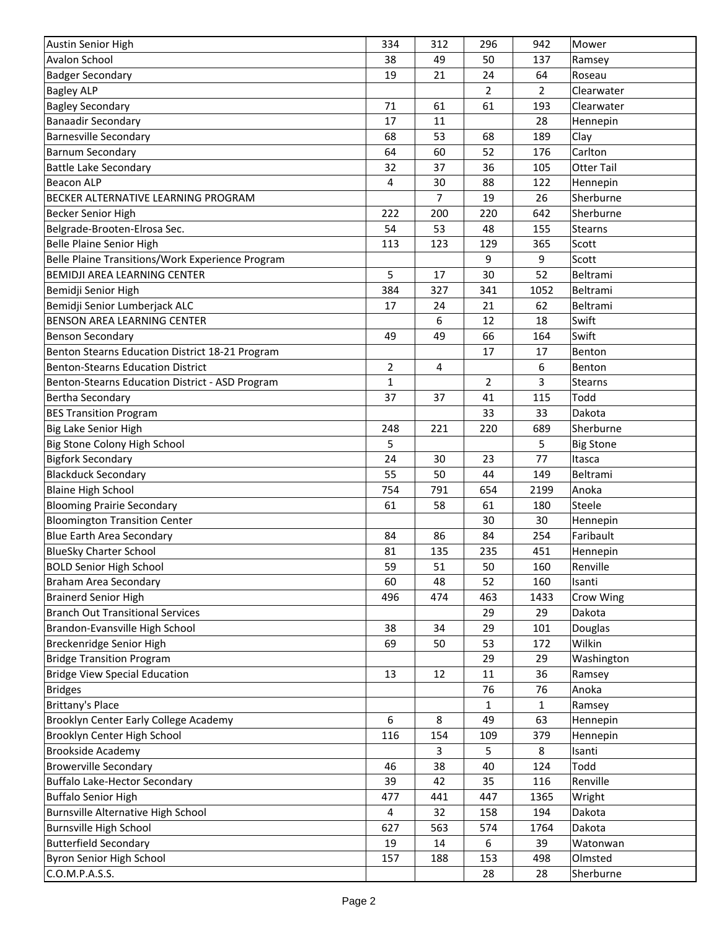| Austin Senior High                               | 334            | 312 | 296            | 942            | Mower             |
|--------------------------------------------------|----------------|-----|----------------|----------------|-------------------|
| <b>Avalon School</b>                             | 38             | 49  | 50             | 137            | Ramsey            |
| <b>Badger Secondary</b>                          | 19             | 21  | 24             | 64             | Roseau            |
| <b>Bagley ALP</b>                                |                |     | $\overline{2}$ | $\overline{2}$ | Clearwater        |
| <b>Bagley Secondary</b>                          | 71             | 61  | 61             | 193            | Clearwater        |
| <b>Banaadir Secondary</b>                        | 17             | 11  |                | 28             | Hennepin          |
| <b>Barnesville Secondary</b>                     | 68             | 53  | 68             | 189            | Clay              |
| <b>Barnum Secondary</b>                          | 64             | 60  | 52             | 176            | Carlton           |
| <b>Battle Lake Secondary</b>                     | 32             | 37  | 36             | 105            | <b>Otter Tail</b> |
| <b>Beacon ALP</b>                                | 4              | 30  | 88             | 122            | Hennepin          |
| BECKER ALTERNATIVE LEARNING PROGRAM              |                | 7   | 19             | 26             | Sherburne         |
| Becker Senior High                               | 222            | 200 | 220            | 642            | Sherburne         |
| Belgrade-Brooten-Elrosa Sec.                     | 54             | 53  | 48             | 155            | <b>Stearns</b>    |
| <b>Belle Plaine Senior High</b>                  | 113            | 123 | 129            | 365            | Scott             |
| Belle Plaine Transitions/Work Experience Program |                |     | 9              | 9              | Scott             |
| BEMIDJI AREA LEARNING CENTER                     | 5              | 17  | 30             | 52             | Beltrami          |
| Bemidji Senior High                              | 384            | 327 | 341            | 1052           | Beltrami          |
| Bemidji Senior Lumberjack ALC                    | 17             | 24  | 21             | 62             | Beltrami          |
| BENSON AREA LEARNING CENTER                      |                | 6   | 12             | 18             | Swift             |
| <b>Benson Secondary</b>                          | 49             | 49  | 66             | 164            | Swift             |
| Benton Stearns Education District 18-21 Program  |                |     | 17             | 17             | Benton            |
| <b>Benton-Stearns Education District</b>         | $\overline{2}$ | 4   |                | 6              | Benton            |
| Benton-Stearns Education District - ASD Program  | $\mathbf{1}$   |     | $\overline{2}$ | 3              | <b>Stearns</b>    |
| Bertha Secondary                                 | 37             | 37  | 41             | 115            | Todd              |
| <b>BES Transition Program</b>                    |                |     | 33             | 33             | Dakota            |
| Big Lake Senior High                             | 248            | 221 | 220            | 689            | Sherburne         |
| Big Stone Colony High School                     | 5              |     |                | 5              | <b>Big Stone</b>  |
| <b>Bigfork Secondary</b>                         | 24             | 30  | 23             | 77             | Itasca            |
| <b>Blackduck Secondary</b>                       | 55             | 50  | 44             | 149            | Beltrami          |
| <b>Blaine High School</b>                        | 754            | 791 | 654            | 2199           | Anoka             |
| <b>Blooming Prairie Secondary</b>                | 61             | 58  | 61             | 180            | Steele            |
| <b>Bloomington Transition Center</b>             |                |     | 30             | 30             | Hennepin          |
| <b>Blue Earth Area Secondary</b>                 | 84             | 86  | 84             | 254            | Faribault         |
| <b>BlueSky Charter School</b>                    | 81             | 135 | 235            | 451            | Hennepin          |
| <b>BOLD Senior High School</b>                   | 59             | 51  | 50             | 160            | Renville          |
| Braham Area Secondary                            | 60             | 48  | 52             | 160            | Isanti            |
| <b>Brainerd Senior High</b>                      | 496            | 474 | 463            | 1433           | Crow Wing         |
| <b>Branch Out Transitional Services</b>          |                |     | 29             | 29             | Dakota            |
| Brandon-Evansville High School                   | 38             | 34  | 29             | 101            | Douglas           |
| Breckenridge Senior High                         | 69             | 50  | 53             | 172            | Wilkin            |
| <b>Bridge Transition Program</b>                 |                |     | 29             | 29             | Washington        |
| <b>Bridge View Special Education</b>             | 13             | 12  | 11             | 36             | Ramsey            |
| <b>Bridges</b>                                   |                |     | 76             | 76             | Anoka             |
| <b>Brittany's Place</b>                          |                |     | 1              | $\mathbf{1}$   | Ramsey            |
| Brooklyn Center Early College Academy            | 6              | 8   | 49             | 63             | Hennepin          |
| Brooklyn Center High School                      | 116            | 154 | 109            | 379            | Hennepin          |
| Brookside Academy                                |                | 3   | 5              | 8              | Isanti            |
| <b>Browerville Secondary</b>                     | 46             | 38  | 40             | 124            | Todd              |
| <b>Buffalo Lake-Hector Secondary</b>             | 39             | 42  | 35             | 116            | Renville          |
| <b>Buffalo Senior High</b>                       | 477            | 441 | 447            | 1365           | Wright            |
| <b>Burnsville Alternative High School</b>        | 4              | 32  | 158            | 194            | Dakota            |
| <b>Burnsville High School</b>                    | 627            | 563 | 574            | 1764           | Dakota            |
| <b>Butterfield Secondary</b>                     | 19             | 14  | 6              | 39             | Watonwan          |
| Byron Senior High School                         | 157            | 188 | 153            | 498            | Olmsted           |
| C.O.M.P.A.S.S.                                   |                |     | 28             | 28             | Sherburne         |
|                                                  |                |     |                |                |                   |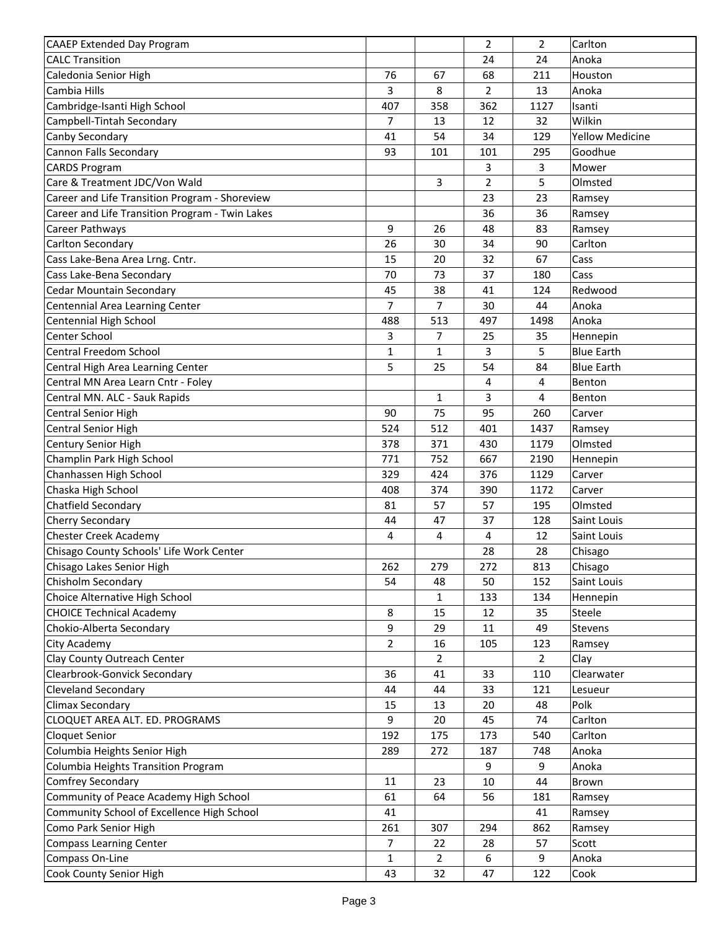| <b>CAAEP Extended Day Program</b>               |                |                | $\overline{2}$ | $\overline{2}$ | Carlton                |
|-------------------------------------------------|----------------|----------------|----------------|----------------|------------------------|
| <b>CALC Transition</b>                          |                |                | 24             | 24             | Anoka                  |
| Caledonia Senior High                           | 76             | 67             | 68             | 211            | Houston                |
| Cambia Hills                                    | 3              | 8              | $\overline{2}$ | 13             | Anoka                  |
| Cambridge-Isanti High School                    | 407            | 358            | 362            | 1127           | Isanti                 |
| Campbell-Tintah Secondary                       | 7              | 13             | 12             | 32             | Wilkin                 |
| Canby Secondary                                 | 41             | 54             | 34             | 129            | <b>Yellow Medicine</b> |
| Cannon Falls Secondary                          | 93             | 101            | 101            | 295            | Goodhue                |
| <b>CARDS Program</b>                            |                |                | 3              | 3              | Mower                  |
| Care & Treatment JDC/Von Wald                   |                | 3              | $\overline{2}$ | 5              | Olmsted                |
| Career and Life Transition Program - Shoreview  |                |                | 23             | 23             | Ramsey                 |
| Career and Life Transition Program - Twin Lakes |                |                | 36             | 36             | Ramsey                 |
| Career Pathways                                 | 9              | 26             | 48             | 83             | Ramsey                 |
| Carlton Secondary                               | 26             | 30             | 34             | 90             | Carlton                |
| Cass Lake-Bena Area Lrng. Cntr.                 | 15             | 20             | 32             | 67             | Cass                   |
| Cass Lake-Bena Secondary                        | 70             | 73             | 37             | 180            | Cass                   |
| <b>Cedar Mountain Secondary</b>                 | 45             | 38             | 41             | 124            | Redwood                |
| Centennial Area Learning Center                 | $\overline{7}$ | $\overline{7}$ | 30             | 44             | Anoka                  |
| Centennial High School                          | 488            | 513            | 497            | 1498           | Anoka                  |
| Center School                                   | 3              | 7              | 25             | 35             | Hennepin               |
| Central Freedom School                          | $\mathbf{1}$   | 1              | 3              | 5              | <b>Blue Earth</b>      |
| Central High Area Learning Center               | 5              | 25             | 54             | 84             | <b>Blue Earth</b>      |
| Central MN Area Learn Cntr - Foley              |                |                | 4              | 4              | Benton                 |
| Central MN. ALC - Sauk Rapids                   |                | 1              | 3              | 4              | Benton                 |
| Central Senior High                             | 90             | 75             | 95             | 260            | Carver                 |
| Central Senior High                             | 524            | 512            | 401            | 1437           |                        |
|                                                 |                |                |                |                | Ramsey<br>Olmsted      |
| Century Senior High                             | 378            | 371            | 430            | 1179           |                        |
| Champlin Park High School                       | 771<br>329     | 752<br>424     | 667<br>376     | 2190<br>1129   | Hennepin               |
| Chanhassen High School                          |                |                |                |                | Carver                 |
| Chaska High School                              | 408            | 374            | 390            | 1172           | Carver<br>Olmsted      |
| Chatfield Secondary                             | 81             | 57             | 57             | 195            |                        |
| <b>Cherry Secondary</b>                         | 44             | 47             | 37             | 128            | Saint Louis            |
| <b>Chester Creek Academy</b>                    | 4              | 4              | 4              | 12             | Saint Louis            |
| Chisago County Schools' Life Work Center        |                |                | 28             | 28             | Chisago                |
| Chisago Lakes Senior High                       | 262            | 279            | 272            | 813            | Chisago                |
| Chisholm Secondary                              | 54             | 48             | 50             | 152            | Saint Louis            |
| Choice Alternative High School                  |                | 1              | 133            | 134            | Hennepin               |
| <b>CHOICE Technical Academy</b>                 | 8              | 15             | 12             | 35             | Steele                 |
| Chokio-Alberta Secondary                        | 9              | 29             | 11             | 49             | Stevens                |
| City Academy                                    | $\overline{2}$ | 16             | 105            | 123            | Ramsey                 |
| Clay County Outreach Center                     |                | 2              |                | $\overline{2}$ | Clay                   |
| Clearbrook-Gonvick Secondary                    | 36             | 41             | 33             | 110            | Clearwater             |
| <b>Cleveland Secondary</b>                      | 44             | 44             | 33             | 121            | Lesueur                |
| Climax Secondary                                | 15             | 13             | 20             | 48             | Polk                   |
| CLOQUET AREA ALT. ED. PROGRAMS                  | 9              | 20             | 45             | 74             | Carlton                |
| Cloquet Senior                                  | 192            | 175            | 173            | 540            | Carlton                |
| Columbia Heights Senior High                    | 289            | 272            | 187            | 748            | Anoka                  |
| Columbia Heights Transition Program             |                |                | 9              | 9              | Anoka                  |
| Comfrey Secondary                               | 11             | 23             | 10             | 44             | Brown                  |
| Community of Peace Academy High School          | 61             | 64             | 56             | 181            | Ramsey                 |
| Community School of Excellence High School      | 41             |                |                | 41             | Ramsey                 |
| Como Park Senior High                           | 261            | 307            | 294            | 862            | Ramsey                 |
| <b>Compass Learning Center</b>                  | $\overline{7}$ | 22             | 28             | 57             | Scott                  |
| Compass On-Line                                 | $\mathbf{1}$   | $\overline{2}$ | 6              | 9              | Anoka                  |
| Cook County Senior High                         | 43             | 32             | 47             | 122            | Cook                   |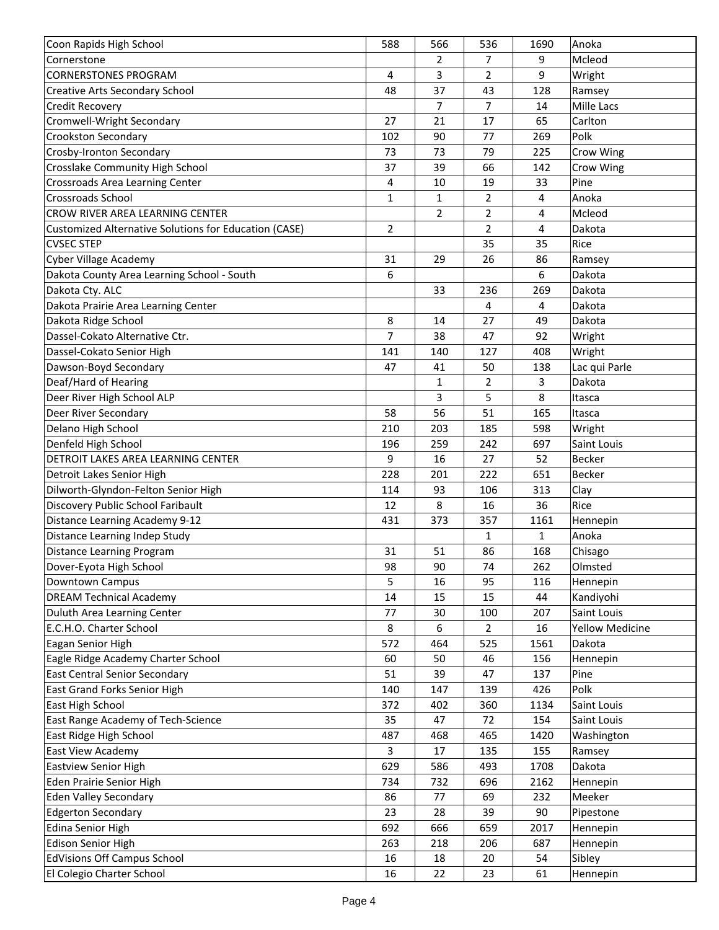| Coon Rapids High School                               | 588            | 566            | 536            | 1690         | Anoka                  |
|-------------------------------------------------------|----------------|----------------|----------------|--------------|------------------------|
| Cornerstone                                           |                | 2              | 7              | 9            | Mcleod                 |
| <b>CORNERSTONES PROGRAM</b>                           | 4              | 3              | $\overline{2}$ | 9            | Wright                 |
| <b>Creative Arts Secondary School</b>                 | 48             | 37             | 43             | 128          | Ramsey                 |
| <b>Credit Recovery</b>                                |                | 7              | $\overline{7}$ | 14           | Mille Lacs             |
| Cromwell-Wright Secondary                             | 27             | 21             | 17             | 65           | Carlton                |
| <b>Crookston Secondary</b>                            | 102            | 90             | 77             | 269          | Polk                   |
| Crosby-Ironton Secondary                              | 73             | 73             | 79             | 225          | Crow Wing              |
| Crosslake Community High School                       | 37             | 39             | 66             | 142          | Crow Wing              |
| Crossroads Area Learning Center                       | 4              | 10             | 19             | 33           | Pine                   |
| <b>Crossroads School</b>                              | $\mathbf{1}$   | 1              | $\overline{2}$ | 4            | Anoka                  |
| CROW RIVER AREA LEARNING CENTER                       |                | $\overline{2}$ | $\overline{2}$ | 4            | Mcleod                 |
| Customized Alternative Solutions for Education (CASE) | $\overline{2}$ |                | $\overline{2}$ | 4            | Dakota                 |
| <b>CVSEC STEP</b>                                     |                |                | 35             | 35           | Rice                   |
| <b>Cyber Village Academy</b>                          | 31             | 29             | 26             | 86           | Ramsey                 |
| Dakota County Area Learning School - South            | 6              |                |                | 6            | Dakota                 |
| Dakota Cty. ALC                                       |                | 33             | 236            | 269          | Dakota                 |
| Dakota Prairie Area Learning Center                   |                |                | 4              | 4            | Dakota                 |
| Dakota Ridge School                                   | 8              | 14             | 27             | 49           | Dakota                 |
| Dassel-Cokato Alternative Ctr.                        | 7              | 38             | 47             | 92           | Wright                 |
| Dassel-Cokato Senior High                             | 141            | 140            | 127            | 408          | Wright                 |
| Dawson-Boyd Secondary                                 | 47             | 41             | 50             | 138          | Lac qui Parle          |
| Deaf/Hard of Hearing                                  |                | 1              | $\overline{2}$ | 3            | Dakota                 |
| Deer River High School ALP                            |                | 3              | 5              | 8            | Itasca                 |
| Deer River Secondary                                  |                |                |                |              |                        |
|                                                       | 58             | 56             | 51             | 165          | Itasca                 |
| Delano High School                                    | 210            | 203            | 185            | 598          | Wright                 |
| Denfeld High School                                   | 196            | 259            | 242            | 697          | Saint Louis            |
| DETROIT LAKES AREA LEARNING CENTER                    | 9              | 16             | 27             | 52           | Becker                 |
| Detroit Lakes Senior High                             | 228            | 201            | 222            | 651          | <b>Becker</b>          |
| Dilworth-Glyndon-Felton Senior High                   | 114            | 93             | 106            | 313          | Clay                   |
| Discovery Public School Faribault                     | 12             | 8              | 16             | 36           | Rice                   |
| Distance Learning Academy 9-12                        | 431            | 373            | 357            | 1161         | Hennepin               |
| Distance Learning Indep Study                         |                |                | $\mathbf{1}$   | $\mathbf{1}$ | Anoka                  |
| <b>Distance Learning Program</b>                      | 31             | 51             | 86             | 168          | Chisago                |
| Dover-Eyota High School                               | 98             | 90             | 74             | 262          | Olmsted                |
| Downtown Campus                                       | 5              | 16             | 95             | 116          | Hennepin               |
| <b>DREAM Technical Academy</b>                        | 14             | 15             | 15             | 44           | Kandiyohi              |
| Duluth Area Learning Center                           | 77             | 30             | 100            | 207          | Saint Louis            |
| E.C.H.O. Charter School                               | 8              | 6              | $\overline{2}$ | 16           | <b>Yellow Medicine</b> |
| Eagan Senior High                                     | 572            | 464            | 525            | 1561         | Dakota                 |
| Eagle Ridge Academy Charter School                    | 60             | 50             | 46             | 156          | Hennepin               |
| <b>East Central Senior Secondary</b>                  | 51             | 39             | 47             | 137          | Pine                   |
| East Grand Forks Senior High                          | 140            | 147            | 139            | 426          | Polk                   |
| East High School                                      | 372            | 402            | 360            | 1134         | Saint Louis            |
| East Range Academy of Tech-Science                    | 35             | 47             | 72             | 154          | Saint Louis            |
| East Ridge High School                                | 487            | 468            | 465            | 1420         | Washington             |
| East View Academy                                     | 3              | 17             | 135            | 155          | Ramsey                 |
| <b>Eastview Senior High</b>                           | 629            | 586            | 493            | 1708         | Dakota                 |
| Eden Prairie Senior High                              | 734            | 732            | 696            | 2162         | Hennepin               |
| <b>Eden Valley Secondary</b>                          | 86             | 77             | 69             | 232          | Meeker                 |
| <b>Edgerton Secondary</b>                             | 23             | 28             | 39             | 90           | Pipestone              |
| Edina Senior High                                     | 692            | 666            | 659            | 2017         | Hennepin               |
| Edison Senior High                                    | 263            | 218            | 206            | 687          | Hennepin               |
| <b>EdVisions Off Campus School</b>                    | 16             | 18             | 20             | 54           | Sibley                 |
| El Colegio Charter School                             | 16             | 22             | 23             | 61           | Hennepin               |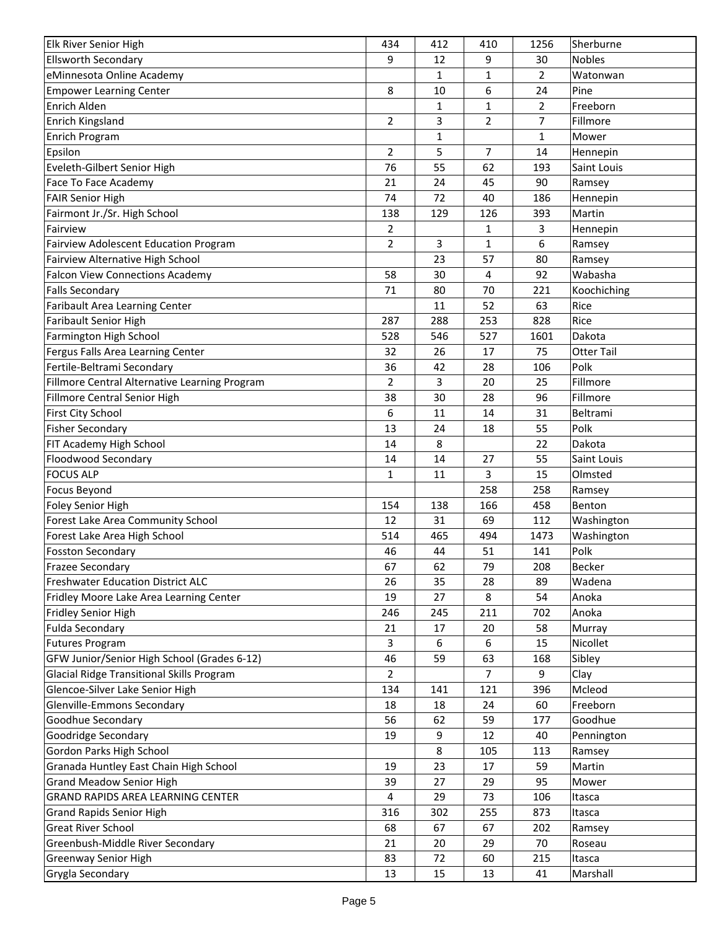| Elk River Senior High                            | 434            | 412         | 410 | 1256           | Sherburne         |
|--------------------------------------------------|----------------|-------------|-----|----------------|-------------------|
| <b>Ellsworth Secondary</b>                       | 9              | 12          | 9   | 30             | <b>Nobles</b>     |
| eMinnesota Online Academy                        |                | 1           | 1   | $\overline{2}$ | Watonwan          |
| <b>Empower Learning Center</b>                   | 8              | 10          | 6   | 24             | Pine              |
| Enrich Alden                                     |                | 1           | 1   | $\overline{2}$ | Freeborn          |
| Enrich Kingsland                                 | 2              | 3           | 2   | 7              | Fillmore          |
| <b>Enrich Program</b>                            |                | $\mathbf 1$ |     | $\mathbf{1}$   | Mower             |
| Epsilon                                          | $\overline{2}$ | 5           | 7   | 14             | Hennepin          |
| Eveleth-Gilbert Senior High                      | 76             | 55          | 62  | 193            | Saint Louis       |
| Face To Face Academy                             | 21             | 24          | 45  | 90             | Ramsey            |
| <b>FAIR Senior High</b>                          | 74             | 72          | 40  | 186            | Hennepin          |
| Fairmont Jr./Sr. High School                     | 138            | 129         | 126 | 393            | Martin            |
| Fairview                                         | 2              |             | 1   | 3              | Hennepin          |
| Fairview Adolescent Education Program            | 2              | 3           | 1   | 6              | Ramsey            |
| Fairview Alternative High School                 |                | 23          | 57  | 80             | Ramsey            |
| <b>Falcon View Connections Academy</b>           | 58             | 30          | 4   | 92             | Wabasha           |
| <b>Falls Secondary</b>                           | 71             | 80          | 70  | 221            | Koochiching       |
| Faribault Area Learning Center                   |                | 11          | 52  | 63             | Rice              |
| <b>Faribault Senior High</b>                     | 287            | 288         | 253 | 828            | Rice              |
| Farmington High School                           | 528            | 546         | 527 | 1601           | Dakota            |
| Fergus Falls Area Learning Center                | 32             | 26          | 17  | 75             | <b>Otter Tail</b> |
| Fertile-Beltrami Secondary                       | 36             | 42          | 28  | 106            | Polk              |
| Fillmore Central Alternative Learning Program    | $\overline{2}$ | 3           | 20  | 25             | Fillmore          |
| Fillmore Central Senior High                     | 38             | 30          | 28  | 96             | Fillmore          |
| <b>First City School</b>                         |                | 11          |     |                | Beltrami          |
|                                                  | 6              |             | 14  | 31             | Polk              |
| <b>Fisher Secondary</b>                          | 13             | 24          | 18  | 55             |                   |
| FIT Academy High School                          | 14             | 8           |     | 22             | Dakota            |
| <b>Floodwood Secondary</b>                       | 14             | 14          | 27  | 55             | Saint Louis       |
| <b>FOCUS ALP</b>                                 | $\mathbf{1}$   | 11          | 3   | 15             | Olmsted           |
| Focus Beyond                                     |                |             | 258 | 258            | Ramsey            |
| Foley Senior High                                | 154            | 138         | 166 | 458            | Benton            |
| Forest Lake Area Community School                | 12             | 31          | 69  | 112            | Washington        |
| Forest Lake Area High School                     | 514            | 465         | 494 | 1473           | Washington        |
| <b>Fosston Secondary</b>                         | 46             | 44          | 51  | 141            | Polk              |
| <b>Frazee Secondary</b>                          | 67             | 62          | 79  | 208            | <b>Becker</b>     |
| <b>Freshwater Education District ALC</b>         | 26             | 35          | 28  | 89             | Wadena            |
| Fridley Moore Lake Area Learning Center          | 19             | 27          | 8   | 54             | Anoka             |
| Fridley Senior High                              | 246            | 245         | 211 | 702            | Anoka             |
| <b>Fulda Secondary</b>                           | 21             | 17          | 20  | 58             | Murray            |
| <b>Futures Program</b>                           | 3              | 6           | 6   | 15             | Nicollet          |
| GFW Junior/Senior High School (Grades 6-12)      | 46             | 59          | 63  | 168            | Sibley            |
| <b>Glacial Ridge Transitional Skills Program</b> | $\overline{2}$ |             | 7   | 9              | Clay              |
| Glencoe-Silver Lake Senior High                  | 134            | 141         | 121 | 396            | Mcleod            |
| Glenville-Emmons Secondary                       | 18             | 18          | 24  | 60             | Freeborn          |
| Goodhue Secondary                                | 56             | 62          | 59  | 177            | Goodhue           |
| Goodridge Secondary                              | 19             | 9           | 12  | 40             | Pennington        |
| Gordon Parks High School                         |                | 8           | 105 | 113            | Ramsey            |
| Granada Huntley East Chain High School           | 19             | 23          | 17  | 59             | Martin            |
| <b>Grand Meadow Senior High</b>                  | 39             | 27          | 29  | 95             | Mower             |
| GRAND RAPIDS AREA LEARNING CENTER                | 4              | 29          | 73  | 106            | Itasca            |
| <b>Grand Rapids Senior High</b>                  | 316            | 302         | 255 | 873            | Itasca            |
| <b>Great River School</b>                        | 68             | 67          | 67  | 202            | Ramsey            |
| Greenbush-Middle River Secondary                 | 21             | 20          | 29  | 70             | Roseau            |
| <b>Greenway Senior High</b>                      | 83             | 72          | 60  | 215            | Itasca            |
| Grygla Secondary                                 | 13             | 15          | 13  | 41             | Marshall          |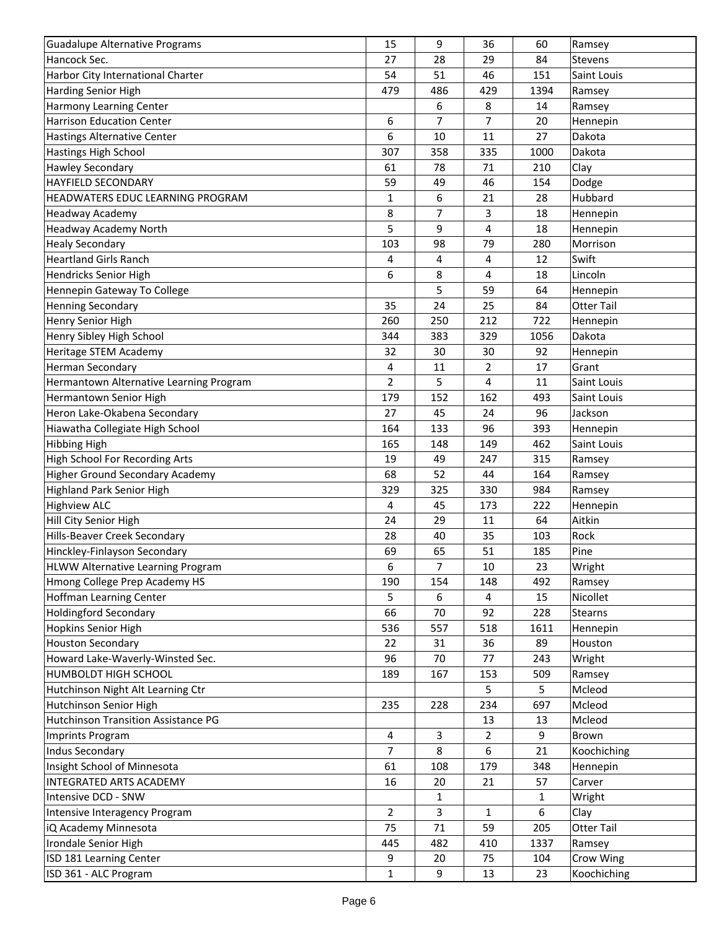| <b>Guadalupe Alternative Programs</b>      | 15       | 9        | 36                      | 60           | Ramsey            |
|--------------------------------------------|----------|----------|-------------------------|--------------|-------------------|
| Hancock Sec.                               | 27       | 28       | 29                      | 84           | Stevens           |
| Harbor City International Charter          | 54       | 51       | 46                      | 151          | Saint Louis       |
| Harding Senior High                        | 479      | 486      | 429                     | 1394         | Ramsey            |
| Harmony Learning Center                    |          | 6        | 8                       | 14           | Ramsey            |
| <b>Harrison Education Center</b>           | 6        | 7        | 7                       | 20           | Hennepin          |
| <b>Hastings Alternative Center</b>         | 6        | 10       | 11                      | 27           | Dakota            |
| Hastings High School                       | 307      | 358      | 335                     | 1000         | Dakota            |
| <b>Hawley Secondary</b>                    | 61       | 78       | 71                      | 210          | Clay              |
| <b>HAYFIELD SECONDARY</b>                  | 59       | 49       | 46                      | 154          | Dodge             |
| HEADWATERS EDUC LEARNING PROGRAM           | 1        | 6        | 21                      | 28           | Hubbard           |
| Headway Academy                            | 8        | 7        | 3                       | 18           | Hennepin          |
| <b>Headway Academy North</b>               | 5        | 9        | $\overline{\mathbf{4}}$ | 18           | Hennepin          |
| <b>Healy Secondary</b>                     | 103      | 98       | 79                      | 280          | Morrison          |
| <b>Heartland Girls Ranch</b>               | 4        | 4        | 4                       | 12           | Swift             |
| Hendricks Senior High                      | 6        | 8        | 4                       | 18           | Lincoln           |
| Hennepin Gateway To College                |          | 5        | 59                      | 64           | Hennepin          |
| <b>Henning Secondary</b>                   | 35       | 24       | 25                      | 84           | <b>Otter Tail</b> |
| Henry Senior High                          | 260      | 250      | 212                     | 722          | Hennepin          |
| Henry Sibley High School                   | 344      | 383      | 329                     | 1056         | Dakota            |
| Heritage STEM Academy                      | 32       | 30       | 30                      | 92           | Hennepin          |
| <b>Herman Secondary</b>                    | 4        | 11       | $\overline{2}$          | 17           | Grant             |
| Hermantown Alternative Learning Program    | 2        | 5        | 4                       | 11           | Saint Louis       |
| Hermantown Senior High                     | 179      | 152      | 162                     | 493          | Saint Louis       |
| Heron Lake-Okabena Secondary               | 27       | 45       | 24                      | 96           | Jackson           |
|                                            |          |          | 96                      | 393          |                   |
| Hiawatha Collegiate High School            | 164      | 133      |                         |              | Hennepin          |
| <b>Hibbing High</b>                        | 165      | 148      | 149                     | 462          | Saint Louis       |
| High School For Recording Arts             | 19<br>68 | 49<br>52 | 247<br>44               | 315          | Ramsey            |
| <b>Higher Ground Secondary Academy</b>     |          |          |                         | 164          | Ramsey            |
| <b>Highland Park Senior High</b>           | 329      | 325      | 330                     | 984          | Ramsey            |
| <b>Highview ALC</b>                        | 4        | 45       | 173                     | 222          | Hennepin          |
| Hill City Senior High                      | 24       | 29       | 11                      | 64           | Aitkin            |
| Hills-Beaver Creek Secondary               | 28       | 40       | 35                      | 103          | Rock              |
| Hinckley-Finlayson Secondary               | 69       | 65       | 51                      | 185          | Pine              |
| <b>HLWW Alternative Learning Program</b>   | 6        | 7        | 10                      | 23           | Wright            |
| Hmong College Prep Academy HS              | 190      | 154      | 148                     | 492          | Ramsey            |
| <b>Hoffman Learning Center</b>             | 5        | 6        | 4                       | 15           | Nicollet          |
| <b>Holdingford Secondary</b>               | 66       | 70       | 92                      | 228          | <b>Stearns</b>    |
| Hopkins Senior High                        | 536      | 557      | 518                     | 1611         | Hennepin          |
| <b>Houston Secondary</b>                   | 22       | 31       | 36                      | 89           | Houston           |
| Howard Lake-Waverly-Winsted Sec.           | 96       | 70       | 77                      | 243          | Wright            |
| HUMBOLDT HIGH SCHOOL                       | 189      | 167      | 153                     | 509          | Ramsey            |
| Hutchinson Night Alt Learning Ctr          |          |          | 5                       | 5            | Mcleod            |
| Hutchinson Senior High                     | 235      | 228      | 234                     | 697          | Mcleod            |
| <b>Hutchinson Transition Assistance PG</b> |          |          | 13                      | 13           | Mcleod            |
| <b>Imprints Program</b>                    | 4        | 3        | 2                       | 9            | Brown             |
| Indus Secondary                            | 7        | 8        | 6                       | 21           | Koochiching       |
| Insight School of Minnesota                | 61       | 108      | 179                     | 348          | Hennepin          |
| INTEGRATED ARTS ACADEMY                    | 16       | 20       | 21                      | 57           | Carver            |
| Intensive DCD - SNW                        |          | 1        |                         | $\mathbf{1}$ | Wright            |
| Intensive Interagency Program              | 2        | 3        | 1                       | 6            | Clay              |
| iQ Academy Minnesota                       | 75       | 71       | 59                      | 205          | <b>Otter Tail</b> |
| Irondale Senior High                       | 445      | 482      | 410                     | 1337         | Ramsey            |
| ISD 181 Learning Center                    | 9        | 20       | 75                      | 104          | Crow Wing         |
| ISD 361 - ALC Program                      | 1        | 9        | 13                      | 23           | Koochiching       |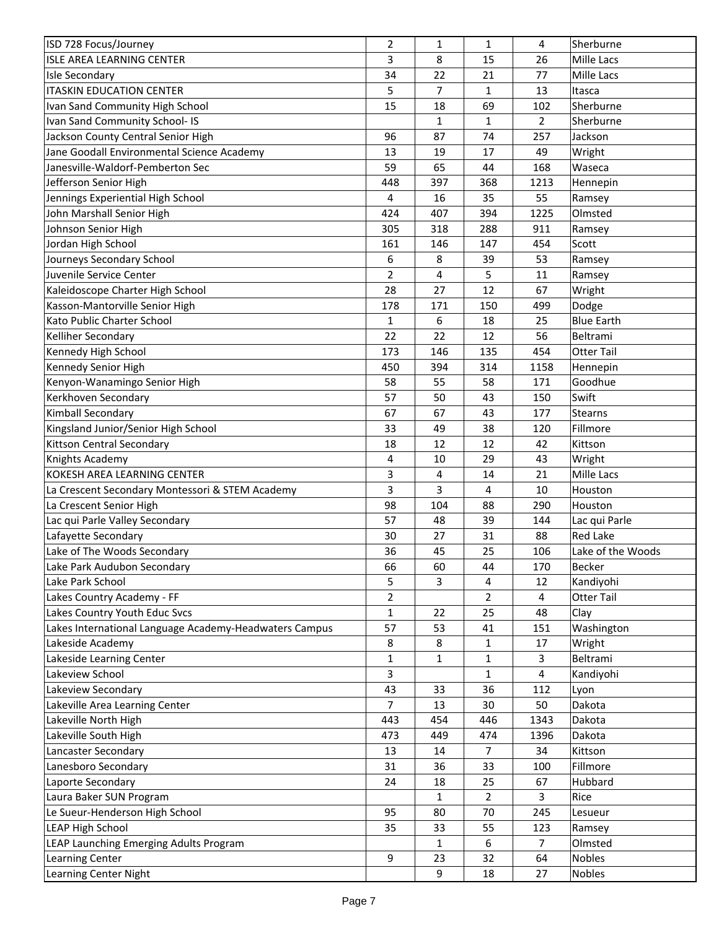| ISD 728 Focus/Journey                                  | 2              | 1            | 1              | 4              | Sherburne         |
|--------------------------------------------------------|----------------|--------------|----------------|----------------|-------------------|
| <b>ISLE AREA LEARNING CENTER</b>                       | 3              | 8            | 15             | 26             | Mille Lacs        |
| <b>Isle Secondary</b>                                  | 34             | 22           | 21             | 77             | Mille Lacs        |
| <b>ITASKIN EDUCATION CENTER</b>                        | 5              | 7            | $\mathbf{1}$   | 13             | Itasca            |
| Ivan Sand Community High School                        | 15             | 18           | 69             | 102            | Sherburne         |
| Ivan Sand Community School- IS                         |                | $\mathbf{1}$ | $\mathbf{1}$   | $\overline{2}$ | Sherburne         |
| Jackson County Central Senior High                     | 96             | 87           | 74             | 257            | Jackson           |
| Jane Goodall Environmental Science Academy             | 13             | 19           | 17             | 49             | Wright            |
| Janesville-Waldorf-Pemberton Sec                       | 59             | 65           | 44             | 168            | Waseca            |
| Jefferson Senior High                                  | 448            | 397          | 368            | 1213           | Hennepin          |
| Jennings Experiential High School                      | 4              | 16           | 35             | 55             | Ramsey            |
| John Marshall Senior High                              | 424            | 407          | 394            | 1225           | Olmsted           |
| Johnson Senior High                                    | 305            | 318          | 288            | 911            | Ramsey            |
| Jordan High School                                     | 161            | 146          | 147            | 454            | Scott             |
| Journeys Secondary School                              | 6              | 8            | 39             | 53             | Ramsey            |
| Juvenile Service Center                                | $\overline{2}$ | 4            | 5              | 11             | Ramsey            |
| Kaleidoscope Charter High School                       | 28             | 27           | 12             | 67             | Wright            |
| Kasson-Mantorville Senior High                         | 178            | 171          | 150            | 499            | Dodge             |
| Kato Public Charter School                             | 1              | 6            | 18             | 25             | <b>Blue Earth</b> |
| <b>Kelliher Secondary</b>                              | 22             | 22           | 12             | 56             | Beltrami          |
| Kennedy High School                                    | 173            | 146          | 135            | 454            | <b>Otter Tail</b> |
| Kennedy Senior High                                    | 450            | 394          | 314            | 1158           | Hennepin          |
| Kenyon-Wanamingo Senior High                           | 58             | 55           | 58             | 171            | Goodhue           |
|                                                        |                |              |                |                | Swift             |
| Kerkhoven Secondary                                    | 57             | 50           | 43             | 150            |                   |
| Kimball Secondary                                      | 67             | 67           | 43             | 177            | <b>Stearns</b>    |
| Kingsland Junior/Senior High School                    | 33             | 49           | 38             | 120            | Fillmore          |
| Kittson Central Secondary                              | 18             | 12           | 12             | 42             | Kittson           |
| Knights Academy                                        | 4              | 10           | 29             | 43             | Wright            |
| KOKESH AREA LEARNING CENTER                            | 3              | 4            | 14             | 21             | Mille Lacs        |
| La Crescent Secondary Montessori & STEM Academy        | 3              | 3            | 4              | 10             | Houston           |
| La Crescent Senior High                                | 98             | 104          | 88             | 290            | Houston           |
| Lac qui Parle Valley Secondary                         | 57             | 48           | 39             | 144            | Lac qui Parle     |
| Lafayette Secondary                                    | 30             | 27           | 31             | 88             | <b>Red Lake</b>   |
| Lake of The Woods Secondary                            | 36             | 45           | 25             | 106            | Lake of the Woods |
| Lake Park Audubon Secondary                            | 66             | 60           | 44             | 170            | Becker            |
| Lake Park School                                       | 5              | 3            | $\overline{4}$ | 12             | Kandiyohi         |
| Lakes Country Academy - FF                             | $\overline{2}$ |              | $\overline{2}$ | 4              | <b>Otter Tail</b> |
| Lakes Country Youth Educ Svcs                          | $\mathbf{1}$   | 22           | 25             | 48             | Clay              |
| Lakes International Language Academy-Headwaters Campus | 57             | 53           | 41             | 151            | Washington        |
| Lakeside Academy                                       | 8              | 8            | $\mathbf{1}$   | 17             | Wright            |
| Lakeside Learning Center                               | $\mathbf{1}$   | 1            | $\mathbf{1}$   | 3              | Beltrami          |
| Lakeview School                                        | 3              |              | $\mathbf{1}$   | 4              | Kandiyohi         |
| Lakeview Secondary                                     | 43             | 33           | 36             | 112            | Lyon              |
| Lakeville Area Learning Center                         | $\overline{7}$ | 13           | 30             | 50             | Dakota            |
| Lakeville North High                                   | 443            | 454          | 446            | 1343           | Dakota            |
| Lakeville South High                                   | 473            | 449          | 474            | 1396           | Dakota            |
| Lancaster Secondary                                    | 13             | 14           | $\overline{7}$ | 34             | Kittson           |
| Lanesboro Secondary                                    | 31             | 36           | 33             | 100            | Fillmore          |
| Laporte Secondary                                      | 24             | 18           | 25             | 67             | Hubbard           |
| Laura Baker SUN Program                                |                | 1            | $\overline{2}$ | 3              | Rice              |
| Le Sueur-Henderson High School                         | 95             | 80           | 70             | 245            | Lesueur           |
| <b>LEAP High School</b>                                | 35             | 33           | 55             | 123            | Ramsey            |
| LEAP Launching Emerging Adults Program                 |                | 1            | 6              | $\overline{7}$ | Olmsted           |
| Learning Center                                        | 9              | 23           | 32             | 64             | <b>Nobles</b>     |
| Learning Center Night                                  |                | 9            | 18             | 27             | Nobles            |
|                                                        |                |              |                |                |                   |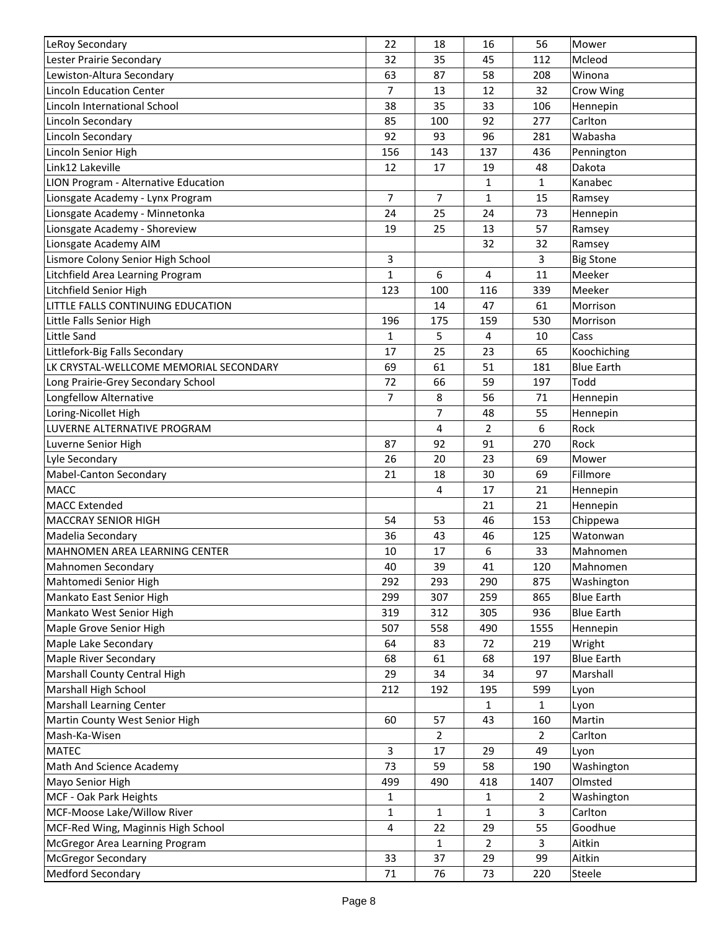| LeRoy Secondary                        | 22             | 18  | 16             | 56             | Mower             |
|----------------------------------------|----------------|-----|----------------|----------------|-------------------|
| Lester Prairie Secondary               | 32             | 35  | 45             | 112            | Mcleod            |
| Lewiston-Altura Secondary              | 63             | 87  | 58             | 208            | Winona            |
| <b>Lincoln Education Center</b>        | 7              | 13  | 12             | 32             | Crow Wing         |
| Lincoln International School           | 38             | 35  | 33             | 106            | Hennepin          |
| Lincoln Secondary                      | 85             | 100 | 92             | 277            | Carlton           |
| Lincoln Secondary                      | 92             | 93  | 96             | 281            | Wabasha           |
| Lincoln Senior High                    | 156            | 143 | 137            | 436            | Pennington        |
| Link12 Lakeville                       | 12             | 17  | 19             | 48             | Dakota            |
| LION Program - Alternative Education   |                |     | $\mathbf{1}$   | $\mathbf{1}$   | Kanabec           |
| Lionsgate Academy - Lynx Program       | $\overline{7}$ | 7   | $\mathbf{1}$   | 15             | Ramsey            |
| Lionsgate Academy - Minnetonka         | 24             | 25  | 24             | 73             | Hennepin          |
| Lionsgate Academy - Shoreview          | 19             | 25  | 13             | 57             | Ramsey            |
| Lionsgate Academy AIM                  |                |     | 32             | 32             | Ramsey            |
| Lismore Colony Senior High School      | 3              |     |                | 3              | <b>Big Stone</b>  |
| Litchfield Area Learning Program       | $\mathbf{1}$   | 6   | 4              | 11             | Meeker            |
| Litchfield Senior High                 | 123            | 100 | 116            | 339            | Meeker            |
| LITTLE FALLS CONTINUING EDUCATION      |                | 14  | 47             | 61             | Morrison          |
| Little Falls Senior High               | 196            | 175 | 159            | 530            | Morrison          |
| <b>Little Sand</b>                     | 1              | 5   | $\overline{4}$ | 10             | Cass              |
| Littlefork-Big Falls Secondary         | 17             | 25  | 23             | 65             | Koochiching       |
| LK CRYSTAL-WELLCOME MEMORIAL SECONDARY | 69             | 61  | 51             | 181            | <b>Blue Earth</b> |
| Long Prairie-Grey Secondary School     | 72             | 66  | 59             | 197            | Todd              |
| Longfellow Alternative                 | 7              | 8   | 56             | 71             | Hennepin          |
| Loring-Nicollet High                   |                | 7   | 48             | 55             | Hennepin          |
| LUVERNE ALTERNATIVE PROGRAM            |                | 4   | $\overline{2}$ | 6              | Rock              |
| Luverne Senior High                    | 87             | 92  | 91             | 270            | Rock              |
| Lyle Secondary                         | 26             | 20  | 23             | 69             | Mower             |
| <b>Mabel-Canton Secondary</b>          | 21             | 18  | 30             | 69             | Fillmore          |
| <b>MACC</b>                            |                | 4   | 17             | 21             | Hennepin          |
| <b>MACC Extended</b>                   |                |     | 21             | 21             | Hennepin          |
| <b>MACCRAY SENIOR HIGH</b>             | 54             | 53  | 46             | 153            | Chippewa          |
| Madelia Secondary                      | 36             | 43  | 46             | 125            | Watonwan          |
| MAHNOMEN AREA LEARNING CENTER          | 10             | 17  | 6              | 33             | Mahnomen          |
| Mahnomen Secondary                     | 40             | 39  | 41             | 120            | Mahnomen          |
| Mahtomedi Senior High                  | 292            | 293 | 290            | 875            | Washington        |
| Mankato East Senior High               | 299            | 307 | 259            | 865            | <b>Blue Earth</b> |
| Mankato West Senior High               | 319            | 312 | 305            | 936            | <b>Blue Earth</b> |
| Maple Grove Senior High                | 507            | 558 | 490            | 1555           | Hennepin          |
| Maple Lake Secondary                   | 64             | 83  | 72             | 219            | Wright            |
| Maple River Secondary                  | 68             | 61  | 68             | 197            | <b>Blue Earth</b> |
| Marshall County Central High           | 29             | 34  | 34             | 97             | Marshall          |
| Marshall High School                   | 212            | 192 | 195            | 599            | Lyon              |
| <b>Marshall Learning Center</b>        |                |     | $\mathbf{1}$   | 1              | Lyon              |
| Martin County West Senior High         | 60             | 57  | 43             | 160            | Martin            |
| Mash-Ka-Wisen                          |                | 2   |                | $\overline{2}$ | Carlton           |
| <b>MATEC</b>                           | 3              | 17  | 29             | 49             | Lyon              |
| Math And Science Academy               | 73             | 59  | 58             | 190            | Washington        |
| Mayo Senior High                       | 499            | 490 | 418            | 1407           | Olmsted           |
| MCF - Oak Park Heights                 | 1              |     | $\mathbf{1}$   | $\overline{2}$ | Washington        |
| MCF-Moose Lake/Willow River            | 1              | 1   | $\mathbf{1}$   | 3              | Carlton           |
| MCF-Red Wing, Maginnis High School     | 4              | 22  | 29             | 55             | Goodhue           |
| McGregor Area Learning Program         |                | 1   | $\overline{2}$ | 3              | Aitkin            |
| <b>McGregor Secondary</b>              | 33             | 37  | 29             | 99             | Aitkin            |
| <b>Medford Secondary</b>               | 71             | 76  | 73             | 220            |                   |
|                                        |                |     |                |                | Steele            |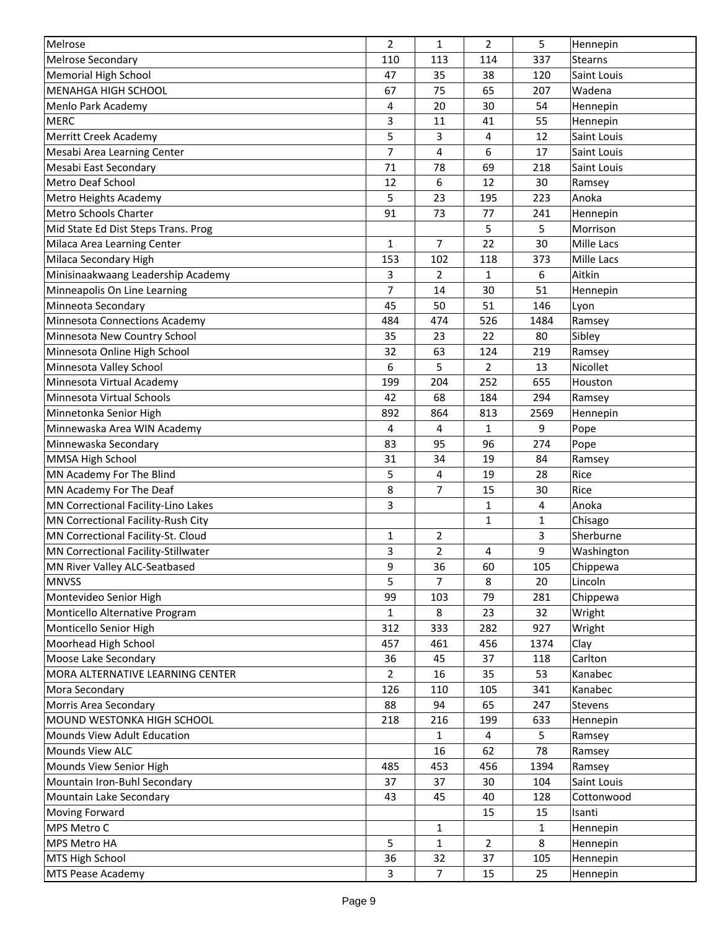| Melrose                             | $\overline{2}$ | 1              | 2              | 5            | Hennepin    |
|-------------------------------------|----------------|----------------|----------------|--------------|-------------|
| Melrose Secondary                   | 110            | 113            | 114            | 337          | Stearns     |
| <b>Memorial High School</b>         | 47             | 35             | 38             | 120          | Saint Louis |
| MENAHGA HIGH SCHOOL                 | 67             | 75             | 65             | 207          | Wadena      |
| Menlo Park Academy                  | 4              | 20             | 30             | 54           | Hennepin    |
| <b>MERC</b>                         | 3              | 11             | 41             | 55           | Hennepin    |
| Merritt Creek Academy               | 5              | 3              | 4              | 12           | Saint Louis |
| Mesabi Area Learning Center         | 7              | 4              | 6              | 17           | Saint Louis |
| Mesabi East Secondary               | 71             | 78             | 69             | 218          | Saint Louis |
| Metro Deaf School                   | 12             | 6              | 12             | 30           | Ramsey      |
| Metro Heights Academy               | 5              | 23             | 195            | 223          | Anoka       |
| Metro Schools Charter               | 91             | 73             | 77             | 241          | Hennepin    |
| Mid State Ed Dist Steps Trans. Prog |                |                | 5              | 5            | Morrison    |
| Milaca Area Learning Center         | $\mathbf{1}$   | 7              | 22             | 30           | Mille Lacs  |
| Milaca Secondary High               | 153            | 102            | 118            | 373          | Mille Lacs  |
| Minisinaakwaang Leadership Academy  | 3              | 2              | 1              | 6            | Aitkin      |
| Minneapolis On Line Learning        | 7              | 14             | 30             | 51           | Hennepin    |
| Minneota Secondary                  | 45             | 50             | 51             | 146          | Lyon        |
| Minnesota Connections Academy       | 484            | 474            | 526            | 1484         | Ramsey      |
| Minnesota New Country School        | 35             | 23             | 22             | 80           | Sibley      |
| Minnesota Online High School        | 32             | 63             | 124            | 219          | Ramsey      |
| Minnesota Valley School             | 6              | 5              | $\overline{2}$ | 13           | Nicollet    |
| Minnesota Virtual Academy           | 199            | 204            | 252            | 655          | Houston     |
| Minnesota Virtual Schools           | 42             | 68             | 184            | 294          | Ramsey      |
| Minnetonka Senior High              | 892            | 864            | 813            | 2569         | Hennepin    |
| Minnewaska Area WIN Academy         | 4              | 4              | 1              | 9            | Pope        |
| Minnewaska Secondary                | 83             | 95             | 96             | 274          | Pope        |
| MMSA High School                    | 31             | 34             | 19             | 84           | Ramsey      |
| MN Academy For The Blind            | 5              | 4              | 19             | 28           | Rice        |
| MN Academy For The Deaf             | 8              | 7              | 15             | 30           | Rice        |
| MN Correctional Facility-Lino Lakes | 3              |                | $\mathbf{1}$   | 4            | Anoka       |
| MN Correctional Facility-Rush City  |                |                | 1              | $\mathbf{1}$ | Chisago     |
| MN Correctional Facility-St. Cloud  | 1              | $\overline{2}$ |                | 3            | Sherburne   |
| MN Correctional Facility-Stillwater | 3              | $\overline{2}$ | 4              | 9            | Washington  |
| MN River Valley ALC-Seatbased       | 9              | 36             | 60             | 105          | Chippewa    |
| <b>MNVSS</b>                        | 5              | 7              | 8              | 20           | Lincoln     |
| Montevideo Senior High              | 99             | 103            | 79             | 281          | Chippewa    |
| Monticello Alternative Program      | 1              | 8              | 23             | 32           | Wright      |
| Monticello Senior High              | 312            | 333            | 282            | 927          | Wright      |
| Moorhead High School                | 457            | 461            | 456            | 1374         | Clay        |
| Moose Lake Secondary                | 36             | 45             | 37             | 118          | Carlton     |
| MORA ALTERNATIVE LEARNING CENTER    | $\overline{2}$ | 16             | 35             | 53           | Kanabec     |
| Mora Secondary                      | 126            | 110            | 105            | 341          | Kanabec     |
| Morris Area Secondary               | 88             | 94             | 65             | 247          | Stevens     |
| MOUND WESTONKA HIGH SCHOOL          | 218            | 216            | 199            | 633          | Hennepin    |
| Mounds View Adult Education         |                | 1              | 4              | 5            | Ramsey      |
| Mounds View ALC                     |                | 16             | 62             | 78           | Ramsey      |
| Mounds View Senior High             | 485            | 453            | 456            | 1394         | Ramsey      |
| Mountain Iron-Buhl Secondary        | 37             | 37             | 30             | 104          | Saint Louis |
| Mountain Lake Secondary             | 43             | 45             | 40             | 128          | Cottonwood  |
| Moving Forward                      |                |                | 15             | 15           | Isanti      |
| MPS Metro C                         |                | 1              |                | $\mathbf{1}$ | Hennepin    |
| MPS Metro HA                        | 5              | 1              | 2              | 8            | Hennepin    |
| MTS High School                     | 36             | 32             | 37             | 105          | Hennepin    |
| <b>MTS Pease Academy</b>            | 3              | 7              | 15             | 25           | Hennepin    |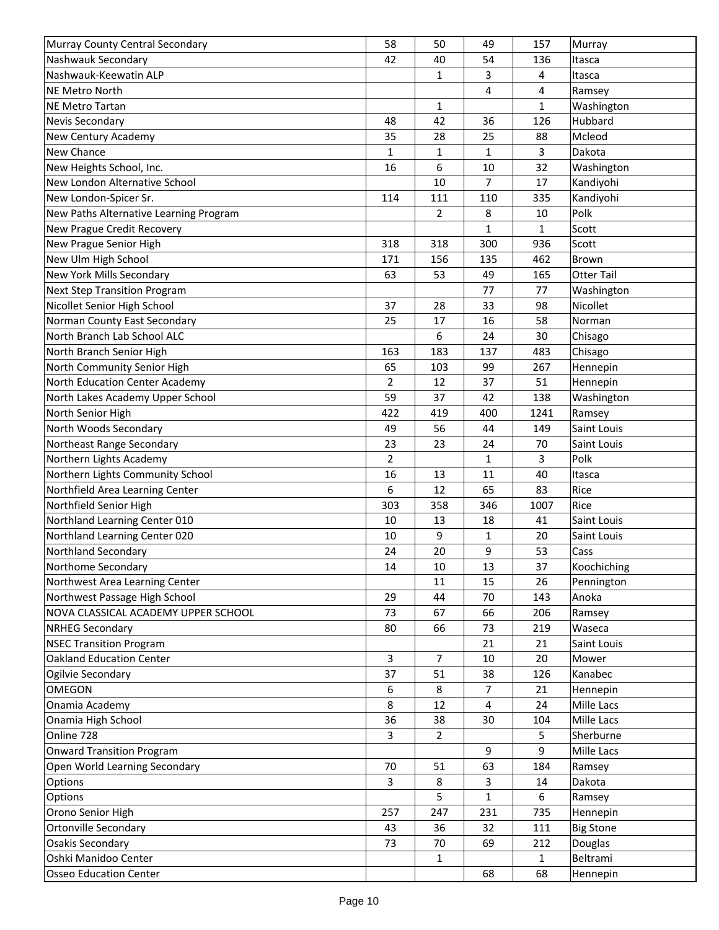| Murray County Central Secondary        | 58           | 50             | 49           | 157          | Murray            |
|----------------------------------------|--------------|----------------|--------------|--------------|-------------------|
| Nashwauk Secondary                     | 42           | 40             | 54           | 136          | Itasca            |
| Nashwauk-Keewatin ALP                  |              | 1              | 3            | 4            | Itasca            |
| <b>NE Metro North</b>                  |              |                | 4            | 4            | Ramsey            |
| <b>NE Metro Tartan</b>                 |              | 1              |              | $\mathbf{1}$ | Washington        |
| Nevis Secondary                        | 48           | 42             | 36           | 126          | Hubbard           |
| New Century Academy                    | 35           | 28             | 25           | 88           | Mcleod            |
| New Chance                             | $\mathbf{1}$ | 1              | 1            | 3            | Dakota            |
| New Heights School, Inc.               | 16           | 6              | 10           | 32           | Washington        |
| New London Alternative School          |              | 10             | 7            | 17           | Kandiyohi         |
| New London-Spicer Sr.                  | 114          | 111            | 110          | 335          | Kandiyohi         |
| New Paths Alternative Learning Program |              | $\overline{2}$ | 8            | 10           | Polk              |
| New Prague Credit Recovery             |              |                | 1            | $\mathbf{1}$ | Scott             |
| New Prague Senior High                 | 318          | 318            | 300          | 936          | Scott             |
| New Ulm High School                    | 171          | 156            | 135          | 462          | Brown             |
| New York Mills Secondary               | 63           | 53             | 49           | 165          | <b>Otter Tail</b> |
| <b>Next Step Transition Program</b>    |              |                | 77           | 77           | Washington        |
| Nicollet Senior High School            | 37           | 28             | 33           | 98           | Nicollet          |
| Norman County East Secondary           | 25           | 17             | 16           | 58           | Norman            |
| North Branch Lab School ALC            |              | 6              | 24           | 30           | Chisago           |
| North Branch Senior High               | 163          | 183            | 137          | 483          | Chisago           |
| North Community Senior High            | 65           | 103            | 99           | 267          | Hennepin          |
| North Education Center Academy         | 2            | 12             | 37           | 51           | Hennepin          |
| North Lakes Academy Upper School       | 59           | 37             | 42           | 138          | Washington        |
| North Senior High                      | 422          | 419            | 400          | 1241         | Ramsey            |
| North Woods Secondary                  | 49           | 56             | 44           | 149          | Saint Louis       |
| Northeast Range Secondary              | 23           | 23             | 24           | 70           | Saint Louis       |
| Northern Lights Academy                | 2            |                | 1            | 3            | Polk              |
| Northern Lights Community School       | 16           | 13             | 11           | 40           | Itasca            |
| Northfield Area Learning Center        | 6            | 12             | 65           | 83           | Rice              |
| Northfield Senior High                 |              |                |              |              | Rice              |
| Northland Learning Center 010          | 303<br>10    | 358            | 346          | 1007         |                   |
|                                        |              | 13             | 18           | 41<br>20     | Saint Louis       |
| Northland Learning Center 020          | 10           | 9              | 1            |              | Saint Louis       |
| Northland Secondary                    | 24           | 20             | 9            | 53           | Cass              |
| Northome Secondary                     | 14           | 10             | 13           | 37           | Koochiching       |
| Northwest Area Learning Center         |              | 11             | 15           | 26           | Pennington        |
| Northwest Passage High School          | 29           | 44             | 70           | 143          | Anoka             |
| NOVA CLASSICAL ACADEMY UPPER SCHOOL    | 73           | 67             | 66           | 206          | Ramsey            |
| <b>NRHEG Secondary</b>                 | 80           | 66             | 73           | 219          | Waseca            |
| <b>NSEC Transition Program</b>         |              |                | 21           | 21           | Saint Louis       |
| <b>Oakland Education Center</b>        | 3            | 7              | 10           | 20           | Mower             |
| Ogilvie Secondary                      | 37           | 51             | 38           | 126          | Kanabec           |
| <b>OMEGON</b>                          | 6            | 8              | 7            | 21           | Hennepin          |
| Onamia Academy                         | 8            | 12             | 4            | 24           | Mille Lacs        |
| Onamia High School                     | 36           | 38             | 30           | 104          | Mille Lacs        |
| Online 728                             | 3            | 2              |              | 5            | Sherburne         |
| <b>Onward Transition Program</b>       |              |                | 9            | 9            | Mille Lacs        |
| Open World Learning Secondary          | 70           | 51             | 63           | 184          | Ramsey            |
| Options                                | 3            | 8              | 3            | 14           | Dakota            |
| Options                                |              | 5              | $\mathbf{1}$ | 6            | Ramsey            |
| Orono Senior High                      | 257          | 247            | 231          | 735          | Hennepin          |
| <b>Ortonville Secondary</b>            | 43           | 36             | 32           | 111          | <b>Big Stone</b>  |
| Osakis Secondary                       | 73           | 70             | 69           | 212          | Douglas           |
| Oshki Manidoo Center                   |              | 1              |              | $\mathbf{1}$ | Beltrami          |
| <b>Osseo Education Center</b>          |              |                | 68           | 68           | Hennepin          |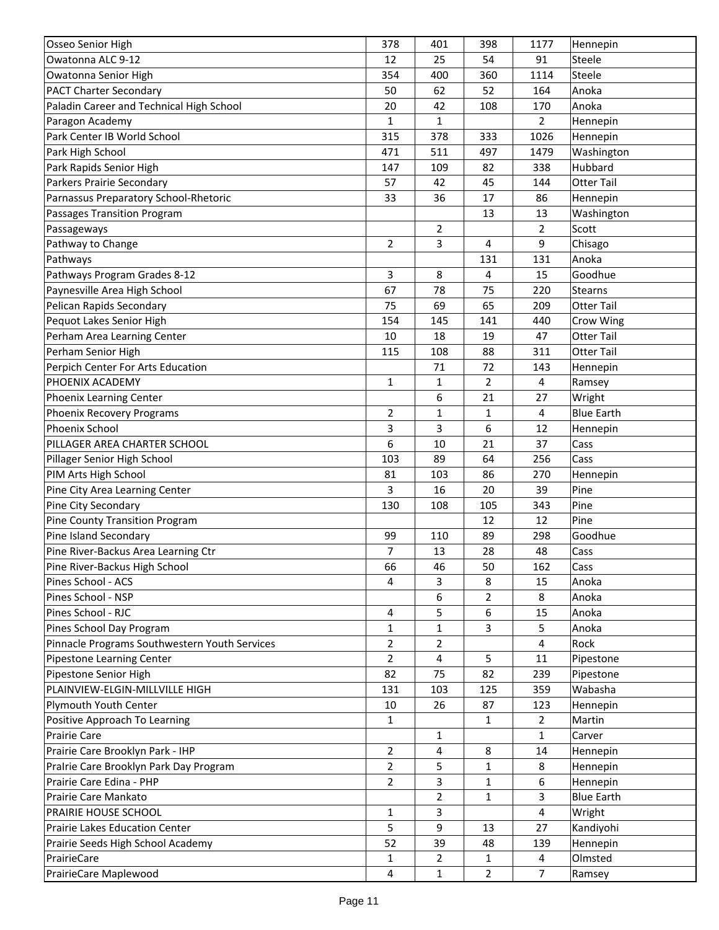| Osseo Senior High                             | 378            | 401            | 398            | 1177                    | Hennepin          |
|-----------------------------------------------|----------------|----------------|----------------|-------------------------|-------------------|
| Owatonna ALC 9-12                             | 12             | 25             | 54             | 91                      | <b>Steele</b>     |
| Owatonna Senior High                          | 354            | 400            | 360            | 1114                    | Steele            |
| <b>PACT Charter Secondary</b>                 | 50             | 62             | 52             | 164                     | Anoka             |
| Paladin Career and Technical High School      | 20             | 42             | 108            | 170                     | Anoka             |
| Paragon Academy                               | 1              | $\mathbf 1$    |                | $\overline{2}$          | Hennepin          |
| Park Center IB World School                   | 315            | 378            | 333            | 1026                    | Hennepin          |
| Park High School                              | 471            | 511            | 497            | 1479                    | Washington        |
| Park Rapids Senior High                       | 147            | 109            | 82             | 338                     | Hubbard           |
| Parkers Prairie Secondary                     | 57             | 42             | 45             | 144                     | <b>Otter Tail</b> |
| Parnassus Preparatory School-Rhetoric         | 33             | 36             | 17             | 86                      | Hennepin          |
| Passages Transition Program                   |                |                | 13             | 13                      | Washington        |
| Passageways                                   |                | 2              |                | $\overline{2}$          | Scott             |
| Pathway to Change                             | $\overline{2}$ | 3              | 4              | 9                       | Chisago           |
| Pathways                                      |                |                | 131            | 131                     | Anoka             |
| Pathways Program Grades 8-12                  | 3              | 8              | 4              | 15                      | Goodhue           |
| Paynesville Area High School                  | 67             | 78             | 75             | 220                     | Stearns           |
| Pelican Rapids Secondary                      | 75             | 69             | 65             | 209                     | <b>Otter Tail</b> |
| Pequot Lakes Senior High                      | 154            | 145            | 141            | 440                     | Crow Wing         |
| Perham Area Learning Center                   | 10             | 18             | 19             | 47                      | Otter Tail        |
| Perham Senior High                            | 115            | 108            | 88             | 311                     | <b>Otter Tail</b> |
| Perpich Center For Arts Education             |                | 71             | 72             | 143                     |                   |
| PHOENIX ACADEMY                               | $\mathbf{1}$   |                |                | 4                       | Hennepin          |
|                                               |                | 1              | $\overline{2}$ |                         | Ramsey            |
| Phoenix Learning Center                       |                | 6              | 21             | 27                      | Wright            |
| Phoenix Recovery Programs                     | $\overline{2}$ | 1              | $\mathbf{1}$   | $\overline{\mathbf{4}}$ | <b>Blue Earth</b> |
| Phoenix School                                | 3              | 3              | 6              | 12                      | Hennepin          |
| PILLAGER AREA CHARTER SCHOOL                  | 6              | 10             | 21             | 37                      | Cass              |
| Pillager Senior High School                   | 103            | 89             | 64             | 256                     | Cass              |
| PIM Arts High School                          | 81             | 103            | 86             | 270                     | Hennepin          |
| Pine City Area Learning Center                | 3              | 16             | 20             | 39                      | Pine              |
| Pine City Secondary                           | 130            | 108            | 105            | 343                     | Pine              |
| Pine County Transition Program                |                |                | 12             | 12                      | Pine              |
| Pine Island Secondary                         | 99             | 110            | 89             | 298                     | Goodhue           |
| Pine River-Backus Area Learning Ctr           | $\overline{7}$ | 13             | 28             | 48                      | Cass              |
| Pine River-Backus High School                 | 66             | 46             | 50             | 162                     | Cass              |
| Pines School - ACS                            | 4              | 3              | 8              | 15                      | Anoka             |
| Pines School - NSP                            |                | 6              | $\overline{2}$ | 8                       | Anoka             |
| Pines School - RJC                            | 4              | 5              | 6              | 15                      | Anoka             |
| Pines School Day Program                      | $\mathbf{1}$   | $\mathbf{1}$   | 3              | 5                       | Anoka             |
| Pinnacle Programs Southwestern Youth Services | $\overline{2}$ | $\overline{2}$ |                | 4                       | Rock              |
| Pipestone Learning Center                     | $\overline{2}$ | 4              | 5              | 11                      | Pipestone         |
| Pipestone Senior High                         | 82             | 75             | 82             | 239                     | Pipestone         |
| PLAINVIEW-ELGIN-MILLVILLE HIGH                | 131            | 103            | 125            | 359                     | Wabasha           |
| Plymouth Youth Center                         | 10             | 26             | 87             | 123                     | Hennepin          |
| Positive Approach To Learning                 | $1\,$          |                | $\mathbf{1}$   | $\overline{2}$          | Martin            |
| Prairie Care                                  |                | 1              |                | $\mathbf{1}$            | Carver            |
| Prairie Care Brooklyn Park - IHP              | $\overline{2}$ | 4              | 8              | 14                      | Hennepin          |
| Pralrie Care Brooklyn Park Day Program        | $\overline{2}$ | 5              | $\mathbf{1}$   | 8                       | Hennepin          |
| Prairie Care Edina - PHP                      | $\overline{2}$ | 3              | $\mathbf{1}$   | 6                       | Hennepin          |
| Prairie Care Mankato                          |                | $\overline{2}$ | $\mathbf{1}$   | 3                       | <b>Blue Earth</b> |
| PRAIRIE HOUSE SCHOOL                          | $\mathbf{1}$   | 3              |                | $\overline{4}$          | Wright            |
| Prairie Lakes Education Center                | 5              | 9              | 13             | 27                      | Kandiyohi         |
| Prairie Seeds High School Academy             | 52             | 39             | 48             | 139                     | Hennepin          |
| PrairieCare                                   | $\mathbf{1}$   | 2              | $\mathbf{1}$   | 4                       | Olmsted           |
| PrairieCare Maplewood                         | 4              | $\mathbf 1$    | $\overline{2}$ | $\overline{7}$          | Ramsey            |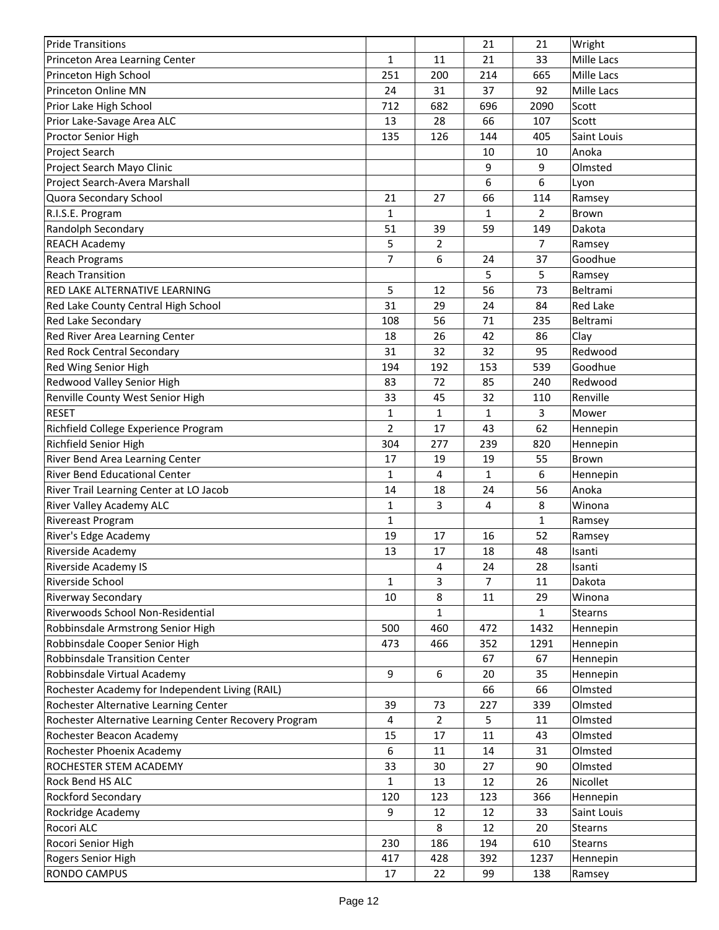| Mille Lacs<br>Princeton Area Learning Center<br>$\mathbf{1}$<br>11<br>21<br>33<br>Mille Lacs<br>Princeton High School<br>251<br>200<br>214<br>665<br>Princeton Online MN<br>24<br>37<br>92<br>Mille Lacs<br>31<br>682<br>Scott<br>Prior Lake High School<br>712<br>696<br>2090<br>Prior Lake-Savage Area ALC<br>13<br>28<br>66<br>107<br>Scott<br>Proctor Senior High<br>135<br>126<br>144<br>405<br>Saint Louis<br>Project Search<br>Anoka<br>10<br>10<br>9<br>Project Search Mayo Clinic<br>9<br>Olmsted<br>6<br>6<br>Project Search-Avera Marshall<br>Lyon<br>Quora Secondary School<br>66<br>21<br>27<br>114<br>Ramsey<br>R.I.S.E. Program<br>$\overline{2}$<br>$\mathbf{1}$<br>$\mathbf{1}$<br>Brown<br>Randolph Secondary<br>Dakota<br>51<br>39<br>59<br>149<br>5<br><b>REACH Academy</b><br>$\overline{7}$<br>2<br>Ramsey<br>6<br><b>Reach Programs</b><br>$\overline{7}$<br>24<br>37<br>Goodhue<br>5<br>5<br><b>Reach Transition</b><br>Ramsey<br>RED LAKE ALTERNATIVE LEARNING<br>5<br>56<br>73<br>Beltrami<br>12<br>31<br><b>Red Lake</b><br>Red Lake County Central High School<br>29<br>24<br>84<br>Red Lake Secondary<br>108<br>56<br>71<br>Beltrami<br>235<br>Red River Area Learning Center<br>18<br>26<br>42<br>86<br>Clay<br><b>Red Rock Central Secondary</b><br>31<br>32<br>32<br>95<br>Redwood<br>Red Wing Senior High<br>194<br>192<br>539<br>Goodhue<br>153<br>Redwood Valley Senior High<br>85<br>Redwood<br>83<br>72<br>240<br>Renville County West Senior High<br>Renville<br>33<br>45<br>32<br>110<br><b>RESET</b><br>3<br>Mower<br>1<br>$\mathbf{1}$<br>1<br>$\overline{2}$<br>62<br>Richfield College Experience Program<br>17<br>43<br>Hennepin<br>Richfield Senior High<br>304<br>277<br>239<br>820<br>Hennepin<br>River Bend Area Learning Center<br>55<br>17<br>19<br>19<br>Brown<br>6<br><b>River Bend Educational Center</b><br>4<br>$\mathbf{1}$<br>$\mathbf{1}$<br>Hennepin<br>56<br>Anoka<br>River Trail Learning Center at LO Jacob<br>14<br>18<br>24<br><b>River Valley Academy ALC</b><br>3<br>8<br>$\mathbf{1}$<br>$\overline{4}$<br>Winona<br>$\mathbf{1}$<br>Rivereast Program<br>$\mathbf{1}$<br>Ramsey<br>River's Edge Academy<br>19<br>16<br>52<br>17<br>Ramsey<br>Riverside Academy<br>13<br>17<br>18<br>48<br>Isanti<br>Riverside Academy IS<br>4<br>24<br>28<br>Isanti<br>Riverside School<br>$\overline{7}$<br>3<br>11<br>Dakota<br>$\mathbf{1}$<br>29<br>Riverway Secondary<br>10<br>8<br>11<br>Winona<br>Riverwoods School Non-Residential<br>$\mathbf{1}$<br>1<br>Stearns<br>460<br>Robbinsdale Armstrong Senior High<br>500<br>472<br>1432<br>Hennepin<br>Robbinsdale Cooper Senior High<br>466<br>473<br>352<br>1291<br>Hennepin<br><b>Robbinsdale Transition Center</b><br>67<br>67<br>Hennepin<br>Robbinsdale Virtual Academy<br>9<br>20<br>35<br>Hennepin<br>6<br>Rochester Academy for Independent Living (RAIL)<br>66<br>Olmsted<br>66<br>Rochester Alternative Learning Center<br>39<br>73<br>227<br>339<br>Olmsted<br>2<br>Rochester Alternative Learning Center Recovery Program<br>4<br>5<br>11<br>Olmsted<br>Rochester Beacon Academy<br>15<br>17<br>43<br>Olmsted<br>11<br>Rochester Phoenix Academy<br>6<br>11<br>14<br>31<br>Olmsted<br>ROCHESTER STEM ACADEMY<br>33<br>27<br>90<br>Olmsted<br>30<br>Rock Bend HS ALC<br>12<br>26<br>Nicollet<br>13<br>$\mathbf{1}$<br>Rockford Secondary<br>123<br>120<br>123<br>366<br>Hennepin<br>Rockridge Academy<br>33<br>9<br>12<br>12<br>Saint Louis<br>Rocori ALC<br>8<br>12<br>20<br>Stearns<br>Rocori Senior High<br>230<br>194<br>Stearns<br>186<br>610<br>417<br>Rogers Senior High<br>428<br>392<br>1237<br>Hennepin<br><b>RONDO CAMPUS</b><br>99<br>17<br>22<br>138<br>Ramsey | <b>Pride Transitions</b> |  | 21 | 21 | Wright |
|--------------------------------------------------------------------------------------------------------------------------------------------------------------------------------------------------------------------------------------------------------------------------------------------------------------------------------------------------------------------------------------------------------------------------------------------------------------------------------------------------------------------------------------------------------------------------------------------------------------------------------------------------------------------------------------------------------------------------------------------------------------------------------------------------------------------------------------------------------------------------------------------------------------------------------------------------------------------------------------------------------------------------------------------------------------------------------------------------------------------------------------------------------------------------------------------------------------------------------------------------------------------------------------------------------------------------------------------------------------------------------------------------------------------------------------------------------------------------------------------------------------------------------------------------------------------------------------------------------------------------------------------------------------------------------------------------------------------------------------------------------------------------------------------------------------------------------------------------------------------------------------------------------------------------------------------------------------------------------------------------------------------------------------------------------------------------------------------------------------------------------------------------------------------------------------------------------------------------------------------------------------------------------------------------------------------------------------------------------------------------------------------------------------------------------------------------------------------------------------------------------------------------------------------------------------------------------------------------------------------------------------------------------------------------------------------------------------------------------------------------------------------------------------------------------------------------------------------------------------------------------------------------------------------------------------------------------------------------------------------------------------------------------------------------------------------------------------------------------------------------------------------------------------------------------------------------------------------------------------------------------------------------------------------------------------------------------------------------------------------------------------------------------------------------------------------------------------------------------------------------------------------------------------------------------------------------------------------------------------------------------------------------------------------------------------------------|--------------------------|--|----|----|--------|
|                                                                                                                                                                                                                                                                                                                                                                                                                                                                                                                                                                                                                                                                                                                                                                                                                                                                                                                                                                                                                                                                                                                                                                                                                                                                                                                                                                                                                                                                                                                                                                                                                                                                                                                                                                                                                                                                                                                                                                                                                                                                                                                                                                                                                                                                                                                                                                                                                                                                                                                                                                                                                                                                                                                                                                                                                                                                                                                                                                                                                                                                                                                                                                                                                                                                                                                                                                                                                                                                                                                                                                                                                                                                                                  |                          |  |    |    |        |
|                                                                                                                                                                                                                                                                                                                                                                                                                                                                                                                                                                                                                                                                                                                                                                                                                                                                                                                                                                                                                                                                                                                                                                                                                                                                                                                                                                                                                                                                                                                                                                                                                                                                                                                                                                                                                                                                                                                                                                                                                                                                                                                                                                                                                                                                                                                                                                                                                                                                                                                                                                                                                                                                                                                                                                                                                                                                                                                                                                                                                                                                                                                                                                                                                                                                                                                                                                                                                                                                                                                                                                                                                                                                                                  |                          |  |    |    |        |
|                                                                                                                                                                                                                                                                                                                                                                                                                                                                                                                                                                                                                                                                                                                                                                                                                                                                                                                                                                                                                                                                                                                                                                                                                                                                                                                                                                                                                                                                                                                                                                                                                                                                                                                                                                                                                                                                                                                                                                                                                                                                                                                                                                                                                                                                                                                                                                                                                                                                                                                                                                                                                                                                                                                                                                                                                                                                                                                                                                                                                                                                                                                                                                                                                                                                                                                                                                                                                                                                                                                                                                                                                                                                                                  |                          |  |    |    |        |
|                                                                                                                                                                                                                                                                                                                                                                                                                                                                                                                                                                                                                                                                                                                                                                                                                                                                                                                                                                                                                                                                                                                                                                                                                                                                                                                                                                                                                                                                                                                                                                                                                                                                                                                                                                                                                                                                                                                                                                                                                                                                                                                                                                                                                                                                                                                                                                                                                                                                                                                                                                                                                                                                                                                                                                                                                                                                                                                                                                                                                                                                                                                                                                                                                                                                                                                                                                                                                                                                                                                                                                                                                                                                                                  |                          |  |    |    |        |
|                                                                                                                                                                                                                                                                                                                                                                                                                                                                                                                                                                                                                                                                                                                                                                                                                                                                                                                                                                                                                                                                                                                                                                                                                                                                                                                                                                                                                                                                                                                                                                                                                                                                                                                                                                                                                                                                                                                                                                                                                                                                                                                                                                                                                                                                                                                                                                                                                                                                                                                                                                                                                                                                                                                                                                                                                                                                                                                                                                                                                                                                                                                                                                                                                                                                                                                                                                                                                                                                                                                                                                                                                                                                                                  |                          |  |    |    |        |
|                                                                                                                                                                                                                                                                                                                                                                                                                                                                                                                                                                                                                                                                                                                                                                                                                                                                                                                                                                                                                                                                                                                                                                                                                                                                                                                                                                                                                                                                                                                                                                                                                                                                                                                                                                                                                                                                                                                                                                                                                                                                                                                                                                                                                                                                                                                                                                                                                                                                                                                                                                                                                                                                                                                                                                                                                                                                                                                                                                                                                                                                                                                                                                                                                                                                                                                                                                                                                                                                                                                                                                                                                                                                                                  |                          |  |    |    |        |
|                                                                                                                                                                                                                                                                                                                                                                                                                                                                                                                                                                                                                                                                                                                                                                                                                                                                                                                                                                                                                                                                                                                                                                                                                                                                                                                                                                                                                                                                                                                                                                                                                                                                                                                                                                                                                                                                                                                                                                                                                                                                                                                                                                                                                                                                                                                                                                                                                                                                                                                                                                                                                                                                                                                                                                                                                                                                                                                                                                                                                                                                                                                                                                                                                                                                                                                                                                                                                                                                                                                                                                                                                                                                                                  |                          |  |    |    |        |
|                                                                                                                                                                                                                                                                                                                                                                                                                                                                                                                                                                                                                                                                                                                                                                                                                                                                                                                                                                                                                                                                                                                                                                                                                                                                                                                                                                                                                                                                                                                                                                                                                                                                                                                                                                                                                                                                                                                                                                                                                                                                                                                                                                                                                                                                                                                                                                                                                                                                                                                                                                                                                                                                                                                                                                                                                                                                                                                                                                                                                                                                                                                                                                                                                                                                                                                                                                                                                                                                                                                                                                                                                                                                                                  |                          |  |    |    |        |
|                                                                                                                                                                                                                                                                                                                                                                                                                                                                                                                                                                                                                                                                                                                                                                                                                                                                                                                                                                                                                                                                                                                                                                                                                                                                                                                                                                                                                                                                                                                                                                                                                                                                                                                                                                                                                                                                                                                                                                                                                                                                                                                                                                                                                                                                                                                                                                                                                                                                                                                                                                                                                                                                                                                                                                                                                                                                                                                                                                                                                                                                                                                                                                                                                                                                                                                                                                                                                                                                                                                                                                                                                                                                                                  |                          |  |    |    |        |
|                                                                                                                                                                                                                                                                                                                                                                                                                                                                                                                                                                                                                                                                                                                                                                                                                                                                                                                                                                                                                                                                                                                                                                                                                                                                                                                                                                                                                                                                                                                                                                                                                                                                                                                                                                                                                                                                                                                                                                                                                                                                                                                                                                                                                                                                                                                                                                                                                                                                                                                                                                                                                                                                                                                                                                                                                                                                                                                                                                                                                                                                                                                                                                                                                                                                                                                                                                                                                                                                                                                                                                                                                                                                                                  |                          |  |    |    |        |
|                                                                                                                                                                                                                                                                                                                                                                                                                                                                                                                                                                                                                                                                                                                                                                                                                                                                                                                                                                                                                                                                                                                                                                                                                                                                                                                                                                                                                                                                                                                                                                                                                                                                                                                                                                                                                                                                                                                                                                                                                                                                                                                                                                                                                                                                                                                                                                                                                                                                                                                                                                                                                                                                                                                                                                                                                                                                                                                                                                                                                                                                                                                                                                                                                                                                                                                                                                                                                                                                                                                                                                                                                                                                                                  |                          |  |    |    |        |
|                                                                                                                                                                                                                                                                                                                                                                                                                                                                                                                                                                                                                                                                                                                                                                                                                                                                                                                                                                                                                                                                                                                                                                                                                                                                                                                                                                                                                                                                                                                                                                                                                                                                                                                                                                                                                                                                                                                                                                                                                                                                                                                                                                                                                                                                                                                                                                                                                                                                                                                                                                                                                                                                                                                                                                                                                                                                                                                                                                                                                                                                                                                                                                                                                                                                                                                                                                                                                                                                                                                                                                                                                                                                                                  |                          |  |    |    |        |
|                                                                                                                                                                                                                                                                                                                                                                                                                                                                                                                                                                                                                                                                                                                                                                                                                                                                                                                                                                                                                                                                                                                                                                                                                                                                                                                                                                                                                                                                                                                                                                                                                                                                                                                                                                                                                                                                                                                                                                                                                                                                                                                                                                                                                                                                                                                                                                                                                                                                                                                                                                                                                                                                                                                                                                                                                                                                                                                                                                                                                                                                                                                                                                                                                                                                                                                                                                                                                                                                                                                                                                                                                                                                                                  |                          |  |    |    |        |
|                                                                                                                                                                                                                                                                                                                                                                                                                                                                                                                                                                                                                                                                                                                                                                                                                                                                                                                                                                                                                                                                                                                                                                                                                                                                                                                                                                                                                                                                                                                                                                                                                                                                                                                                                                                                                                                                                                                                                                                                                                                                                                                                                                                                                                                                                                                                                                                                                                                                                                                                                                                                                                                                                                                                                                                                                                                                                                                                                                                                                                                                                                                                                                                                                                                                                                                                                                                                                                                                                                                                                                                                                                                                                                  |                          |  |    |    |        |
|                                                                                                                                                                                                                                                                                                                                                                                                                                                                                                                                                                                                                                                                                                                                                                                                                                                                                                                                                                                                                                                                                                                                                                                                                                                                                                                                                                                                                                                                                                                                                                                                                                                                                                                                                                                                                                                                                                                                                                                                                                                                                                                                                                                                                                                                                                                                                                                                                                                                                                                                                                                                                                                                                                                                                                                                                                                                                                                                                                                                                                                                                                                                                                                                                                                                                                                                                                                                                                                                                                                                                                                                                                                                                                  |                          |  |    |    |        |
|                                                                                                                                                                                                                                                                                                                                                                                                                                                                                                                                                                                                                                                                                                                                                                                                                                                                                                                                                                                                                                                                                                                                                                                                                                                                                                                                                                                                                                                                                                                                                                                                                                                                                                                                                                                                                                                                                                                                                                                                                                                                                                                                                                                                                                                                                                                                                                                                                                                                                                                                                                                                                                                                                                                                                                                                                                                                                                                                                                                                                                                                                                                                                                                                                                                                                                                                                                                                                                                                                                                                                                                                                                                                                                  |                          |  |    |    |        |
|                                                                                                                                                                                                                                                                                                                                                                                                                                                                                                                                                                                                                                                                                                                                                                                                                                                                                                                                                                                                                                                                                                                                                                                                                                                                                                                                                                                                                                                                                                                                                                                                                                                                                                                                                                                                                                                                                                                                                                                                                                                                                                                                                                                                                                                                                                                                                                                                                                                                                                                                                                                                                                                                                                                                                                                                                                                                                                                                                                                                                                                                                                                                                                                                                                                                                                                                                                                                                                                                                                                                                                                                                                                                                                  |                          |  |    |    |        |
|                                                                                                                                                                                                                                                                                                                                                                                                                                                                                                                                                                                                                                                                                                                                                                                                                                                                                                                                                                                                                                                                                                                                                                                                                                                                                                                                                                                                                                                                                                                                                                                                                                                                                                                                                                                                                                                                                                                                                                                                                                                                                                                                                                                                                                                                                                                                                                                                                                                                                                                                                                                                                                                                                                                                                                                                                                                                                                                                                                                                                                                                                                                                                                                                                                                                                                                                                                                                                                                                                                                                                                                                                                                                                                  |                          |  |    |    |        |
|                                                                                                                                                                                                                                                                                                                                                                                                                                                                                                                                                                                                                                                                                                                                                                                                                                                                                                                                                                                                                                                                                                                                                                                                                                                                                                                                                                                                                                                                                                                                                                                                                                                                                                                                                                                                                                                                                                                                                                                                                                                                                                                                                                                                                                                                                                                                                                                                                                                                                                                                                                                                                                                                                                                                                                                                                                                                                                                                                                                                                                                                                                                                                                                                                                                                                                                                                                                                                                                                                                                                                                                                                                                                                                  |                          |  |    |    |        |
|                                                                                                                                                                                                                                                                                                                                                                                                                                                                                                                                                                                                                                                                                                                                                                                                                                                                                                                                                                                                                                                                                                                                                                                                                                                                                                                                                                                                                                                                                                                                                                                                                                                                                                                                                                                                                                                                                                                                                                                                                                                                                                                                                                                                                                                                                                                                                                                                                                                                                                                                                                                                                                                                                                                                                                                                                                                                                                                                                                                                                                                                                                                                                                                                                                                                                                                                                                                                                                                                                                                                                                                                                                                                                                  |                          |  |    |    |        |
|                                                                                                                                                                                                                                                                                                                                                                                                                                                                                                                                                                                                                                                                                                                                                                                                                                                                                                                                                                                                                                                                                                                                                                                                                                                                                                                                                                                                                                                                                                                                                                                                                                                                                                                                                                                                                                                                                                                                                                                                                                                                                                                                                                                                                                                                                                                                                                                                                                                                                                                                                                                                                                                                                                                                                                                                                                                                                                                                                                                                                                                                                                                                                                                                                                                                                                                                                                                                                                                                                                                                                                                                                                                                                                  |                          |  |    |    |        |
|                                                                                                                                                                                                                                                                                                                                                                                                                                                                                                                                                                                                                                                                                                                                                                                                                                                                                                                                                                                                                                                                                                                                                                                                                                                                                                                                                                                                                                                                                                                                                                                                                                                                                                                                                                                                                                                                                                                                                                                                                                                                                                                                                                                                                                                                                                                                                                                                                                                                                                                                                                                                                                                                                                                                                                                                                                                                                                                                                                                                                                                                                                                                                                                                                                                                                                                                                                                                                                                                                                                                                                                                                                                                                                  |                          |  |    |    |        |
|                                                                                                                                                                                                                                                                                                                                                                                                                                                                                                                                                                                                                                                                                                                                                                                                                                                                                                                                                                                                                                                                                                                                                                                                                                                                                                                                                                                                                                                                                                                                                                                                                                                                                                                                                                                                                                                                                                                                                                                                                                                                                                                                                                                                                                                                                                                                                                                                                                                                                                                                                                                                                                                                                                                                                                                                                                                                                                                                                                                                                                                                                                                                                                                                                                                                                                                                                                                                                                                                                                                                                                                                                                                                                                  |                          |  |    |    |        |
|                                                                                                                                                                                                                                                                                                                                                                                                                                                                                                                                                                                                                                                                                                                                                                                                                                                                                                                                                                                                                                                                                                                                                                                                                                                                                                                                                                                                                                                                                                                                                                                                                                                                                                                                                                                                                                                                                                                                                                                                                                                                                                                                                                                                                                                                                                                                                                                                                                                                                                                                                                                                                                                                                                                                                                                                                                                                                                                                                                                                                                                                                                                                                                                                                                                                                                                                                                                                                                                                                                                                                                                                                                                                                                  |                          |  |    |    |        |
|                                                                                                                                                                                                                                                                                                                                                                                                                                                                                                                                                                                                                                                                                                                                                                                                                                                                                                                                                                                                                                                                                                                                                                                                                                                                                                                                                                                                                                                                                                                                                                                                                                                                                                                                                                                                                                                                                                                                                                                                                                                                                                                                                                                                                                                                                                                                                                                                                                                                                                                                                                                                                                                                                                                                                                                                                                                                                                                                                                                                                                                                                                                                                                                                                                                                                                                                                                                                                                                                                                                                                                                                                                                                                                  |                          |  |    |    |        |
|                                                                                                                                                                                                                                                                                                                                                                                                                                                                                                                                                                                                                                                                                                                                                                                                                                                                                                                                                                                                                                                                                                                                                                                                                                                                                                                                                                                                                                                                                                                                                                                                                                                                                                                                                                                                                                                                                                                                                                                                                                                                                                                                                                                                                                                                                                                                                                                                                                                                                                                                                                                                                                                                                                                                                                                                                                                                                                                                                                                                                                                                                                                                                                                                                                                                                                                                                                                                                                                                                                                                                                                                                                                                                                  |                          |  |    |    |        |
|                                                                                                                                                                                                                                                                                                                                                                                                                                                                                                                                                                                                                                                                                                                                                                                                                                                                                                                                                                                                                                                                                                                                                                                                                                                                                                                                                                                                                                                                                                                                                                                                                                                                                                                                                                                                                                                                                                                                                                                                                                                                                                                                                                                                                                                                                                                                                                                                                                                                                                                                                                                                                                                                                                                                                                                                                                                                                                                                                                                                                                                                                                                                                                                                                                                                                                                                                                                                                                                                                                                                                                                                                                                                                                  |                          |  |    |    |        |
|                                                                                                                                                                                                                                                                                                                                                                                                                                                                                                                                                                                                                                                                                                                                                                                                                                                                                                                                                                                                                                                                                                                                                                                                                                                                                                                                                                                                                                                                                                                                                                                                                                                                                                                                                                                                                                                                                                                                                                                                                                                                                                                                                                                                                                                                                                                                                                                                                                                                                                                                                                                                                                                                                                                                                                                                                                                                                                                                                                                                                                                                                                                                                                                                                                                                                                                                                                                                                                                                                                                                                                                                                                                                                                  |                          |  |    |    |        |
|                                                                                                                                                                                                                                                                                                                                                                                                                                                                                                                                                                                                                                                                                                                                                                                                                                                                                                                                                                                                                                                                                                                                                                                                                                                                                                                                                                                                                                                                                                                                                                                                                                                                                                                                                                                                                                                                                                                                                                                                                                                                                                                                                                                                                                                                                                                                                                                                                                                                                                                                                                                                                                                                                                                                                                                                                                                                                                                                                                                                                                                                                                                                                                                                                                                                                                                                                                                                                                                                                                                                                                                                                                                                                                  |                          |  |    |    |        |
|                                                                                                                                                                                                                                                                                                                                                                                                                                                                                                                                                                                                                                                                                                                                                                                                                                                                                                                                                                                                                                                                                                                                                                                                                                                                                                                                                                                                                                                                                                                                                                                                                                                                                                                                                                                                                                                                                                                                                                                                                                                                                                                                                                                                                                                                                                                                                                                                                                                                                                                                                                                                                                                                                                                                                                                                                                                                                                                                                                                                                                                                                                                                                                                                                                                                                                                                                                                                                                                                                                                                                                                                                                                                                                  |                          |  |    |    |        |
|                                                                                                                                                                                                                                                                                                                                                                                                                                                                                                                                                                                                                                                                                                                                                                                                                                                                                                                                                                                                                                                                                                                                                                                                                                                                                                                                                                                                                                                                                                                                                                                                                                                                                                                                                                                                                                                                                                                                                                                                                                                                                                                                                                                                                                                                                                                                                                                                                                                                                                                                                                                                                                                                                                                                                                                                                                                                                                                                                                                                                                                                                                                                                                                                                                                                                                                                                                                                                                                                                                                                                                                                                                                                                                  |                          |  |    |    |        |
|                                                                                                                                                                                                                                                                                                                                                                                                                                                                                                                                                                                                                                                                                                                                                                                                                                                                                                                                                                                                                                                                                                                                                                                                                                                                                                                                                                                                                                                                                                                                                                                                                                                                                                                                                                                                                                                                                                                                                                                                                                                                                                                                                                                                                                                                                                                                                                                                                                                                                                                                                                                                                                                                                                                                                                                                                                                                                                                                                                                                                                                                                                                                                                                                                                                                                                                                                                                                                                                                                                                                                                                                                                                                                                  |                          |  |    |    |        |
|                                                                                                                                                                                                                                                                                                                                                                                                                                                                                                                                                                                                                                                                                                                                                                                                                                                                                                                                                                                                                                                                                                                                                                                                                                                                                                                                                                                                                                                                                                                                                                                                                                                                                                                                                                                                                                                                                                                                                                                                                                                                                                                                                                                                                                                                                                                                                                                                                                                                                                                                                                                                                                                                                                                                                                                                                                                                                                                                                                                                                                                                                                                                                                                                                                                                                                                                                                                                                                                                                                                                                                                                                                                                                                  |                          |  |    |    |        |
|                                                                                                                                                                                                                                                                                                                                                                                                                                                                                                                                                                                                                                                                                                                                                                                                                                                                                                                                                                                                                                                                                                                                                                                                                                                                                                                                                                                                                                                                                                                                                                                                                                                                                                                                                                                                                                                                                                                                                                                                                                                                                                                                                                                                                                                                                                                                                                                                                                                                                                                                                                                                                                                                                                                                                                                                                                                                                                                                                                                                                                                                                                                                                                                                                                                                                                                                                                                                                                                                                                                                                                                                                                                                                                  |                          |  |    |    |        |
|                                                                                                                                                                                                                                                                                                                                                                                                                                                                                                                                                                                                                                                                                                                                                                                                                                                                                                                                                                                                                                                                                                                                                                                                                                                                                                                                                                                                                                                                                                                                                                                                                                                                                                                                                                                                                                                                                                                                                                                                                                                                                                                                                                                                                                                                                                                                                                                                                                                                                                                                                                                                                                                                                                                                                                                                                                                                                                                                                                                                                                                                                                                                                                                                                                                                                                                                                                                                                                                                                                                                                                                                                                                                                                  |                          |  |    |    |        |
|                                                                                                                                                                                                                                                                                                                                                                                                                                                                                                                                                                                                                                                                                                                                                                                                                                                                                                                                                                                                                                                                                                                                                                                                                                                                                                                                                                                                                                                                                                                                                                                                                                                                                                                                                                                                                                                                                                                                                                                                                                                                                                                                                                                                                                                                                                                                                                                                                                                                                                                                                                                                                                                                                                                                                                                                                                                                                                                                                                                                                                                                                                                                                                                                                                                                                                                                                                                                                                                                                                                                                                                                                                                                                                  |                          |  |    |    |        |
|                                                                                                                                                                                                                                                                                                                                                                                                                                                                                                                                                                                                                                                                                                                                                                                                                                                                                                                                                                                                                                                                                                                                                                                                                                                                                                                                                                                                                                                                                                                                                                                                                                                                                                                                                                                                                                                                                                                                                                                                                                                                                                                                                                                                                                                                                                                                                                                                                                                                                                                                                                                                                                                                                                                                                                                                                                                                                                                                                                                                                                                                                                                                                                                                                                                                                                                                                                                                                                                                                                                                                                                                                                                                                                  |                          |  |    |    |        |
|                                                                                                                                                                                                                                                                                                                                                                                                                                                                                                                                                                                                                                                                                                                                                                                                                                                                                                                                                                                                                                                                                                                                                                                                                                                                                                                                                                                                                                                                                                                                                                                                                                                                                                                                                                                                                                                                                                                                                                                                                                                                                                                                                                                                                                                                                                                                                                                                                                                                                                                                                                                                                                                                                                                                                                                                                                                                                                                                                                                                                                                                                                                                                                                                                                                                                                                                                                                                                                                                                                                                                                                                                                                                                                  |                          |  |    |    |        |
|                                                                                                                                                                                                                                                                                                                                                                                                                                                                                                                                                                                                                                                                                                                                                                                                                                                                                                                                                                                                                                                                                                                                                                                                                                                                                                                                                                                                                                                                                                                                                                                                                                                                                                                                                                                                                                                                                                                                                                                                                                                                                                                                                                                                                                                                                                                                                                                                                                                                                                                                                                                                                                                                                                                                                                                                                                                                                                                                                                                                                                                                                                                                                                                                                                                                                                                                                                                                                                                                                                                                                                                                                                                                                                  |                          |  |    |    |        |
|                                                                                                                                                                                                                                                                                                                                                                                                                                                                                                                                                                                                                                                                                                                                                                                                                                                                                                                                                                                                                                                                                                                                                                                                                                                                                                                                                                                                                                                                                                                                                                                                                                                                                                                                                                                                                                                                                                                                                                                                                                                                                                                                                                                                                                                                                                                                                                                                                                                                                                                                                                                                                                                                                                                                                                                                                                                                                                                                                                                                                                                                                                                                                                                                                                                                                                                                                                                                                                                                                                                                                                                                                                                                                                  |                          |  |    |    |        |
|                                                                                                                                                                                                                                                                                                                                                                                                                                                                                                                                                                                                                                                                                                                                                                                                                                                                                                                                                                                                                                                                                                                                                                                                                                                                                                                                                                                                                                                                                                                                                                                                                                                                                                                                                                                                                                                                                                                                                                                                                                                                                                                                                                                                                                                                                                                                                                                                                                                                                                                                                                                                                                                                                                                                                                                                                                                                                                                                                                                                                                                                                                                                                                                                                                                                                                                                                                                                                                                                                                                                                                                                                                                                                                  |                          |  |    |    |        |
|                                                                                                                                                                                                                                                                                                                                                                                                                                                                                                                                                                                                                                                                                                                                                                                                                                                                                                                                                                                                                                                                                                                                                                                                                                                                                                                                                                                                                                                                                                                                                                                                                                                                                                                                                                                                                                                                                                                                                                                                                                                                                                                                                                                                                                                                                                                                                                                                                                                                                                                                                                                                                                                                                                                                                                                                                                                                                                                                                                                                                                                                                                                                                                                                                                                                                                                                                                                                                                                                                                                                                                                                                                                                                                  |                          |  |    |    |        |
|                                                                                                                                                                                                                                                                                                                                                                                                                                                                                                                                                                                                                                                                                                                                                                                                                                                                                                                                                                                                                                                                                                                                                                                                                                                                                                                                                                                                                                                                                                                                                                                                                                                                                                                                                                                                                                                                                                                                                                                                                                                                                                                                                                                                                                                                                                                                                                                                                                                                                                                                                                                                                                                                                                                                                                                                                                                                                                                                                                                                                                                                                                                                                                                                                                                                                                                                                                                                                                                                                                                                                                                                                                                                                                  |                          |  |    |    |        |
|                                                                                                                                                                                                                                                                                                                                                                                                                                                                                                                                                                                                                                                                                                                                                                                                                                                                                                                                                                                                                                                                                                                                                                                                                                                                                                                                                                                                                                                                                                                                                                                                                                                                                                                                                                                                                                                                                                                                                                                                                                                                                                                                                                                                                                                                                                                                                                                                                                                                                                                                                                                                                                                                                                                                                                                                                                                                                                                                                                                                                                                                                                                                                                                                                                                                                                                                                                                                                                                                                                                                                                                                                                                                                                  |                          |  |    |    |        |
|                                                                                                                                                                                                                                                                                                                                                                                                                                                                                                                                                                                                                                                                                                                                                                                                                                                                                                                                                                                                                                                                                                                                                                                                                                                                                                                                                                                                                                                                                                                                                                                                                                                                                                                                                                                                                                                                                                                                                                                                                                                                                                                                                                                                                                                                                                                                                                                                                                                                                                                                                                                                                                                                                                                                                                                                                                                                                                                                                                                                                                                                                                                                                                                                                                                                                                                                                                                                                                                                                                                                                                                                                                                                                                  |                          |  |    |    |        |
|                                                                                                                                                                                                                                                                                                                                                                                                                                                                                                                                                                                                                                                                                                                                                                                                                                                                                                                                                                                                                                                                                                                                                                                                                                                                                                                                                                                                                                                                                                                                                                                                                                                                                                                                                                                                                                                                                                                                                                                                                                                                                                                                                                                                                                                                                                                                                                                                                                                                                                                                                                                                                                                                                                                                                                                                                                                                                                                                                                                                                                                                                                                                                                                                                                                                                                                                                                                                                                                                                                                                                                                                                                                                                                  |                          |  |    |    |        |
|                                                                                                                                                                                                                                                                                                                                                                                                                                                                                                                                                                                                                                                                                                                                                                                                                                                                                                                                                                                                                                                                                                                                                                                                                                                                                                                                                                                                                                                                                                                                                                                                                                                                                                                                                                                                                                                                                                                                                                                                                                                                                                                                                                                                                                                                                                                                                                                                                                                                                                                                                                                                                                                                                                                                                                                                                                                                                                                                                                                                                                                                                                                                                                                                                                                                                                                                                                                                                                                                                                                                                                                                                                                                                                  |                          |  |    |    |        |
|                                                                                                                                                                                                                                                                                                                                                                                                                                                                                                                                                                                                                                                                                                                                                                                                                                                                                                                                                                                                                                                                                                                                                                                                                                                                                                                                                                                                                                                                                                                                                                                                                                                                                                                                                                                                                                                                                                                                                                                                                                                                                                                                                                                                                                                                                                                                                                                                                                                                                                                                                                                                                                                                                                                                                                                                                                                                                                                                                                                                                                                                                                                                                                                                                                                                                                                                                                                                                                                                                                                                                                                                                                                                                                  |                          |  |    |    |        |
|                                                                                                                                                                                                                                                                                                                                                                                                                                                                                                                                                                                                                                                                                                                                                                                                                                                                                                                                                                                                                                                                                                                                                                                                                                                                                                                                                                                                                                                                                                                                                                                                                                                                                                                                                                                                                                                                                                                                                                                                                                                                                                                                                                                                                                                                                                                                                                                                                                                                                                                                                                                                                                                                                                                                                                                                                                                                                                                                                                                                                                                                                                                                                                                                                                                                                                                                                                                                                                                                                                                                                                                                                                                                                                  |                          |  |    |    |        |
|                                                                                                                                                                                                                                                                                                                                                                                                                                                                                                                                                                                                                                                                                                                                                                                                                                                                                                                                                                                                                                                                                                                                                                                                                                                                                                                                                                                                                                                                                                                                                                                                                                                                                                                                                                                                                                                                                                                                                                                                                                                                                                                                                                                                                                                                                                                                                                                                                                                                                                                                                                                                                                                                                                                                                                                                                                                                                                                                                                                                                                                                                                                                                                                                                                                                                                                                                                                                                                                                                                                                                                                                                                                                                                  |                          |  |    |    |        |
|                                                                                                                                                                                                                                                                                                                                                                                                                                                                                                                                                                                                                                                                                                                                                                                                                                                                                                                                                                                                                                                                                                                                                                                                                                                                                                                                                                                                                                                                                                                                                                                                                                                                                                                                                                                                                                                                                                                                                                                                                                                                                                                                                                                                                                                                                                                                                                                                                                                                                                                                                                                                                                                                                                                                                                                                                                                                                                                                                                                                                                                                                                                                                                                                                                                                                                                                                                                                                                                                                                                                                                                                                                                                                                  |                          |  |    |    |        |
|                                                                                                                                                                                                                                                                                                                                                                                                                                                                                                                                                                                                                                                                                                                                                                                                                                                                                                                                                                                                                                                                                                                                                                                                                                                                                                                                                                                                                                                                                                                                                                                                                                                                                                                                                                                                                                                                                                                                                                                                                                                                                                                                                                                                                                                                                                                                                                                                                                                                                                                                                                                                                                                                                                                                                                                                                                                                                                                                                                                                                                                                                                                                                                                                                                                                                                                                                                                                                                                                                                                                                                                                                                                                                                  |                          |  |    |    |        |
|                                                                                                                                                                                                                                                                                                                                                                                                                                                                                                                                                                                                                                                                                                                                                                                                                                                                                                                                                                                                                                                                                                                                                                                                                                                                                                                                                                                                                                                                                                                                                                                                                                                                                                                                                                                                                                                                                                                                                                                                                                                                                                                                                                                                                                                                                                                                                                                                                                                                                                                                                                                                                                                                                                                                                                                                                                                                                                                                                                                                                                                                                                                                                                                                                                                                                                                                                                                                                                                                                                                                                                                                                                                                                                  |                          |  |    |    |        |
|                                                                                                                                                                                                                                                                                                                                                                                                                                                                                                                                                                                                                                                                                                                                                                                                                                                                                                                                                                                                                                                                                                                                                                                                                                                                                                                                                                                                                                                                                                                                                                                                                                                                                                                                                                                                                                                                                                                                                                                                                                                                                                                                                                                                                                                                                                                                                                                                                                                                                                                                                                                                                                                                                                                                                                                                                                                                                                                                                                                                                                                                                                                                                                                                                                                                                                                                                                                                                                                                                                                                                                                                                                                                                                  |                          |  |    |    |        |
|                                                                                                                                                                                                                                                                                                                                                                                                                                                                                                                                                                                                                                                                                                                                                                                                                                                                                                                                                                                                                                                                                                                                                                                                                                                                                                                                                                                                                                                                                                                                                                                                                                                                                                                                                                                                                                                                                                                                                                                                                                                                                                                                                                                                                                                                                                                                                                                                                                                                                                                                                                                                                                                                                                                                                                                                                                                                                                                                                                                                                                                                                                                                                                                                                                                                                                                                                                                                                                                                                                                                                                                                                                                                                                  |                          |  |    |    |        |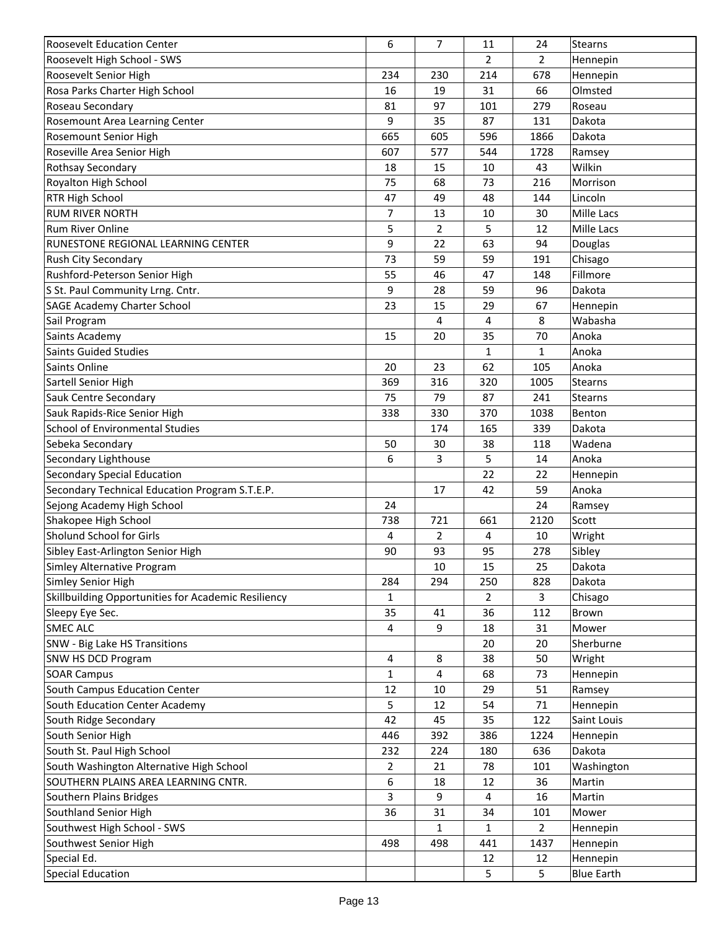| Roosevelt High School - SWS<br>2<br>2<br>Hennepin<br>Roosevelt Senior High<br>214<br>234<br>230<br>678<br>Hennepin<br>Olmsted<br>Rosa Parks Charter High School<br>16<br>19<br>31<br>66<br>97<br>Roseau Secondary<br>81<br>101<br>279<br>Roseau<br>9<br>35<br>87<br>Dakota<br>Rosemount Area Learning Center<br>131<br>605<br>1866<br>Dakota<br>Rosemount Senior High<br>665<br>596<br>Roseville Area Senior High<br>607<br>577<br>544<br>1728<br>Ramsey<br>43<br>Wilkin<br>Rothsay Secondary<br>18<br>15<br>10<br>Royalton High School<br>75<br>68<br>73<br>216<br>Morrison<br>47<br>RTR High School<br>49<br>48<br>144<br>Lincoln<br><b>RUM RIVER NORTH</b><br>30<br>Mille Lacs<br>7<br>13<br>10<br><b>Rum River Online</b><br>5<br>2<br>5<br>12<br>Mille Lacs<br>9<br>RUNESTONE REGIONAL LEARNING CENTER<br>22<br>63<br>94<br>Douglas<br>Rush City Secondary<br>73<br>59<br>59<br>Chisago<br>191<br>Rushford-Peterson Senior High<br>46<br>Fillmore<br>55<br>47<br>148<br>S St. Paul Community Lrng. Cntr.<br>9<br>28<br>96<br>Dakota<br>59<br><b>SAGE Academy Charter School</b><br>29<br>23<br>15<br>67<br>Hennepin<br>Sail Program<br>8<br>Wabasha<br>4<br>4<br>Saints Academy<br>20<br>35<br>70<br>Anoka<br>15<br><b>Saints Guided Studies</b><br>$\mathbf 1$<br>$\mathbf{1}$<br>Anoka<br>62<br>105<br>Saints Online<br>20<br>23<br>Anoka<br>Sartell Senior High<br>369<br>316<br>320<br>1005<br><b>Stearns</b><br>Sauk Centre Secondary<br>75<br>79<br>87<br>241<br><b>Stearns</b><br>Sauk Rapids-Rice Senior High<br>338<br>330<br>370<br>1038<br>Benton<br><b>School of Environmental Studies</b><br>174<br>339<br>Dakota<br>165<br>Sebeka Secondary<br>50<br>30<br>38<br>118<br>Wadena<br>6<br>3<br>5<br>Secondary Lighthouse<br>14<br>Anoka<br><b>Secondary Special Education</b><br>22<br>22<br>Hennepin<br>Secondary Technical Education Program S.T.E.P.<br>59<br>Anoka<br>17<br>42<br>Sejong Academy High School<br>24<br>24<br>Ramsey<br>Shakopee High School<br>738<br>2120<br>Scott<br>721<br>661<br>Sholund School for Girls<br>$\overline{2}$<br>4<br>10<br>Wright<br>4<br>90<br>93<br>Sibley East-Arlington Senior High<br>95<br>Sibley<br>278<br>Simley Alternative Program<br>10<br>15<br>25<br>Dakota<br>Simley Senior High<br>284<br>294<br>250<br>828<br>Dakota<br>3<br>Skillbuilding Opportunities for Academic Resiliency<br>$\overline{2}$<br>$\mathbf{1}$<br>Chisago<br>35<br>36<br>112<br>Sleepy Eye Sec.<br>Brown<br>41<br>9<br><b>SMEC ALC</b><br>4<br>18<br>31<br>Mower<br>SNW - Big Lake HS Transitions<br>20<br>20<br>Sherburne<br>SNW HS DCD Program<br>4<br>8<br>38<br>50<br>Wright<br><b>SOAR Campus</b><br>Hennepin<br>4<br>68<br>73<br>$\mathbf{1}$<br>South Campus Education Center<br>12<br>51<br>10<br>29<br>Ramsey<br>5<br>71<br>South Education Center Academy<br>12<br>54<br>Hennepin<br>South Ridge Secondary<br>42<br>45<br>35<br>122<br>Saint Louis<br>South Senior High<br>446<br>392<br>386<br>1224<br>Hennepin<br>South St. Paul High School<br>232<br>636<br>Dakota<br>224<br>180<br>South Washington Alternative High School<br>$\overline{2}$<br>21<br>78<br>101<br>Washington<br>SOUTHERN PLAINS AREA LEARNING CNTR.<br>6<br>18<br>12<br>36<br>Martin<br>3<br>9<br>Southern Plains Bridges<br>$\overline{4}$<br>16<br>Martin<br>Southland Senior High<br>31<br>36<br>34<br>101<br>Mower<br>Southwest High School - SWS<br>$\overline{2}$<br>1<br>$\mathbf{1}$<br>Hennepin<br>Southwest Senior High<br>498<br>498<br>441<br>1437<br>Hennepin<br>Special Ed.<br>Hennepin<br>12<br>12 | <b>Roosevelt Education Center</b> | 6 | 7 | 11 | 24 | Stearns           |
|----------------------------------------------------------------------------------------------------------------------------------------------------------------------------------------------------------------------------------------------------------------------------------------------------------------------------------------------------------------------------------------------------------------------------------------------------------------------------------------------------------------------------------------------------------------------------------------------------------------------------------------------------------------------------------------------------------------------------------------------------------------------------------------------------------------------------------------------------------------------------------------------------------------------------------------------------------------------------------------------------------------------------------------------------------------------------------------------------------------------------------------------------------------------------------------------------------------------------------------------------------------------------------------------------------------------------------------------------------------------------------------------------------------------------------------------------------------------------------------------------------------------------------------------------------------------------------------------------------------------------------------------------------------------------------------------------------------------------------------------------------------------------------------------------------------------------------------------------------------------------------------------------------------------------------------------------------------------------------------------------------------------------------------------------------------------------------------------------------------------------------------------------------------------------------------------------------------------------------------------------------------------------------------------------------------------------------------------------------------------------------------------------------------------------------------------------------------------------------------------------------------------------------------------------------------------------------------------------------------------------------------------------------------------------------------------------------------------------------------------------------------------------------------------------------------------------------------------------------------------------------------------------------------------------------------------------------------------------------------------------------------------------------------------------------------------------------------------------------------------------------------------------------------------------------------------------------------------------------------------------------------------------------------------------------------------------------------------------------------------------------------------------------------------------------------------------------------------------------------------------------------------------------------------|-----------------------------------|---|---|----|----|-------------------|
|                                                                                                                                                                                                                                                                                                                                                                                                                                                                                                                                                                                                                                                                                                                                                                                                                                                                                                                                                                                                                                                                                                                                                                                                                                                                                                                                                                                                                                                                                                                                                                                                                                                                                                                                                                                                                                                                                                                                                                                                                                                                                                                                                                                                                                                                                                                                                                                                                                                                                                                                                                                                                                                                                                                                                                                                                                                                                                                                                                                                                                                                                                                                                                                                                                                                                                                                                                                                                                                                                                                                              |                                   |   |   |    |    |                   |
|                                                                                                                                                                                                                                                                                                                                                                                                                                                                                                                                                                                                                                                                                                                                                                                                                                                                                                                                                                                                                                                                                                                                                                                                                                                                                                                                                                                                                                                                                                                                                                                                                                                                                                                                                                                                                                                                                                                                                                                                                                                                                                                                                                                                                                                                                                                                                                                                                                                                                                                                                                                                                                                                                                                                                                                                                                                                                                                                                                                                                                                                                                                                                                                                                                                                                                                                                                                                                                                                                                                                              |                                   |   |   |    |    |                   |
|                                                                                                                                                                                                                                                                                                                                                                                                                                                                                                                                                                                                                                                                                                                                                                                                                                                                                                                                                                                                                                                                                                                                                                                                                                                                                                                                                                                                                                                                                                                                                                                                                                                                                                                                                                                                                                                                                                                                                                                                                                                                                                                                                                                                                                                                                                                                                                                                                                                                                                                                                                                                                                                                                                                                                                                                                                                                                                                                                                                                                                                                                                                                                                                                                                                                                                                                                                                                                                                                                                                                              |                                   |   |   |    |    |                   |
|                                                                                                                                                                                                                                                                                                                                                                                                                                                                                                                                                                                                                                                                                                                                                                                                                                                                                                                                                                                                                                                                                                                                                                                                                                                                                                                                                                                                                                                                                                                                                                                                                                                                                                                                                                                                                                                                                                                                                                                                                                                                                                                                                                                                                                                                                                                                                                                                                                                                                                                                                                                                                                                                                                                                                                                                                                                                                                                                                                                                                                                                                                                                                                                                                                                                                                                                                                                                                                                                                                                                              |                                   |   |   |    |    |                   |
|                                                                                                                                                                                                                                                                                                                                                                                                                                                                                                                                                                                                                                                                                                                                                                                                                                                                                                                                                                                                                                                                                                                                                                                                                                                                                                                                                                                                                                                                                                                                                                                                                                                                                                                                                                                                                                                                                                                                                                                                                                                                                                                                                                                                                                                                                                                                                                                                                                                                                                                                                                                                                                                                                                                                                                                                                                                                                                                                                                                                                                                                                                                                                                                                                                                                                                                                                                                                                                                                                                                                              |                                   |   |   |    |    |                   |
|                                                                                                                                                                                                                                                                                                                                                                                                                                                                                                                                                                                                                                                                                                                                                                                                                                                                                                                                                                                                                                                                                                                                                                                                                                                                                                                                                                                                                                                                                                                                                                                                                                                                                                                                                                                                                                                                                                                                                                                                                                                                                                                                                                                                                                                                                                                                                                                                                                                                                                                                                                                                                                                                                                                                                                                                                                                                                                                                                                                                                                                                                                                                                                                                                                                                                                                                                                                                                                                                                                                                              |                                   |   |   |    |    |                   |
|                                                                                                                                                                                                                                                                                                                                                                                                                                                                                                                                                                                                                                                                                                                                                                                                                                                                                                                                                                                                                                                                                                                                                                                                                                                                                                                                                                                                                                                                                                                                                                                                                                                                                                                                                                                                                                                                                                                                                                                                                                                                                                                                                                                                                                                                                                                                                                                                                                                                                                                                                                                                                                                                                                                                                                                                                                                                                                                                                                                                                                                                                                                                                                                                                                                                                                                                                                                                                                                                                                                                              |                                   |   |   |    |    |                   |
|                                                                                                                                                                                                                                                                                                                                                                                                                                                                                                                                                                                                                                                                                                                                                                                                                                                                                                                                                                                                                                                                                                                                                                                                                                                                                                                                                                                                                                                                                                                                                                                                                                                                                                                                                                                                                                                                                                                                                                                                                                                                                                                                                                                                                                                                                                                                                                                                                                                                                                                                                                                                                                                                                                                                                                                                                                                                                                                                                                                                                                                                                                                                                                                                                                                                                                                                                                                                                                                                                                                                              |                                   |   |   |    |    |                   |
|                                                                                                                                                                                                                                                                                                                                                                                                                                                                                                                                                                                                                                                                                                                                                                                                                                                                                                                                                                                                                                                                                                                                                                                                                                                                                                                                                                                                                                                                                                                                                                                                                                                                                                                                                                                                                                                                                                                                                                                                                                                                                                                                                                                                                                                                                                                                                                                                                                                                                                                                                                                                                                                                                                                                                                                                                                                                                                                                                                                                                                                                                                                                                                                                                                                                                                                                                                                                                                                                                                                                              |                                   |   |   |    |    |                   |
|                                                                                                                                                                                                                                                                                                                                                                                                                                                                                                                                                                                                                                                                                                                                                                                                                                                                                                                                                                                                                                                                                                                                                                                                                                                                                                                                                                                                                                                                                                                                                                                                                                                                                                                                                                                                                                                                                                                                                                                                                                                                                                                                                                                                                                                                                                                                                                                                                                                                                                                                                                                                                                                                                                                                                                                                                                                                                                                                                                                                                                                                                                                                                                                                                                                                                                                                                                                                                                                                                                                                              |                                   |   |   |    |    |                   |
|                                                                                                                                                                                                                                                                                                                                                                                                                                                                                                                                                                                                                                                                                                                                                                                                                                                                                                                                                                                                                                                                                                                                                                                                                                                                                                                                                                                                                                                                                                                                                                                                                                                                                                                                                                                                                                                                                                                                                                                                                                                                                                                                                                                                                                                                                                                                                                                                                                                                                                                                                                                                                                                                                                                                                                                                                                                                                                                                                                                                                                                                                                                                                                                                                                                                                                                                                                                                                                                                                                                                              |                                   |   |   |    |    |                   |
|                                                                                                                                                                                                                                                                                                                                                                                                                                                                                                                                                                                                                                                                                                                                                                                                                                                                                                                                                                                                                                                                                                                                                                                                                                                                                                                                                                                                                                                                                                                                                                                                                                                                                                                                                                                                                                                                                                                                                                                                                                                                                                                                                                                                                                                                                                                                                                                                                                                                                                                                                                                                                                                                                                                                                                                                                                                                                                                                                                                                                                                                                                                                                                                                                                                                                                                                                                                                                                                                                                                                              |                                   |   |   |    |    |                   |
|                                                                                                                                                                                                                                                                                                                                                                                                                                                                                                                                                                                                                                                                                                                                                                                                                                                                                                                                                                                                                                                                                                                                                                                                                                                                                                                                                                                                                                                                                                                                                                                                                                                                                                                                                                                                                                                                                                                                                                                                                                                                                                                                                                                                                                                                                                                                                                                                                                                                                                                                                                                                                                                                                                                                                                                                                                                                                                                                                                                                                                                                                                                                                                                                                                                                                                                                                                                                                                                                                                                                              |                                   |   |   |    |    |                   |
|                                                                                                                                                                                                                                                                                                                                                                                                                                                                                                                                                                                                                                                                                                                                                                                                                                                                                                                                                                                                                                                                                                                                                                                                                                                                                                                                                                                                                                                                                                                                                                                                                                                                                                                                                                                                                                                                                                                                                                                                                                                                                                                                                                                                                                                                                                                                                                                                                                                                                                                                                                                                                                                                                                                                                                                                                                                                                                                                                                                                                                                                                                                                                                                                                                                                                                                                                                                                                                                                                                                                              |                                   |   |   |    |    |                   |
|                                                                                                                                                                                                                                                                                                                                                                                                                                                                                                                                                                                                                                                                                                                                                                                                                                                                                                                                                                                                                                                                                                                                                                                                                                                                                                                                                                                                                                                                                                                                                                                                                                                                                                                                                                                                                                                                                                                                                                                                                                                                                                                                                                                                                                                                                                                                                                                                                                                                                                                                                                                                                                                                                                                                                                                                                                                                                                                                                                                                                                                                                                                                                                                                                                                                                                                                                                                                                                                                                                                                              |                                   |   |   |    |    |                   |
|                                                                                                                                                                                                                                                                                                                                                                                                                                                                                                                                                                                                                                                                                                                                                                                                                                                                                                                                                                                                                                                                                                                                                                                                                                                                                                                                                                                                                                                                                                                                                                                                                                                                                                                                                                                                                                                                                                                                                                                                                                                                                                                                                                                                                                                                                                                                                                                                                                                                                                                                                                                                                                                                                                                                                                                                                                                                                                                                                                                                                                                                                                                                                                                                                                                                                                                                                                                                                                                                                                                                              |                                   |   |   |    |    |                   |
|                                                                                                                                                                                                                                                                                                                                                                                                                                                                                                                                                                                                                                                                                                                                                                                                                                                                                                                                                                                                                                                                                                                                                                                                                                                                                                                                                                                                                                                                                                                                                                                                                                                                                                                                                                                                                                                                                                                                                                                                                                                                                                                                                                                                                                                                                                                                                                                                                                                                                                                                                                                                                                                                                                                                                                                                                                                                                                                                                                                                                                                                                                                                                                                                                                                                                                                                                                                                                                                                                                                                              |                                   |   |   |    |    |                   |
|                                                                                                                                                                                                                                                                                                                                                                                                                                                                                                                                                                                                                                                                                                                                                                                                                                                                                                                                                                                                                                                                                                                                                                                                                                                                                                                                                                                                                                                                                                                                                                                                                                                                                                                                                                                                                                                                                                                                                                                                                                                                                                                                                                                                                                                                                                                                                                                                                                                                                                                                                                                                                                                                                                                                                                                                                                                                                                                                                                                                                                                                                                                                                                                                                                                                                                                                                                                                                                                                                                                                              |                                   |   |   |    |    |                   |
|                                                                                                                                                                                                                                                                                                                                                                                                                                                                                                                                                                                                                                                                                                                                                                                                                                                                                                                                                                                                                                                                                                                                                                                                                                                                                                                                                                                                                                                                                                                                                                                                                                                                                                                                                                                                                                                                                                                                                                                                                                                                                                                                                                                                                                                                                                                                                                                                                                                                                                                                                                                                                                                                                                                                                                                                                                                                                                                                                                                                                                                                                                                                                                                                                                                                                                                                                                                                                                                                                                                                              |                                   |   |   |    |    |                   |
|                                                                                                                                                                                                                                                                                                                                                                                                                                                                                                                                                                                                                                                                                                                                                                                                                                                                                                                                                                                                                                                                                                                                                                                                                                                                                                                                                                                                                                                                                                                                                                                                                                                                                                                                                                                                                                                                                                                                                                                                                                                                                                                                                                                                                                                                                                                                                                                                                                                                                                                                                                                                                                                                                                                                                                                                                                                                                                                                                                                                                                                                                                                                                                                                                                                                                                                                                                                                                                                                                                                                              |                                   |   |   |    |    |                   |
|                                                                                                                                                                                                                                                                                                                                                                                                                                                                                                                                                                                                                                                                                                                                                                                                                                                                                                                                                                                                                                                                                                                                                                                                                                                                                                                                                                                                                                                                                                                                                                                                                                                                                                                                                                                                                                                                                                                                                                                                                                                                                                                                                                                                                                                                                                                                                                                                                                                                                                                                                                                                                                                                                                                                                                                                                                                                                                                                                                                                                                                                                                                                                                                                                                                                                                                                                                                                                                                                                                                                              |                                   |   |   |    |    |                   |
|                                                                                                                                                                                                                                                                                                                                                                                                                                                                                                                                                                                                                                                                                                                                                                                                                                                                                                                                                                                                                                                                                                                                                                                                                                                                                                                                                                                                                                                                                                                                                                                                                                                                                                                                                                                                                                                                                                                                                                                                                                                                                                                                                                                                                                                                                                                                                                                                                                                                                                                                                                                                                                                                                                                                                                                                                                                                                                                                                                                                                                                                                                                                                                                                                                                                                                                                                                                                                                                                                                                                              |                                   |   |   |    |    |                   |
|                                                                                                                                                                                                                                                                                                                                                                                                                                                                                                                                                                                                                                                                                                                                                                                                                                                                                                                                                                                                                                                                                                                                                                                                                                                                                                                                                                                                                                                                                                                                                                                                                                                                                                                                                                                                                                                                                                                                                                                                                                                                                                                                                                                                                                                                                                                                                                                                                                                                                                                                                                                                                                                                                                                                                                                                                                                                                                                                                                                                                                                                                                                                                                                                                                                                                                                                                                                                                                                                                                                                              |                                   |   |   |    |    |                   |
|                                                                                                                                                                                                                                                                                                                                                                                                                                                                                                                                                                                                                                                                                                                                                                                                                                                                                                                                                                                                                                                                                                                                                                                                                                                                                                                                                                                                                                                                                                                                                                                                                                                                                                                                                                                                                                                                                                                                                                                                                                                                                                                                                                                                                                                                                                                                                                                                                                                                                                                                                                                                                                                                                                                                                                                                                                                                                                                                                                                                                                                                                                                                                                                                                                                                                                                                                                                                                                                                                                                                              |                                   |   |   |    |    |                   |
|                                                                                                                                                                                                                                                                                                                                                                                                                                                                                                                                                                                                                                                                                                                                                                                                                                                                                                                                                                                                                                                                                                                                                                                                                                                                                                                                                                                                                                                                                                                                                                                                                                                                                                                                                                                                                                                                                                                                                                                                                                                                                                                                                                                                                                                                                                                                                                                                                                                                                                                                                                                                                                                                                                                                                                                                                                                                                                                                                                                                                                                                                                                                                                                                                                                                                                                                                                                                                                                                                                                                              |                                   |   |   |    |    |                   |
|                                                                                                                                                                                                                                                                                                                                                                                                                                                                                                                                                                                                                                                                                                                                                                                                                                                                                                                                                                                                                                                                                                                                                                                                                                                                                                                                                                                                                                                                                                                                                                                                                                                                                                                                                                                                                                                                                                                                                                                                                                                                                                                                                                                                                                                                                                                                                                                                                                                                                                                                                                                                                                                                                                                                                                                                                                                                                                                                                                                                                                                                                                                                                                                                                                                                                                                                                                                                                                                                                                                                              |                                   |   |   |    |    |                   |
|                                                                                                                                                                                                                                                                                                                                                                                                                                                                                                                                                                                                                                                                                                                                                                                                                                                                                                                                                                                                                                                                                                                                                                                                                                                                                                                                                                                                                                                                                                                                                                                                                                                                                                                                                                                                                                                                                                                                                                                                                                                                                                                                                                                                                                                                                                                                                                                                                                                                                                                                                                                                                                                                                                                                                                                                                                                                                                                                                                                                                                                                                                                                                                                                                                                                                                                                                                                                                                                                                                                                              |                                   |   |   |    |    |                   |
|                                                                                                                                                                                                                                                                                                                                                                                                                                                                                                                                                                                                                                                                                                                                                                                                                                                                                                                                                                                                                                                                                                                                                                                                                                                                                                                                                                                                                                                                                                                                                                                                                                                                                                                                                                                                                                                                                                                                                                                                                                                                                                                                                                                                                                                                                                                                                                                                                                                                                                                                                                                                                                                                                                                                                                                                                                                                                                                                                                                                                                                                                                                                                                                                                                                                                                                                                                                                                                                                                                                                              |                                   |   |   |    |    |                   |
|                                                                                                                                                                                                                                                                                                                                                                                                                                                                                                                                                                                                                                                                                                                                                                                                                                                                                                                                                                                                                                                                                                                                                                                                                                                                                                                                                                                                                                                                                                                                                                                                                                                                                                                                                                                                                                                                                                                                                                                                                                                                                                                                                                                                                                                                                                                                                                                                                                                                                                                                                                                                                                                                                                                                                                                                                                                                                                                                                                                                                                                                                                                                                                                                                                                                                                                                                                                                                                                                                                                                              |                                   |   |   |    |    |                   |
|                                                                                                                                                                                                                                                                                                                                                                                                                                                                                                                                                                                                                                                                                                                                                                                                                                                                                                                                                                                                                                                                                                                                                                                                                                                                                                                                                                                                                                                                                                                                                                                                                                                                                                                                                                                                                                                                                                                                                                                                                                                                                                                                                                                                                                                                                                                                                                                                                                                                                                                                                                                                                                                                                                                                                                                                                                                                                                                                                                                                                                                                                                                                                                                                                                                                                                                                                                                                                                                                                                                                              |                                   |   |   |    |    |                   |
|                                                                                                                                                                                                                                                                                                                                                                                                                                                                                                                                                                                                                                                                                                                                                                                                                                                                                                                                                                                                                                                                                                                                                                                                                                                                                                                                                                                                                                                                                                                                                                                                                                                                                                                                                                                                                                                                                                                                                                                                                                                                                                                                                                                                                                                                                                                                                                                                                                                                                                                                                                                                                                                                                                                                                                                                                                                                                                                                                                                                                                                                                                                                                                                                                                                                                                                                                                                                                                                                                                                                              |                                   |   |   |    |    |                   |
|                                                                                                                                                                                                                                                                                                                                                                                                                                                                                                                                                                                                                                                                                                                                                                                                                                                                                                                                                                                                                                                                                                                                                                                                                                                                                                                                                                                                                                                                                                                                                                                                                                                                                                                                                                                                                                                                                                                                                                                                                                                                                                                                                                                                                                                                                                                                                                                                                                                                                                                                                                                                                                                                                                                                                                                                                                                                                                                                                                                                                                                                                                                                                                                                                                                                                                                                                                                                                                                                                                                                              |                                   |   |   |    |    |                   |
|                                                                                                                                                                                                                                                                                                                                                                                                                                                                                                                                                                                                                                                                                                                                                                                                                                                                                                                                                                                                                                                                                                                                                                                                                                                                                                                                                                                                                                                                                                                                                                                                                                                                                                                                                                                                                                                                                                                                                                                                                                                                                                                                                                                                                                                                                                                                                                                                                                                                                                                                                                                                                                                                                                                                                                                                                                                                                                                                                                                                                                                                                                                                                                                                                                                                                                                                                                                                                                                                                                                                              |                                   |   |   |    |    |                   |
|                                                                                                                                                                                                                                                                                                                                                                                                                                                                                                                                                                                                                                                                                                                                                                                                                                                                                                                                                                                                                                                                                                                                                                                                                                                                                                                                                                                                                                                                                                                                                                                                                                                                                                                                                                                                                                                                                                                                                                                                                                                                                                                                                                                                                                                                                                                                                                                                                                                                                                                                                                                                                                                                                                                                                                                                                                                                                                                                                                                                                                                                                                                                                                                                                                                                                                                                                                                                                                                                                                                                              |                                   |   |   |    |    |                   |
|                                                                                                                                                                                                                                                                                                                                                                                                                                                                                                                                                                                                                                                                                                                                                                                                                                                                                                                                                                                                                                                                                                                                                                                                                                                                                                                                                                                                                                                                                                                                                                                                                                                                                                                                                                                                                                                                                                                                                                                                                                                                                                                                                                                                                                                                                                                                                                                                                                                                                                                                                                                                                                                                                                                                                                                                                                                                                                                                                                                                                                                                                                                                                                                                                                                                                                                                                                                                                                                                                                                                              |                                   |   |   |    |    |                   |
|                                                                                                                                                                                                                                                                                                                                                                                                                                                                                                                                                                                                                                                                                                                                                                                                                                                                                                                                                                                                                                                                                                                                                                                                                                                                                                                                                                                                                                                                                                                                                                                                                                                                                                                                                                                                                                                                                                                                                                                                                                                                                                                                                                                                                                                                                                                                                                                                                                                                                                                                                                                                                                                                                                                                                                                                                                                                                                                                                                                                                                                                                                                                                                                                                                                                                                                                                                                                                                                                                                                                              |                                   |   |   |    |    |                   |
|                                                                                                                                                                                                                                                                                                                                                                                                                                                                                                                                                                                                                                                                                                                                                                                                                                                                                                                                                                                                                                                                                                                                                                                                                                                                                                                                                                                                                                                                                                                                                                                                                                                                                                                                                                                                                                                                                                                                                                                                                                                                                                                                                                                                                                                                                                                                                                                                                                                                                                                                                                                                                                                                                                                                                                                                                                                                                                                                                                                                                                                                                                                                                                                                                                                                                                                                                                                                                                                                                                                                              |                                   |   |   |    |    |                   |
|                                                                                                                                                                                                                                                                                                                                                                                                                                                                                                                                                                                                                                                                                                                                                                                                                                                                                                                                                                                                                                                                                                                                                                                                                                                                                                                                                                                                                                                                                                                                                                                                                                                                                                                                                                                                                                                                                                                                                                                                                                                                                                                                                                                                                                                                                                                                                                                                                                                                                                                                                                                                                                                                                                                                                                                                                                                                                                                                                                                                                                                                                                                                                                                                                                                                                                                                                                                                                                                                                                                                              |                                   |   |   |    |    |                   |
|                                                                                                                                                                                                                                                                                                                                                                                                                                                                                                                                                                                                                                                                                                                                                                                                                                                                                                                                                                                                                                                                                                                                                                                                                                                                                                                                                                                                                                                                                                                                                                                                                                                                                                                                                                                                                                                                                                                                                                                                                                                                                                                                                                                                                                                                                                                                                                                                                                                                                                                                                                                                                                                                                                                                                                                                                                                                                                                                                                                                                                                                                                                                                                                                                                                                                                                                                                                                                                                                                                                                              |                                   |   |   |    |    |                   |
|                                                                                                                                                                                                                                                                                                                                                                                                                                                                                                                                                                                                                                                                                                                                                                                                                                                                                                                                                                                                                                                                                                                                                                                                                                                                                                                                                                                                                                                                                                                                                                                                                                                                                                                                                                                                                                                                                                                                                                                                                                                                                                                                                                                                                                                                                                                                                                                                                                                                                                                                                                                                                                                                                                                                                                                                                                                                                                                                                                                                                                                                                                                                                                                                                                                                                                                                                                                                                                                                                                                                              |                                   |   |   |    |    |                   |
|                                                                                                                                                                                                                                                                                                                                                                                                                                                                                                                                                                                                                                                                                                                                                                                                                                                                                                                                                                                                                                                                                                                                                                                                                                                                                                                                                                                                                                                                                                                                                                                                                                                                                                                                                                                                                                                                                                                                                                                                                                                                                                                                                                                                                                                                                                                                                                                                                                                                                                                                                                                                                                                                                                                                                                                                                                                                                                                                                                                                                                                                                                                                                                                                                                                                                                                                                                                                                                                                                                                                              |                                   |   |   |    |    |                   |
|                                                                                                                                                                                                                                                                                                                                                                                                                                                                                                                                                                                                                                                                                                                                                                                                                                                                                                                                                                                                                                                                                                                                                                                                                                                                                                                                                                                                                                                                                                                                                                                                                                                                                                                                                                                                                                                                                                                                                                                                                                                                                                                                                                                                                                                                                                                                                                                                                                                                                                                                                                                                                                                                                                                                                                                                                                                                                                                                                                                                                                                                                                                                                                                                                                                                                                                                                                                                                                                                                                                                              |                                   |   |   |    |    |                   |
|                                                                                                                                                                                                                                                                                                                                                                                                                                                                                                                                                                                                                                                                                                                                                                                                                                                                                                                                                                                                                                                                                                                                                                                                                                                                                                                                                                                                                                                                                                                                                                                                                                                                                                                                                                                                                                                                                                                                                                                                                                                                                                                                                                                                                                                                                                                                                                                                                                                                                                                                                                                                                                                                                                                                                                                                                                                                                                                                                                                                                                                                                                                                                                                                                                                                                                                                                                                                                                                                                                                                              |                                   |   |   |    |    |                   |
|                                                                                                                                                                                                                                                                                                                                                                                                                                                                                                                                                                                                                                                                                                                                                                                                                                                                                                                                                                                                                                                                                                                                                                                                                                                                                                                                                                                                                                                                                                                                                                                                                                                                                                                                                                                                                                                                                                                                                                                                                                                                                                                                                                                                                                                                                                                                                                                                                                                                                                                                                                                                                                                                                                                                                                                                                                                                                                                                                                                                                                                                                                                                                                                                                                                                                                                                                                                                                                                                                                                                              |                                   |   |   |    |    |                   |
|                                                                                                                                                                                                                                                                                                                                                                                                                                                                                                                                                                                                                                                                                                                                                                                                                                                                                                                                                                                                                                                                                                                                                                                                                                                                                                                                                                                                                                                                                                                                                                                                                                                                                                                                                                                                                                                                                                                                                                                                                                                                                                                                                                                                                                                                                                                                                                                                                                                                                                                                                                                                                                                                                                                                                                                                                                                                                                                                                                                                                                                                                                                                                                                                                                                                                                                                                                                                                                                                                                                                              |                                   |   |   |    |    |                   |
|                                                                                                                                                                                                                                                                                                                                                                                                                                                                                                                                                                                                                                                                                                                                                                                                                                                                                                                                                                                                                                                                                                                                                                                                                                                                                                                                                                                                                                                                                                                                                                                                                                                                                                                                                                                                                                                                                                                                                                                                                                                                                                                                                                                                                                                                                                                                                                                                                                                                                                                                                                                                                                                                                                                                                                                                                                                                                                                                                                                                                                                                                                                                                                                                                                                                                                                                                                                                                                                                                                                                              |                                   |   |   |    |    |                   |
|                                                                                                                                                                                                                                                                                                                                                                                                                                                                                                                                                                                                                                                                                                                                                                                                                                                                                                                                                                                                                                                                                                                                                                                                                                                                                                                                                                                                                                                                                                                                                                                                                                                                                                                                                                                                                                                                                                                                                                                                                                                                                                                                                                                                                                                                                                                                                                                                                                                                                                                                                                                                                                                                                                                                                                                                                                                                                                                                                                                                                                                                                                                                                                                                                                                                                                                                                                                                                                                                                                                                              |                                   |   |   |    |    |                   |
|                                                                                                                                                                                                                                                                                                                                                                                                                                                                                                                                                                                                                                                                                                                                                                                                                                                                                                                                                                                                                                                                                                                                                                                                                                                                                                                                                                                                                                                                                                                                                                                                                                                                                                                                                                                                                                                                                                                                                                                                                                                                                                                                                                                                                                                                                                                                                                                                                                                                                                                                                                                                                                                                                                                                                                                                                                                                                                                                                                                                                                                                                                                                                                                                                                                                                                                                                                                                                                                                                                                                              |                                   |   |   |    |    |                   |
|                                                                                                                                                                                                                                                                                                                                                                                                                                                                                                                                                                                                                                                                                                                                                                                                                                                                                                                                                                                                                                                                                                                                                                                                                                                                                                                                                                                                                                                                                                                                                                                                                                                                                                                                                                                                                                                                                                                                                                                                                                                                                                                                                                                                                                                                                                                                                                                                                                                                                                                                                                                                                                                                                                                                                                                                                                                                                                                                                                                                                                                                                                                                                                                                                                                                                                                                                                                                                                                                                                                                              |                                   |   |   |    |    |                   |
|                                                                                                                                                                                                                                                                                                                                                                                                                                                                                                                                                                                                                                                                                                                                                                                                                                                                                                                                                                                                                                                                                                                                                                                                                                                                                                                                                                                                                                                                                                                                                                                                                                                                                                                                                                                                                                                                                                                                                                                                                                                                                                                                                                                                                                                                                                                                                                                                                                                                                                                                                                                                                                                                                                                                                                                                                                                                                                                                                                                                                                                                                                                                                                                                                                                                                                                                                                                                                                                                                                                                              |                                   |   |   |    |    |                   |
|                                                                                                                                                                                                                                                                                                                                                                                                                                                                                                                                                                                                                                                                                                                                                                                                                                                                                                                                                                                                                                                                                                                                                                                                                                                                                                                                                                                                                                                                                                                                                                                                                                                                                                                                                                                                                                                                                                                                                                                                                                                                                                                                                                                                                                                                                                                                                                                                                                                                                                                                                                                                                                                                                                                                                                                                                                                                                                                                                                                                                                                                                                                                                                                                                                                                                                                                                                                                                                                                                                                                              |                                   |   |   |    |    |                   |
|                                                                                                                                                                                                                                                                                                                                                                                                                                                                                                                                                                                                                                                                                                                                                                                                                                                                                                                                                                                                                                                                                                                                                                                                                                                                                                                                                                                                                                                                                                                                                                                                                                                                                                                                                                                                                                                                                                                                                                                                                                                                                                                                                                                                                                                                                                                                                                                                                                                                                                                                                                                                                                                                                                                                                                                                                                                                                                                                                                                                                                                                                                                                                                                                                                                                                                                                                                                                                                                                                                                                              |                                   |   |   |    |    |                   |
|                                                                                                                                                                                                                                                                                                                                                                                                                                                                                                                                                                                                                                                                                                                                                                                                                                                                                                                                                                                                                                                                                                                                                                                                                                                                                                                                                                                                                                                                                                                                                                                                                                                                                                                                                                                                                                                                                                                                                                                                                                                                                                                                                                                                                                                                                                                                                                                                                                                                                                                                                                                                                                                                                                                                                                                                                                                                                                                                                                                                                                                                                                                                                                                                                                                                                                                                                                                                                                                                                                                                              |                                   |   |   |    |    |                   |
|                                                                                                                                                                                                                                                                                                                                                                                                                                                                                                                                                                                                                                                                                                                                                                                                                                                                                                                                                                                                                                                                                                                                                                                                                                                                                                                                                                                                                                                                                                                                                                                                                                                                                                                                                                                                                                                                                                                                                                                                                                                                                                                                                                                                                                                                                                                                                                                                                                                                                                                                                                                                                                                                                                                                                                                                                                                                                                                                                                                                                                                                                                                                                                                                                                                                                                                                                                                                                                                                                                                                              |                                   |   |   |    |    |                   |
|                                                                                                                                                                                                                                                                                                                                                                                                                                                                                                                                                                                                                                                                                                                                                                                                                                                                                                                                                                                                                                                                                                                                                                                                                                                                                                                                                                                                                                                                                                                                                                                                                                                                                                                                                                                                                                                                                                                                                                                                                                                                                                                                                                                                                                                                                                                                                                                                                                                                                                                                                                                                                                                                                                                                                                                                                                                                                                                                                                                                                                                                                                                                                                                                                                                                                                                                                                                                                                                                                                                                              | <b>Special Education</b>          |   |   | 5  | 5  | <b>Blue Earth</b> |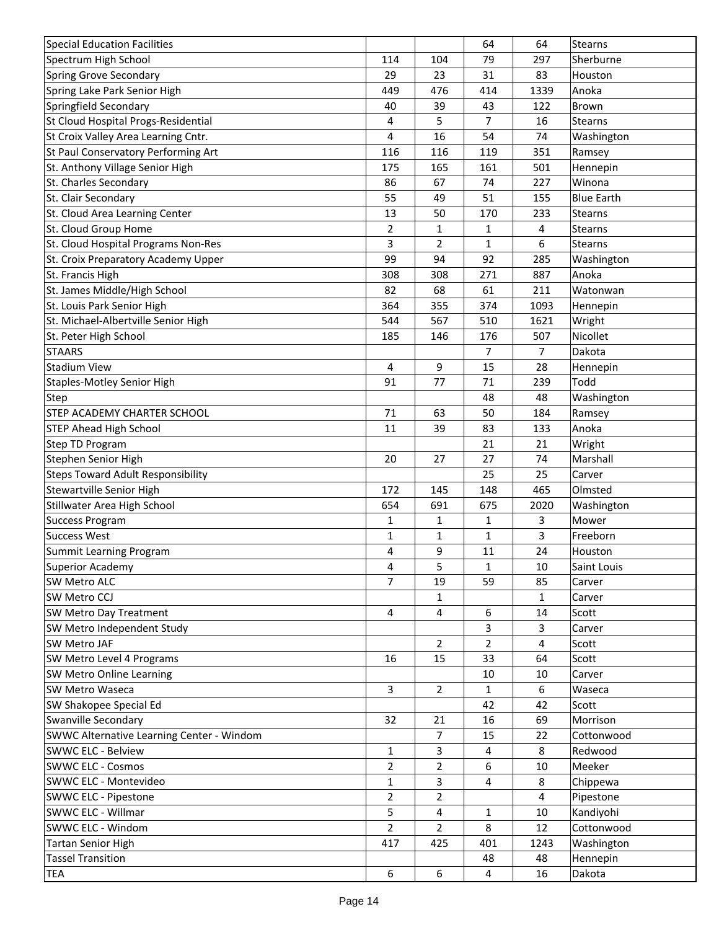| <b>Special Education Facilities</b>       |                |                | 64             | 64             | <b>Stearns</b>    |
|-------------------------------------------|----------------|----------------|----------------|----------------|-------------------|
| Spectrum High School                      | 114            | 104            | 79             | 297            | Sherburne         |
| <b>Spring Grove Secondary</b>             | 29             | 23             | 31             | 83             | Houston           |
| Spring Lake Park Senior High              | 449            | 476            | 414            | 1339           | Anoka             |
| Springfield Secondary                     | 40             | 39             | 43             | 122            | Brown             |
| St Cloud Hospital Progs-Residential       | 4              | 5              | $\overline{7}$ | 16             | <b>Stearns</b>    |
| St Croix Valley Area Learning Cntr.       | 4              | 16             | 54             | 74             | Washington        |
| St Paul Conservatory Performing Art       | 116            | 116            | 119            | 351            | Ramsey            |
| St. Anthony Village Senior High           | 175            | 165            | 161            | 501            | Hennepin          |
| St. Charles Secondary                     | 86             | 67             | 74             | 227            | Winona            |
| St. Clair Secondary                       | 55             | 49             | 51             | 155            | <b>Blue Earth</b> |
| St. Cloud Area Learning Center            | 13             | 50             | 170            | 233            | <b>Stearns</b>    |
| St. Cloud Group Home                      | 2              | 1              | 1              | 4              | <b>Stearns</b>    |
| St. Cloud Hospital Programs Non-Res       | 3              | $\overline{2}$ | 1              | 6              | Stearns           |
| St. Croix Preparatory Academy Upper       | 99             | 94             | 92             | 285            | Washington        |
| St. Francis High                          | 308            | 308            | 271            | 887            | Anoka             |
| St. James Middle/High School              | 82             | 68             | 61             | 211            | Watonwan          |
| St. Louis Park Senior High                | 364            | 355            | 374            | 1093           | Hennepin          |
| St. Michael-Albertville Senior High       | 544            | 567            | 510            | 1621           | Wright            |
| St. Peter High School                     | 185            | 146            | 176            | 507            | Nicollet          |
| <b>STAARS</b>                             |                |                | $\overline{7}$ | $\overline{7}$ | Dakota            |
| <b>Stadium View</b>                       | 4              | 9              | 15             | 28             | Hennepin          |
|                                           | 91             | 77             | 71             | 239            | Todd              |
| <b>Staples-Motley Senior High</b>         |                |                |                |                |                   |
| Step                                      |                |                | 48             | 48             | Washington        |
| STEP ACADEMY CHARTER SCHOOL               | 71             | 63             | 50             | 184            | Ramsey            |
| <b>STEP Ahead High School</b>             | 11             | 39             | 83             | 133            | Anoka             |
| Step TD Program                           |                |                | 21             | 21             | Wright            |
| Stephen Senior High                       | 20             | 27             | 27             | 74             | Marshall          |
| <b>Steps Toward Adult Responsibility</b>  |                |                | 25             | 25             | Carver            |
| <b>Stewartville Senior High</b>           | 172            | 145            | 148            | 465            | Olmsted           |
| Stillwater Area High School               | 654            | 691            | 675            | 2020           | Washington        |
| <b>Success Program</b>                    | 1              | 1              | $\mathbf{1}$   | 3              | Mower             |
| <b>Success West</b>                       | 1              | 1              | $\mathbf{1}$   | 3              | Freeborn          |
| <b>Summit Learning Program</b>            | 4              | 9              | 11             | 24             | Houston           |
| Superior Academy                          | 4              | 5              | 1              | 10             | Saint Louis       |
| SW Metro ALC                              | 7              | 19             | 59             | 85             | Carver            |
| SW Metro CCJ                              |                | 1              |                | $\mathbf{1}$   | Carver            |
| SW Metro Day Treatment                    | 4              | 4              | 6              | 14             | Scott             |
| SW Metro Independent Study                |                |                | 3              | 3              | Carver            |
| SW Metro JAF                              |                | 2              | $\overline{2}$ | 4              | Scott             |
| SW Metro Level 4 Programs                 | 16             | 15             | 33             | 64             | Scott             |
| SW Metro Online Learning                  |                |                | 10             | 10             | Carver            |
| SW Metro Waseca                           | 3              | $\overline{2}$ | $\mathbf{1}$   | 6              | Waseca            |
| SW Shakopee Special Ed                    |                |                | 42             | 42             | Scott             |
| Swanville Secondary                       | 32             | 21             | 16             | 69             | Morrison          |
| SWWC Alternative Learning Center - Windom |                | 7              | 15             | 22             | Cottonwood        |
| <b>SWWC ELC - Belview</b>                 | $\mathbf{1}$   | 3              | 4              | 8              | Redwood           |
| <b>SWWC ELC - Cosmos</b>                  | $\overline{2}$ | 2              | 6              | 10             | Meeker            |
| SWWC ELC - Montevideo                     | 1              | 3              | 4              | 8              | Chippewa          |
| <b>SWWC ELC - Pipestone</b>               | $\overline{2}$ | $\overline{2}$ |                | 4              | Pipestone         |
| SWWC ELC - Willmar                        | 5              | 4              | 1              | 10             | Kandiyohi         |
| SWWC ELC - Windom                         | $\overline{2}$ | $\overline{2}$ | 8              | 12             | Cottonwood        |
| <b>Tartan Senior High</b>                 | 417            | 425            | 401            | 1243           | Washington        |
| <b>Tassel Transition</b>                  |                |                | 48             | 48             | Hennepin          |
| <b>TEA</b>                                | 6              | 6              | 4              | 16             | Dakota            |
|                                           |                |                |                |                |                   |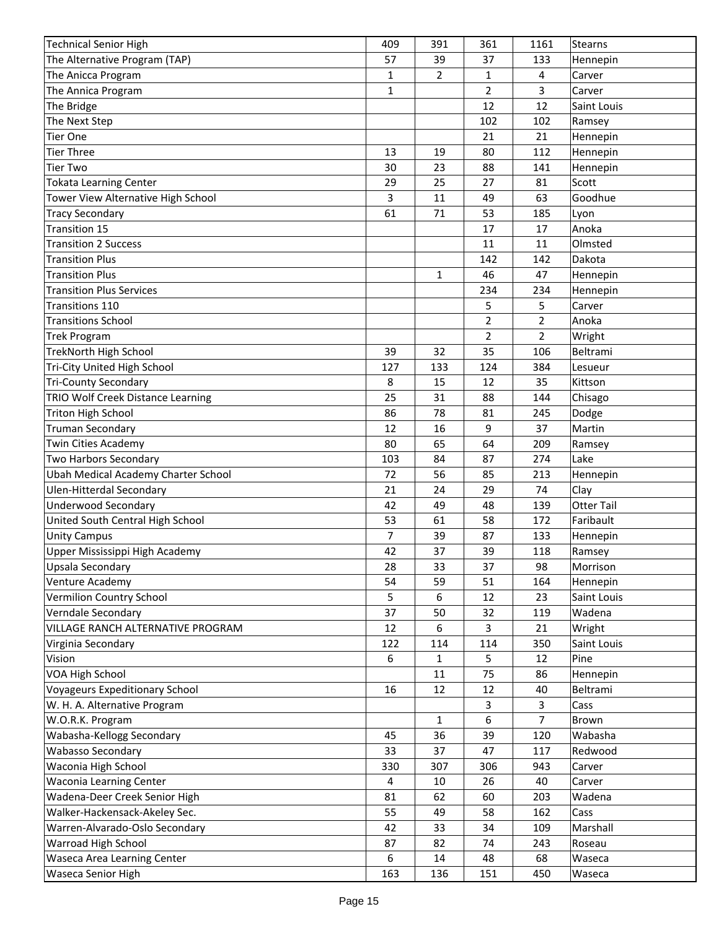| <b>Technical Senior High</b>        | 409 | 391          | 361            | 1161           | <b>Stearns</b>    |
|-------------------------------------|-----|--------------|----------------|----------------|-------------------|
| The Alternative Program (TAP)       | 57  | 39           | 37             | 133            | Hennepin          |
| The Anicca Program                  | 1   | 2            | 1              | 4              | Carver            |
| The Annica Program                  | 1   |              | $\overline{2}$ | 3              | Carver            |
| The Bridge                          |     |              | 12             | 12             | Saint Louis       |
| The Next Step                       |     |              | 102            | 102            | Ramsey            |
| <b>Tier One</b>                     |     |              | 21             | 21             | Hennepin          |
| <b>Tier Three</b>                   | 13  | 19           | 80             | 112            | Hennepin          |
| <b>Tier Two</b>                     | 30  | 23           | 88             | 141            | Hennepin          |
| <b>Tokata Learning Center</b>       | 29  | 25           | 27             | 81             | Scott             |
| Tower View Alternative High School  | 3   | 11           | 49             | 63             | Goodhue           |
| <b>Tracy Secondary</b>              | 61  | 71           | 53             | 185            | Lyon              |
| <b>Transition 15</b>                |     |              | 17             | 17             | Anoka             |
| <b>Transition 2 Success</b>         |     |              | 11             | 11             | Olmsted           |
| <b>Transition Plus</b>              |     |              | 142            | 142            | Dakota            |
| <b>Transition Plus</b>              |     | 1            | 46             | 47             | Hennepin          |
| <b>Transition Plus Services</b>     |     |              | 234            | 234            | Hennepin          |
| Transitions 110                     |     |              | 5              | 5              | Carver            |
| <b>Transitions School</b>           |     |              | $\overline{2}$ | $\overline{2}$ | Anoka             |
| <b>Trek Program</b>                 |     |              | $\overline{2}$ | $\overline{2}$ | Wright            |
| <b>TrekNorth High School</b>        | 39  | 32           | 35             | 106            | Beltrami          |
| Tri-City United High School         | 127 | 133          | 124            | 384            |                   |
| <b>Tri-County Secondary</b>         | 8   | 15           | 12             | 35             | Lesueur           |
|                                     |     |              |                |                | Kittson           |
| TRIO Wolf Creek Distance Learning   | 25  | 31           | 88             | 144            | Chisago           |
| <b>Triton High School</b>           | 86  | 78           | 81             | 245            | Dodge             |
| <b>Truman Secondary</b>             | 12  | 16           | 9              | 37             | Martin            |
| <b>Twin Cities Academy</b>          | 80  | 65           | 64             | 209            | Ramsey            |
| Two Harbors Secondary               | 103 | 84           | 87             | 274            | Lake              |
| Ubah Medical Academy Charter School | 72  | 56           | 85             | 213            | Hennepin          |
| <b>Ulen-Hitterdal Secondary</b>     | 21  | 24           | 29             | 74             | Clay              |
| <b>Underwood Secondary</b>          | 42  | 49           | 48             | 139            | <b>Otter Tail</b> |
| United South Central High School    | 53  | 61           | 58             | 172            | Faribault         |
| <b>Unity Campus</b>                 | 7   | 39           | 87             | 133            | Hennepin          |
| Upper Mississippi High Academy      | 42  | 37           | 39             | 118            | Ramsey            |
| Upsala Secondary                    | 28  | 33           | 37             | 98             | Morrison          |
| Venture Academy                     | 54  | 59           | 51             | 164            | Hennepin          |
| Vermilion Country School            | 5   | 6            | 12             | 23             | Saint Louis       |
| Verndale Secondary                  | 37  | 50           | 32             | 119            | Wadena            |
| VILLAGE RANCH ALTERNATIVE PROGRAM   | 12  | 6            | 3              | 21             | Wright            |
| Virginia Secondary                  | 122 | 114          | 114            | 350            | Saint Louis       |
| Vision                              | 6   | 1            | 5              | 12             | Pine              |
| VOA High School                     |     | 11           | 75             | 86             | Hennepin          |
| Voyageurs Expeditionary School      | 16  | 12           | 12             | 40             | Beltrami          |
| W. H. A. Alternative Program        |     |              | 3              | 3              | Cass              |
| W.O.R.K. Program                    |     | $\mathbf{1}$ | 6              | $\overline{7}$ | Brown             |
| Wabasha-Kellogg Secondary           | 45  | 36           | 39             | 120            | Wabasha           |
| <b>Wabasso Secondary</b>            | 33  | 37           | 47             | 117            | Redwood           |
| Waconia High School                 | 330 | 307          | 306            | 943            | Carver            |
| Waconia Learning Center             | 4   | 10           | 26             | 40             | Carver            |
| Wadena-Deer Creek Senior High       | 81  | 62           | 60             | 203            | Wadena            |
| Walker-Hackensack-Akeley Sec.       | 55  | 49           | 58             | 162            | Cass              |
| Warren-Alvarado-Oslo Secondary      | 42  | 33           | 34             | 109            | Marshall          |
| Warroad High School                 | 87  | 82           | 74             | 243            | Roseau            |
| Waseca Area Learning Center         | 6   | 14           | 48             | 68             | Waseca            |
| Waseca Senior High                  | 163 | 136          | 151            | 450            | Waseca            |
|                                     |     |              |                |                |                   |